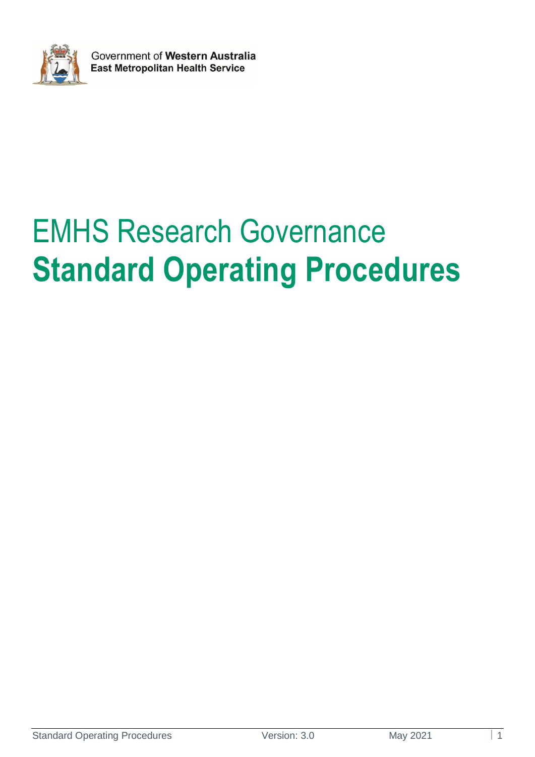

# EMHS Research Governance **Standard Operating Procedures**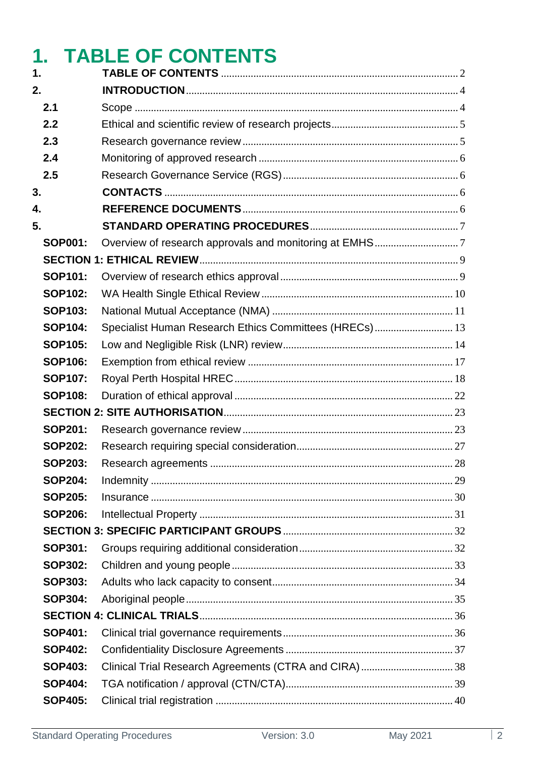## <span id="page-1-0"></span>**1. TABLE OF CONTENTS**

| 1.             |                                                        |  |
|----------------|--------------------------------------------------------|--|
| 2.             |                                                        |  |
| 2.1            |                                                        |  |
| 2.2            |                                                        |  |
| 2.3            |                                                        |  |
| 2.4            |                                                        |  |
| 2.5            |                                                        |  |
| 3.             |                                                        |  |
| 4.             |                                                        |  |
| 5.             |                                                        |  |
| <b>SOP001:</b> |                                                        |  |
|                |                                                        |  |
| <b>SOP101:</b> |                                                        |  |
| <b>SOP102:</b> |                                                        |  |
| <b>SOP103:</b> |                                                        |  |
| <b>SOP104:</b> | Specialist Human Research Ethics Committees (HRECs) 13 |  |
| <b>SOP105:</b> |                                                        |  |
| <b>SOP106:</b> |                                                        |  |
| <b>SOP107:</b> |                                                        |  |
| <b>SOP108:</b> |                                                        |  |
|                |                                                        |  |
| <b>SOP201:</b> |                                                        |  |
| <b>SOP202:</b> |                                                        |  |
| <b>SOP203:</b> |                                                        |  |
| <b>SOP204:</b> |                                                        |  |
| <b>SOP205:</b> |                                                        |  |
| <b>SOP206:</b> |                                                        |  |
|                |                                                        |  |
| <b>SOP301:</b> |                                                        |  |
| <b>SOP302:</b> |                                                        |  |
| <b>SOP303:</b> |                                                        |  |
| <b>SOP304:</b> |                                                        |  |
|                |                                                        |  |
| <b>SOP401:</b> |                                                        |  |
| <b>SOP402:</b> |                                                        |  |
| <b>SOP403:</b> | Clinical Trial Research Agreements (CTRA and CIRA)  38 |  |
| <b>SOP404:</b> |                                                        |  |
| <b>SOP405:</b> |                                                        |  |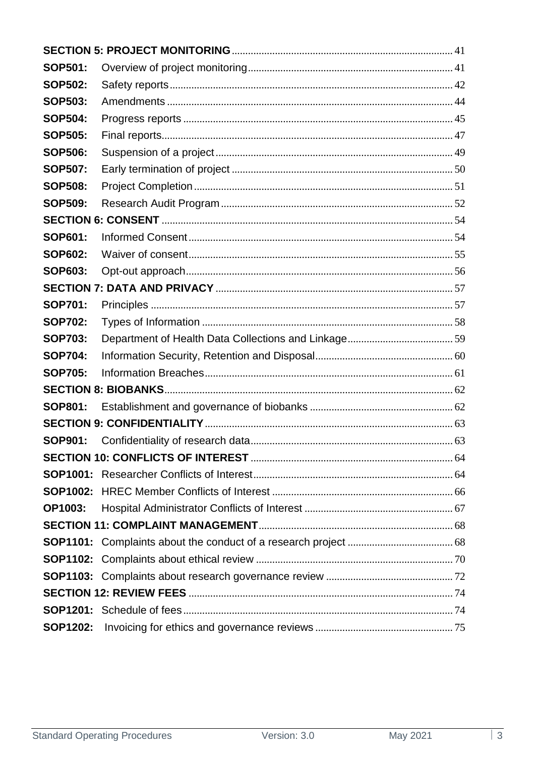| <b>SOP501:</b>  |  |  |  |  |  |
|-----------------|--|--|--|--|--|
| <b>SOP502:</b>  |  |  |  |  |  |
| <b>SOP503:</b>  |  |  |  |  |  |
| <b>SOP504:</b>  |  |  |  |  |  |
| <b>SOP505:</b>  |  |  |  |  |  |
| <b>SOP506:</b>  |  |  |  |  |  |
| <b>SOP507:</b>  |  |  |  |  |  |
| <b>SOP508:</b>  |  |  |  |  |  |
| <b>SOP509:</b>  |  |  |  |  |  |
|                 |  |  |  |  |  |
| <b>SOP601:</b>  |  |  |  |  |  |
| <b>SOP602:</b>  |  |  |  |  |  |
| <b>SOP603:</b>  |  |  |  |  |  |
|                 |  |  |  |  |  |
| <b>SOP701:</b>  |  |  |  |  |  |
| <b>SOP702:</b>  |  |  |  |  |  |
| <b>SOP703:</b>  |  |  |  |  |  |
| <b>SOP704:</b>  |  |  |  |  |  |
| <b>SOP705:</b>  |  |  |  |  |  |
|                 |  |  |  |  |  |
| <b>SOP801:</b>  |  |  |  |  |  |
|                 |  |  |  |  |  |
|                 |  |  |  |  |  |
|                 |  |  |  |  |  |
|                 |  |  |  |  |  |
|                 |  |  |  |  |  |
| <b>OP1003:</b>  |  |  |  |  |  |
|                 |  |  |  |  |  |
|                 |  |  |  |  |  |
|                 |  |  |  |  |  |
|                 |  |  |  |  |  |
|                 |  |  |  |  |  |
|                 |  |  |  |  |  |
| <b>SOP1202:</b> |  |  |  |  |  |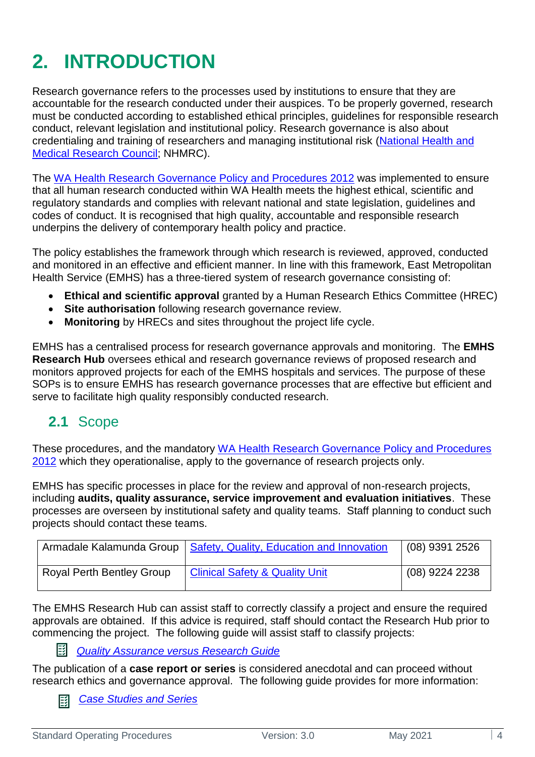## <span id="page-3-0"></span>**2. INTRODUCTION**

Research governance refers to the processes used by institutions to ensure that they are accountable for the research conducted under their auspices. To be properly governed, research must be conducted according to established ethical principles, guidelines for responsible research conduct, relevant legislation and institutional policy. Research governance is also about credentialing and training of researchers and managing institutional risk [\(National Health and](https://www.australianclinicaltrials.gov.au/researchers/research-governance)  [Medical Research Council;](https://www.australianclinicaltrials.gov.au/researchers/research-governance) NHMRC).

The [WA Health Research Governance Policy and Procedures 2012](https://rgs.health.wa.gov.au/Pages/Research-Governance-Framework.aspx) was implemented to ensure that all human research conducted within WA Health meets the highest ethical, scientific and regulatory standards and complies with relevant national and state legislation, guidelines and codes of conduct. It is recognised that high quality, accountable and responsible research underpins the delivery of contemporary health policy and practice.

The policy establishes the framework through which research is reviewed, approved, conducted and monitored in an effective and efficient manner. In line with this framework, East Metropolitan Health Service (EMHS) has a three-tiered system of research governance consisting of:

- **Ethical and scientific approval** granted by a Human Research Ethics Committee (HREC)
- **Site authorisation** following research governance review.
- **Monitoring** by HRECs and sites throughout the project life cycle.

EMHS has a centralised process for research governance approvals and monitoring. The **EMHS Research Hub** oversees ethical and research governance reviews of proposed research and monitors approved projects for each of the EMHS hospitals and services. The purpose of these SOPs is to ensure EMHS has research governance processes that are effective but efficient and serve to facilitate high quality responsibly conducted research.

## <span id="page-3-1"></span>**2.1** Scope

These procedures, and the mandatory [WA Health Research Governance Policy and Procedures](https://rgs.health.wa.gov.au/Pages/Research-Governance-Framework.aspx)  [2012](https://rgs.health.wa.gov.au/Pages/Research-Governance-Framework.aspx) which they operationalise, apply to the governance of research projects only.

EMHS has specific processes in place for the review and approval of non-research projects, including **audits, quality assurance, service improvement and evaluation initiatives**. These processes are overseen by institutional safety and quality teams. Staff planning to conduct such projects should contact these teams.

|                                  | Armadale Kalamunda Group   Safety, Quality, Education and Innovation | (08) 9391 2526 |
|----------------------------------|----------------------------------------------------------------------|----------------|
| <b>Royal Perth Bentley Group</b> | <b>Clinical Safety &amp; Quality Unit</b>                            | (08) 9224 2238 |

The EMHS Research Hub can assist staff to correctly classify a project and ensure the required approvals are obtained. If this advice is required, staff should contact the Research Hub prior to commencing the project. The following guide will assist staff to classify projects:

國 *[Quality Assurance versus Research Guide](https://emhs.health.wa.gov.au/-/media/HSPs/EMHS/Documents/Research/QA-vs-ResearchEMHS-v20-May-2021.pdf)*

The publication of a **case report or series** is considered anecdotal and can proceed without research ethics and governance approval. The following guide provides for more information:

*[Case Studies and Series](https://emhs.health.wa.gov.au/-/media/HSPs/EMHS/Documents/Research/EMHS-Case-Reports--Ethical-Considerations-v30-Oct-2020.pdf)*国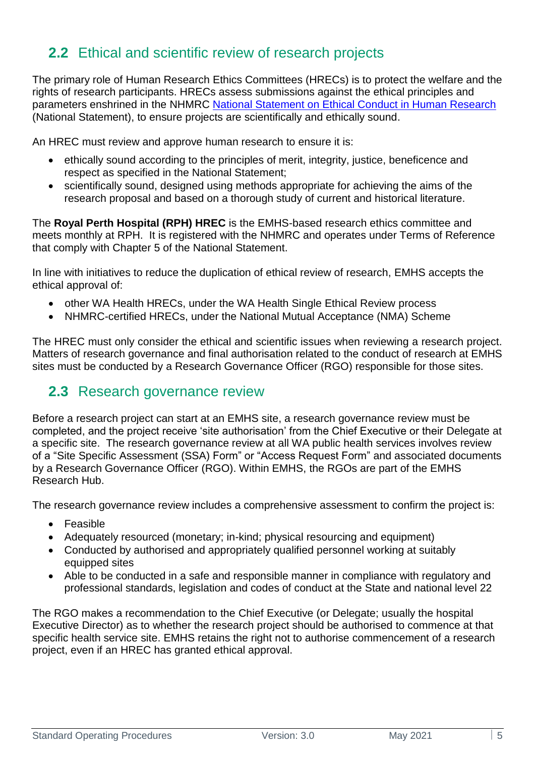## <span id="page-4-0"></span>**2.2** Ethical and scientific review of research projects

The primary role of Human Research Ethics Committees (HRECs) is to protect the welfare and the rights of research participants. HRECs assess submissions against the ethical principles and parameters enshrined in the NHMRC [National Statement on Ethical Conduct in Human Research](https://www.nhmrc.gov.au/about-us/publications/national-statement-ethical-conduct-human-research-2007-updated-2018) (National Statement), to ensure projects are scientifically and ethically sound.

An HREC must review and approve human research to ensure it is:

- ethically sound according to the principles of merit, integrity, justice, beneficence and respect as specified in the National Statement;
- scientifically sound, designed using methods appropriate for achieving the aims of the research proposal and based on a thorough study of current and historical literature.

The **Royal Perth Hospital (RPH) HREC** is the EMHS-based research ethics committee and meets monthly at RPH. It is registered with the NHMRC and operates under Terms of Reference that comply with Chapter 5 of the National Statement.

In line with initiatives to reduce the duplication of ethical review of research, EMHS accepts the ethical approval of:

- other WA Health HRECs, under the WA Health Single Ethical Review process
- NHMRC-certified HRECs, under the National Mutual Acceptance (NMA) Scheme

The HREC must only consider the ethical and scientific issues when reviewing a research project. Matters of research governance and final authorisation related to the conduct of research at EMHS sites must be conducted by a Research Governance Officer (RGO) responsible for those sites.

## <span id="page-4-1"></span>**2.3** Research governance review

Before a research project can start at an EMHS site, a research governance review must be completed, and the project receive 'site authorisation' from the Chief Executive or their Delegate at a specific site. The research governance review at all WA public health services involves review of a "Site Specific Assessment (SSA) Form" or "Access Request Form" and associated documents by a Research Governance Officer (RGO). Within EMHS, the RGOs are part of the EMHS Research Hub.

The research governance review includes a comprehensive assessment to confirm the project is:

- Feasible
- Adequately resourced (monetary; in-kind; physical resourcing and equipment)
- Conducted by authorised and appropriately qualified personnel working at suitably equipped sites
- Able to be conducted in a safe and responsible manner in compliance with regulatory and professional standards, legislation and codes of conduct at the State and national level 22

The RGO makes a recommendation to the Chief Executive (or Delegate; usually the hospital Executive Director) as to whether the research project should be authorised to commence at that specific health service site. EMHS retains the right not to authorise commencement of a research project, even if an HREC has granted ethical approval.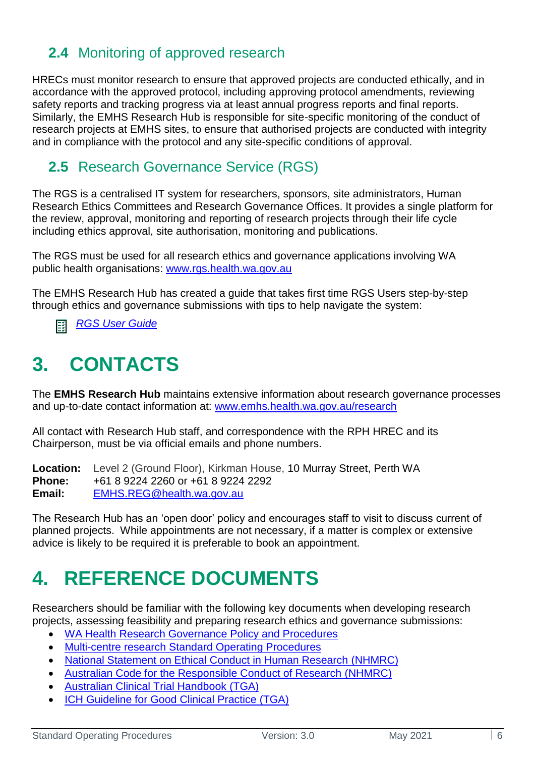## <span id="page-5-0"></span>**2.4** Monitoring of approved research

HRECs must monitor research to ensure that approved projects are conducted ethically, and in accordance with the approved protocol, including approving protocol amendments, reviewing safety reports and tracking progress via at least annual progress reports and final reports. Similarly, the EMHS Research Hub is responsible for site-specific monitoring of the conduct of research projects at EMHS sites, to ensure that authorised projects are conducted with integrity and in compliance with the protocol and any site-specific conditions of approval.

## <span id="page-5-1"></span>**2.5** Research Governance Service (RGS)

The RGS is a centralised IT system for researchers, sponsors, site administrators, Human Research Ethics Committees and Research Governance Offices. It provides a single platform for the review, approval, monitoring and reporting of research projects through their life cycle including ethics approval, site authorisation, monitoring and publications.

The RGS must be used for all research ethics and governance applications involving WA public health organisations: [www.rgs.health.wa.gov.au](http://www.rgs.health.wa.gov.au/)

The EMHS Research Hub has created a guide that takes first time RGS Users step-by-step through ethics and governance submissions with tips to help navigate the system:

<span id="page-5-2"></span>*[RGS User Guide](https://emhs.health.wa.gov.au/-/media/HSPs/EMHS/Documents/Research/rgs-research-user-guide.pdf)* 邼

## **3. CONTACTS**

The **EMHS Research Hub** maintains extensive information about research governance processes and up-to-date contact information at: [www.emhs.health.wa.gov.au/research](http://www.emhs.health.wa.gov.au/research)

All contact with Research Hub staff, and correspondence with the RPH HREC and its Chairperson, must be via official emails and phone numbers.

**Location:** Level 2 (Ground Floor), Kirkman House, 10 Murray Street, Perth WA **Phone:** +61 8 9224 2260 or +61 8 9224 2292 **Email:** [EMHS.REG@health.wa.gov.au](mailto:EMHS.REG@health.wa.gov.au)

The Research Hub has an 'open door' policy and encourages staff to visit to discuss current of planned projects. While appointments are not necessary, if a matter is complex or extensive advice is likely to be required it is preferable to book an appointment.

## <span id="page-5-3"></span>**4. REFERENCE DOCUMENTS**

Researchers should be familiar with the following key documents when developing research projects, assessing feasibility and preparing research ethics and governance submissions:

- [WA Health Research Governance Policy and Procedures](https://rgs.health.wa.gov.au/Pages/Research-Governance-Framework.aspx)
- Multi-centre research [Standard Operating Procedures](https://rgs.health.wa.gov.au/Pages/Multi-centre-Research.aspx)
- [National Statement on Ethical Conduct in Human Research](https://www.nhmrc.gov.au/about-us/publications/national-statement-ethical-conduct-human-research-2007-updated-2018) (NHMRC)
- [Australian Code for the Responsible Conduct of Research](https://www.nhmrc.gov.au/about-us/publications/australian-code-responsible-conduct-research-2018) (NHMRC)
- [Australian Clinical Trial Handbook](https://www.tga.gov.au/publication/australian-clinical-trial-handbook) (TGA)
- **[ICH Guideline for Good Clinical Practice \(TGA\)](http://www.tga.gov.au/publication/note-guidance-good-clinical-practice)**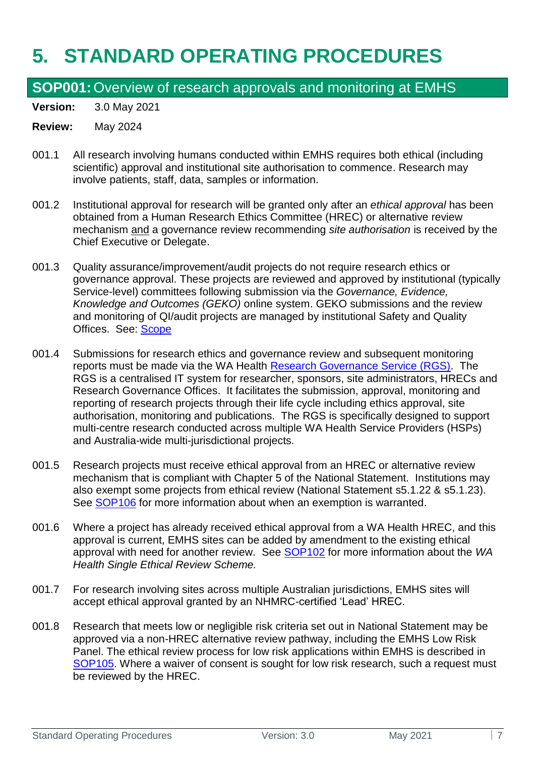## <span id="page-6-0"></span>**5. STANDARD OPERATING PROCEDURES**

## <span id="page-6-1"></span>**SOP001:**Overview of research approvals and monitoring at EMHS

**Version:** 3.0 May 2021

- 001.1 All research involving humans conducted within EMHS requires both ethical (including scientific) approval and institutional site authorisation to commence. Research may involve patients, staff, data, samples or information.
- 001.2 Institutional approval for research will be granted only after an *ethical approval* has been obtained from a Human Research Ethics Committee (HREC) or alternative review mechanism and a governance review recommending *site authorisation* is received by the Chief Executive or Delegate.
- 001.3 Quality assurance/improvement/audit projects do not require research ethics or governance approval. These projects are reviewed and approved by institutional (typically Service-level) committees following submission via the *Governance, Evidence, Knowledge and Outcomes (GEKO)* online system. GEKO submissions and the review and monitoring of QI/audit projects are managed by institutional Safety and Quality Offices. See: [Scope](#page-3-1)
- 001.4 Submissions for research ethics and governance review and subsequent monitoring reports must be made via the WA Health [Research Governance Service \(RGS\).](https://rgs.health.wa.gov.au/Pages/Home.aspx) The RGS is a centralised IT system for researcher, sponsors, site administrators, HRECs and Research Governance Offices. It facilitates the submission, approval, monitoring and reporting of research projects through their life cycle including ethics approval, site authorisation, monitoring and publications. The RGS is specifically designed to support multi-centre research conducted across multiple WA Health Service Providers (HSPs) and Australia-wide multi-jurisdictional projects.
- 001.5 Research projects must receive ethical approval from an HREC or alternative review mechanism that is compliant with Chapter 5 of the National Statement. Institutions may also exempt some projects from ethical review (National Statement s5.1.22 & s5.1.23). See [SOP106](#page-16-0) for more information about when an exemption is warranted.
- 001.6 Where a project has already received ethical approval from a WA Health HREC, and this approval is current, EMHS sites can be added by amendment to the existing ethical approval with need for another review. See [SOP102](#page-9-0) for more information about the *WA Health Single Ethical Review Scheme.*
- 001.7 For research involving sites across multiple Australian jurisdictions, EMHS sites will accept ethical approval granted by an NHMRC-certified 'Lead' HREC.
- 001.8 Research that meets low or negligible risk criteria set out in National Statement may be approved via a non-HREC alternative review pathway, including the EMHS Low Risk Panel. The ethical review process for low risk applications within EMHS is described in [SOP105.](#page-13-0) Where a waiver of consent is sought for low risk research, such a request must be reviewed by the HREC.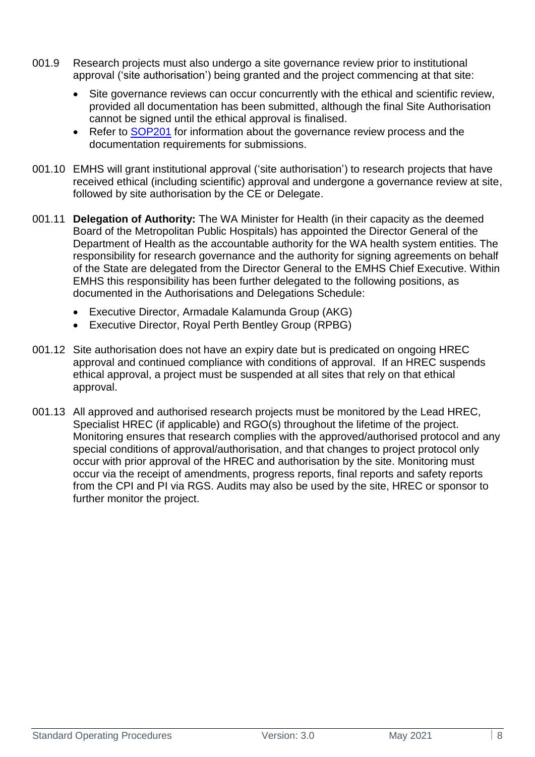- 001.9 Research projects must also undergo a site governance review prior to institutional approval ('site authorisation') being granted and the project commencing at that site:
	- Site governance reviews can occur concurrently with the ethical and scientific review, provided all documentation has been submitted, although the final Site Authorisation cannot be signed until the ethical approval is finalised.
	- Refer to [SOP201](#page-22-1) for information about the governance review process and the documentation requirements for submissions.
- 001.10 EMHS will grant institutional approval ('site authorisation') to research projects that have received ethical (including scientific) approval and undergone a governance review at site, followed by site authorisation by the CE or Delegate.
- 001.11 **Delegation of Authority:** The WA Minister for Health (in their capacity as the deemed Board of the Metropolitan Public Hospitals) has appointed the Director General of the Department of Health as the accountable authority for the WA health system entities. The responsibility for research governance and the authority for signing agreements on behalf of the State are delegated from the Director General to the EMHS Chief Executive. Within EMHS this responsibility has been further delegated to the following positions, as documented in the Authorisations and Delegations Schedule:
	- Executive Director, Armadale Kalamunda Group (AKG)
	- Executive Director, Royal Perth Bentley Group (RPBG)
- 001.12 Site authorisation does not have an expiry date but is predicated on ongoing HREC approval and continued compliance with conditions of approval. If an HREC suspends ethical approval, a project must be suspended at all sites that rely on that ethical approval.
- 001.13 All approved and authorised research projects must be monitored by the Lead HREC, Specialist HREC (if applicable) and RGO(s) throughout the lifetime of the project. Monitoring ensures that research complies with the approved/authorised protocol and any special conditions of approval/authorisation, and that changes to project protocol only occur with prior approval of the HREC and authorisation by the site. Monitoring must occur via the receipt of amendments, progress reports, final reports and safety reports from the CPI and PI via RGS. Audits may also be used by the site, HREC or sponsor to further monitor the project.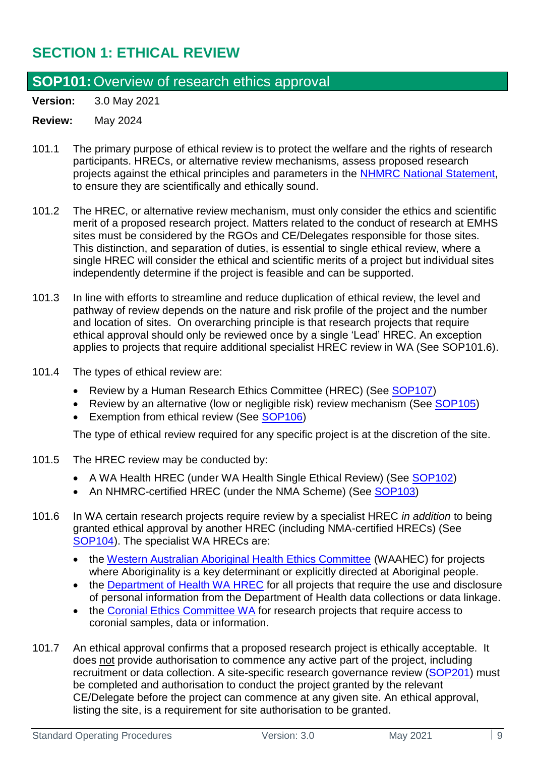## <span id="page-8-0"></span>**SECTION 1: ETHICAL REVIEW**

## <span id="page-8-1"></span>**SOP101:**Overview of research ethics approval

**Version:** 3.0 May 2021

#### **Review:** May 2024

- 101.1 The primary purpose of ethical review is to protect the welfare and the rights of research participants. HRECs, or alternative review mechanisms, assess proposed research projects against the ethical principles and parameters in the [NHMRC National Statement,](https://www.nhmrc.gov.au/about-us/publications/national-statement-ethical-conduct-human-research-2007-updated-2018) to ensure they are scientifically and ethically sound.
- 101.2 The HREC, or alternative review mechanism, must only consider the ethics and scientific merit of a proposed research project. Matters related to the conduct of research at EMHS sites must be considered by the RGOs and CE/Delegates responsible for those sites. This distinction, and separation of duties, is essential to single ethical review, where a single HREC will consider the ethical and scientific merits of a project but individual sites independently determine if the project is feasible and can be supported.
- 101.3 In line with efforts to streamline and reduce duplication of ethical review, the level and pathway of review depends on the nature and risk profile of the project and the number and location of sites. On overarching principle is that research projects that require ethical approval should only be reviewed once by a single 'Lead' HREC. An exception applies to projects that require additional specialist HREC review in WA (See SOP101.6).
- 101.4 The types of ethical review are:
	- Review by a Human Research Ethics Committee (HREC) (See [SOP107\)](#page-16-1)
	- Review by an alternative (low or negligible risk) review mechanism (See [SOP105\)](#page-13-0)
	- Exemption from ethical review (See [SOP106\)](#page-16-0)

The type of ethical review required for any specific project is at the discretion of the site.

- 101.5 The HREC review may be conducted by:
	- A WA Health HREC (under WA Health Single Ethical Review) (See [SOP102\)](#page-9-0)
	- An NHMRC-certified HREC (under the NMA Scheme) (See [SOP103\)](#page-10-0)
- 101.6 In WA certain research projects require review by a specialist HREC *in addition* to being granted ethical approval by another HREC (including NMA-certified HRECs) (See [SOP104\)](#page-12-0). The specialist WA HRECs are:
	- the [Western Australian Aboriginal Health Ethics Committee](https://www.ahcwa.org.au/ethics) (WAAHEC) for projects where Aboriginality is a key determinant or explicitly directed at Aboriginal people.
	- the [Department of Health WA HREC](https://ww2.health.wa.gov.au/Articles/A_E/Department-of-Health-Human-Research-Ethics-Committee) for all projects that require the use and disclosure of personal information from the Department of Health data collections or data linkage.
	- the [Coronial Ethics Committee WA](http://www.coronerscourt.wa.gov.au/default.aspx) for research projects that require access to coronial samples, data or information.
- 101.7 An ethical approval confirms that a proposed research project is ethically acceptable. It does not provide authorisation to commence any active part of the project, including recruitment or data collection. A site-specific research governance review [\(SOP201\)](#page-22-1) must be completed and authorisation to conduct the project granted by the relevant CE/Delegate before the project can commence at any given site. An ethical approval, listing the site, is a requirement for site authorisation to be granted.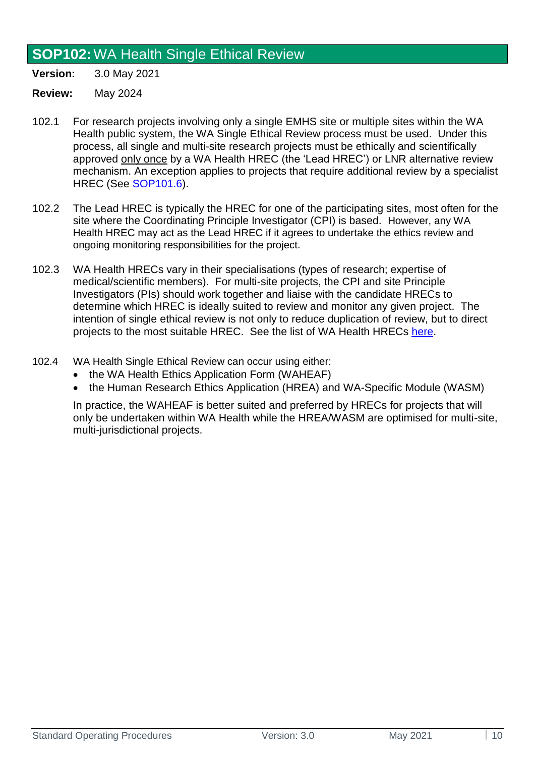## <span id="page-9-0"></span>**SOP102:**WA Health Single Ethical Review

**Version:** 3.0 May 2021

**Review:** May 2024

- 102.1 For research projects involving only a single EMHS site or multiple sites within the WA Health public system, the WA Single Ethical Review process must be used. Under this process, all single and multi-site research projects must be ethically and scientifically approved only once by a WA Health HREC (the 'Lead HREC') or LNR alternative review mechanism. An exception applies to projects that require additional review by a specialist HREC (See [SOP101.6\)](#page-8-1).
- 102.2 The Lead HREC is typically the HREC for one of the participating sites, most often for the site where the Coordinating Principle Investigator (CPI) is based. However, any WA Health HREC may act as the Lead HREC if it agrees to undertake the ethics review and ongoing monitoring responsibilities for the project.
- 102.3 WA Health HRECs vary in their specialisations (types of research; expertise of medical/scientific members). For multi-site projects, the CPI and site Principle Investigators (PIs) should work together and liaise with the candidate HRECs to determine which HREC is ideally suited to review and monitor any given project. The intention of single ethical review is not only to reduce duplication of review, but to direct projects to the most suitable HREC. See the list of WA Health HRECs [here.](https://rgs.health.wa.gov.au/Pages/Contacts.aspx)
- 102.4 WA Health Single Ethical Review can occur using either:
	- the WA Health Ethics Application Form (WAHEAF)
	- the Human Research Ethics Application (HREA) and WA-Specific Module (WASM)

In practice, the WAHEAF is better suited and preferred by HRECs for projects that will only be undertaken within WA Health while the HREA/WASM are optimised for multi-site, multi-jurisdictional projects.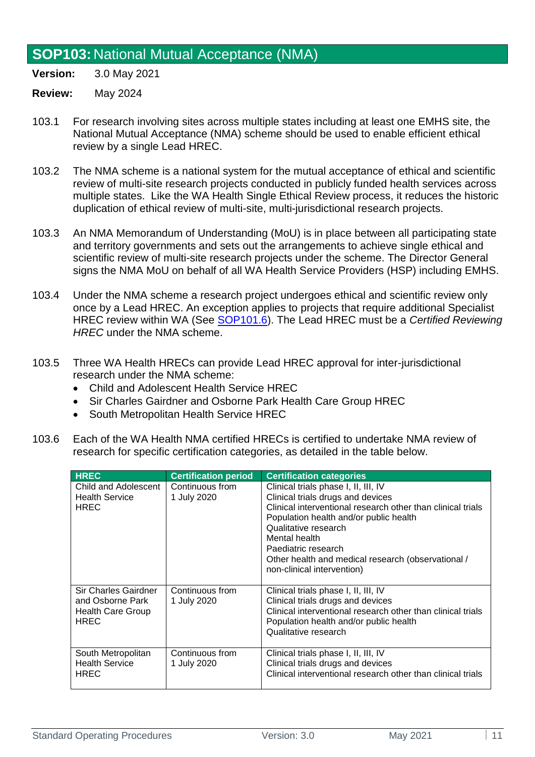### <span id="page-10-0"></span>**SOP103:** National Mutual Acceptance (NMA)

**Version:** 3.0 May 2021

- 103.1 For research involving sites across multiple states including at least one EMHS site, the National Mutual Acceptance (NMA) scheme should be used to enable efficient ethical review by a single Lead HREC.
- 103.2 The NMA scheme is a national system for the mutual acceptance of ethical and scientific review of multi-site research projects conducted in publicly funded health services across multiple states. Like the WA Health Single Ethical Review process, it reduces the historic duplication of ethical review of multi-site, multi-jurisdictional research projects.
- 103.3 An NMA Memorandum of Understanding (MoU) is in place between all participating state and territory governments and sets out the arrangements to achieve single ethical and scientific review of multi-site research projects under the scheme. The Director General signs the NMA MoU on behalf of all WA Health Service Providers (HSP) including EMHS.
- 103.4 Under the NMA scheme a research project undergoes ethical and scientific review only once by a Lead HREC. An exception applies to projects that require additional Specialist HREC review within WA (See [SOP101.6\)](#page-8-1). The Lead HREC must be a *Certified Reviewing HREC* under the NMA scheme.
- 103.5 Three WA Health HRECs can provide Lead HREC approval for inter-jurisdictional research under the NMA scheme:
	- Child and Adolescent Health Service HREC
	- Sir Charles Gairdner and Osborne Park Health Care Group HREC
	- South Metropolitan Health Service HREC
- 103.6 Each of the WA Health NMA certified HRECs is certified to undertake NMA review of research for specific certification categories, as detailed in the table below.

| <b>HREC</b>                                                                         | <b>Certification period</b>    | <b>Certification categories</b>                                                                                                                                                                                                                                                                                                        |
|-------------------------------------------------------------------------------------|--------------------------------|----------------------------------------------------------------------------------------------------------------------------------------------------------------------------------------------------------------------------------------------------------------------------------------------------------------------------------------|
| Child and Adolescent<br><b>Health Service</b><br><b>HREC</b>                        | Continuous from<br>1 July 2020 | Clinical trials phase I, II, III, IV<br>Clinical trials drugs and devices<br>Clinical interventional research other than clinical trials<br>Population health and/or public health<br>Qualitative research<br>Mental health<br>Paediatric research<br>Other health and medical research (observational /<br>non-clinical intervention) |
| <b>Sir Charles Gairdner</b><br>and Osborne Park<br>Health Care Group<br><b>HREC</b> | Continuous from<br>1 July 2020 | Clinical trials phase I, II, III, IV<br>Clinical trials drugs and devices<br>Clinical interventional research other than clinical trials<br>Population health and/or public health<br>Qualitative research                                                                                                                             |
| South Metropolitan<br><b>Health Service</b><br><b>HREC</b>                          | Continuous from<br>1 July 2020 | Clinical trials phase I, II, III, IV<br>Clinical trials drugs and devices<br>Clinical interventional research other than clinical trials                                                                                                                                                                                               |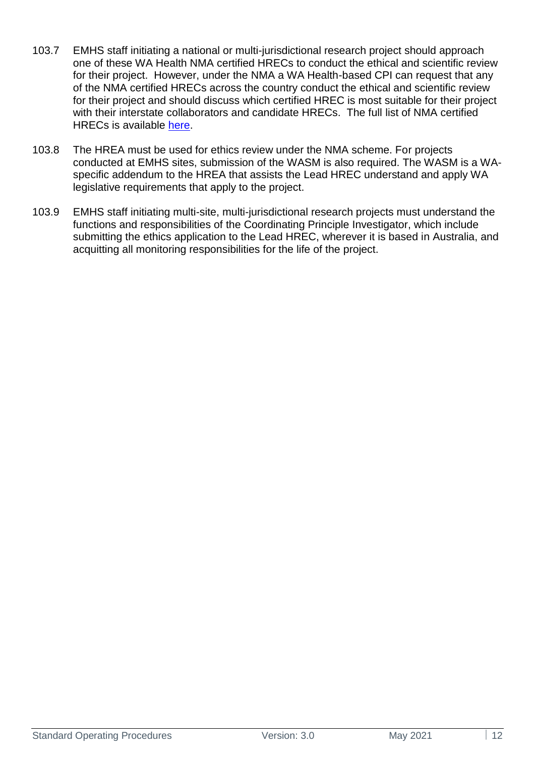- 103.7 EMHS staff initiating a national or multi-jurisdictional research project should approach one of these WA Health NMA certified HRECs to conduct the ethical and scientific review for their project. However, under the NMA a WA Health-based CPI can request that any of the NMA certified HRECs across the country conduct the ethical and scientific review for their project and should discuss which certified HREC is most suitable for their project with their interstate collaborators and candidate HRECs. The full list of NMA certified HRECs is available [here.](https://www.nhmrc.gov.au/sites/default/files/documents/attachments/National%20Statement/list_of_certified_institutions_43.pdf)
- 103.8 The HREA must be used for ethics review under the NMA scheme. For projects conducted at EMHS sites, submission of the WASM is also required. The WASM is a WAspecific addendum to the HREA that assists the Lead HREC understand and apply WA legislative requirements that apply to the project.
- 103.9 EMHS staff initiating multi-site, multi-jurisdictional research projects must understand the functions and responsibilities of the Coordinating Principle Investigator, which include submitting the ethics application to the Lead HREC, wherever it is based in Australia, and acquitting all monitoring responsibilities for the life of the project.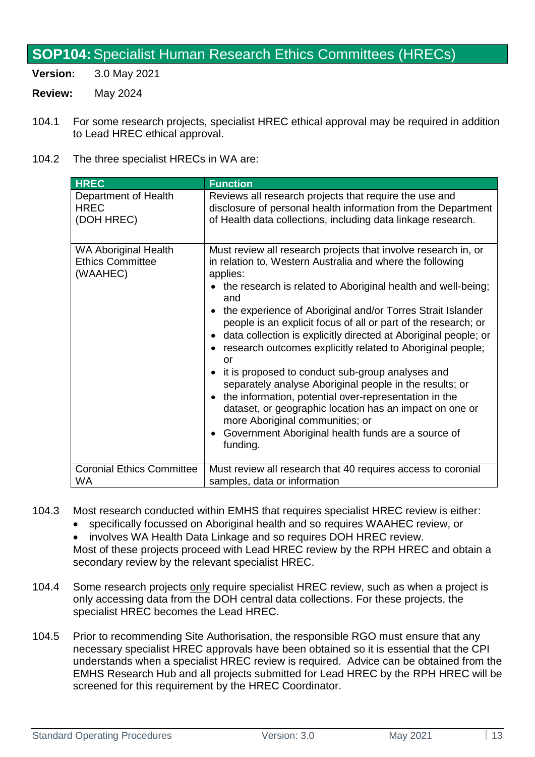## <span id="page-12-0"></span>**SOP104:**Specialist Human Research Ethics Committees (HRECs)

**Version:** 3.0 May 2021

- **Review:** May 2024
- 104.1 For some research projects, specialist HREC ethical approval may be required in addition to Lead HREC ethical approval.
- 104.2 The three specialist HRECs in WA are:

| <b>HREC</b>                                                        | <b>Function</b>                                                                                                                                                                                                                                                                                                                                                                                                                                                                                                                                                                                                                                                                                                                                                                                                               |
|--------------------------------------------------------------------|-------------------------------------------------------------------------------------------------------------------------------------------------------------------------------------------------------------------------------------------------------------------------------------------------------------------------------------------------------------------------------------------------------------------------------------------------------------------------------------------------------------------------------------------------------------------------------------------------------------------------------------------------------------------------------------------------------------------------------------------------------------------------------------------------------------------------------|
| Department of Health                                               | Reviews all research projects that require the use and                                                                                                                                                                                                                                                                                                                                                                                                                                                                                                                                                                                                                                                                                                                                                                        |
| <b>HREC</b>                                                        | disclosure of personal health information from the Department                                                                                                                                                                                                                                                                                                                                                                                                                                                                                                                                                                                                                                                                                                                                                                 |
| (DOH HREC)                                                         | of Health data collections, including data linkage research.                                                                                                                                                                                                                                                                                                                                                                                                                                                                                                                                                                                                                                                                                                                                                                  |
| <b>WA Aboriginal Health</b><br><b>Ethics Committee</b><br>(WAAHEC) | Must review all research projects that involve research in, or<br>in relation to, Western Australia and where the following<br>applies:<br>the research is related to Aboriginal health and well-being;<br>and<br>the experience of Aboriginal and/or Torres Strait Islander<br>people is an explicit focus of all or part of the research; or<br>data collection is explicitly directed at Aboriginal people; or<br>research outcomes explicitly related to Aboriginal people;<br>or<br>it is proposed to conduct sub-group analyses and<br>separately analyse Aboriginal people in the results; or<br>the information, potential over-representation in the<br>dataset, or geographic location has an impact on one or<br>more Aboriginal communities; or<br>Government Aboriginal health funds are a source of<br>funding. |
| <b>Coronial Ethics Committee</b>                                   | Must review all research that 40 requires access to coronial                                                                                                                                                                                                                                                                                                                                                                                                                                                                                                                                                                                                                                                                                                                                                                  |
| WA.                                                                | samples, data or information                                                                                                                                                                                                                                                                                                                                                                                                                                                                                                                                                                                                                                                                                                                                                                                                  |

- 104.3 Most research conducted within EMHS that requires specialist HREC review is either:
	- specifically focussed on Aboriginal health and so requires WAAHEC review, or
	- involves WA Health Data Linkage and so requires DOH HREC review. Most of these projects proceed with Lead HREC review by the RPH HREC and obtain a secondary review by the relevant specialist HREC.
- 104.4 Some research projects only require specialist HREC review, such as when a project is only accessing data from the DOH central data collections. For these projects, the specialist HREC becomes the Lead HREC.
- 104.5 Prior to recommending Site Authorisation, the responsible RGO must ensure that any necessary specialist HREC approvals have been obtained so it is essential that the CPI understands when a specialist HREC review is required. Advice can be obtained from the EMHS Research Hub and all projects submitted for Lead HREC by the RPH HREC will be screened for this requirement by the HREC Coordinator.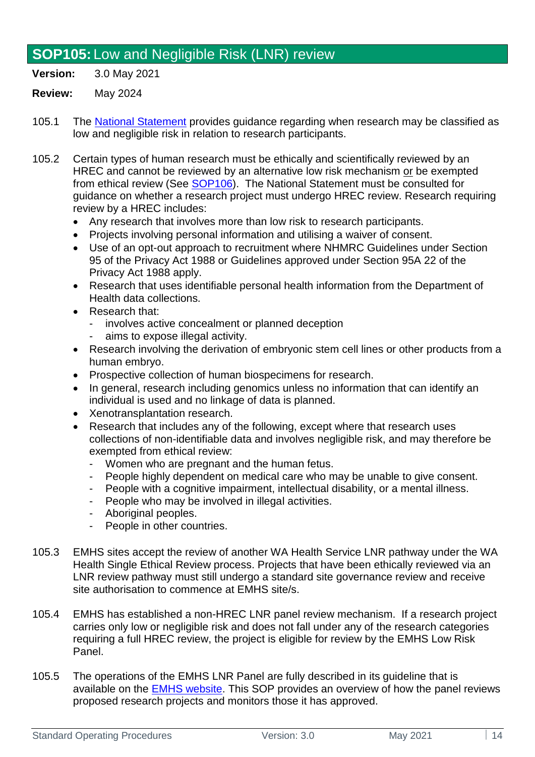## <span id="page-13-0"></span>**SOP105:** Low and Negligible Risk (LNR) review

**Version:** 3.0 May 2021

- 105.1 The [National Statement](https://www.nhmrc.gov.au/about-us/publications/national-statement-ethical-conduct-human-research-2007-updated-2018) provides guidance regarding when research may be classified as low and negligible risk in relation to research participants.
- 105.2 Certain types of human research must be ethically and scientifically reviewed by an HREC and cannot be reviewed by an alternative low risk mechanism or be exempted from ethical review (See  $SOP106$ ). The National Statement must be consulted for guidance on whether a research project must undergo HREC review. Research requiring review by a HREC includes:
	- Any research that involves more than low risk to research participants.
	- Projects involving personal information and utilising a waiver of consent.
	- Use of an opt-out approach to recruitment where NHMRC Guidelines under Section 95 of the Privacy Act 1988 or Guidelines approved under Section 95A 22 of the Privacy Act 1988 apply.
	- Research that uses identifiable personal health information from the Department of Health data collections.
	- Research that:
		- involves active concealment or planned deception
		- aims to expose illegal activity.
	- Research involving the derivation of embryonic stem cell lines or other products from a human embryo.
	- Prospective collection of human biospecimens for research.
	- In general, research including genomics unless no information that can identify an individual is used and no linkage of data is planned.
	- Xenotransplantation research.
	- Research that includes any of the following, except where that research uses collections of non-identifiable data and involves negligible risk, and may therefore be exempted from ethical review:
		- Women who are pregnant and the human fetus.
		- People highly dependent on medical care who may be unable to give consent.
		- People with a cognitive impairment, intellectual disability, or a mental illness.
		- People who may be involved in illegal activities.
		- Aboriginal peoples.
		- People in other countries.
- 105.3 EMHS sites accept the review of another WA Health Service LNR pathway under the WA Health Single Ethical Review process. Projects that have been ethically reviewed via an LNR review pathway must still undergo a standard site governance review and receive site authorisation to commence at EMHS site/s.
- 105.4 EMHS has established a non-HREC LNR panel review mechanism. If a research project carries only low or negligible risk and does not fall under any of the research categories requiring a full HREC review, the project is eligible for review by the EMHS Low Risk Panel.
- 105.5 The operations of the EMHS LNR Panel are fully described in its guideline that is available on the [EMHS website.](https://emhs.health.wa.gov.au/Research/For-Researchers/HREC) This SOP provides an overview of how the panel reviews proposed research projects and monitors those it has approved.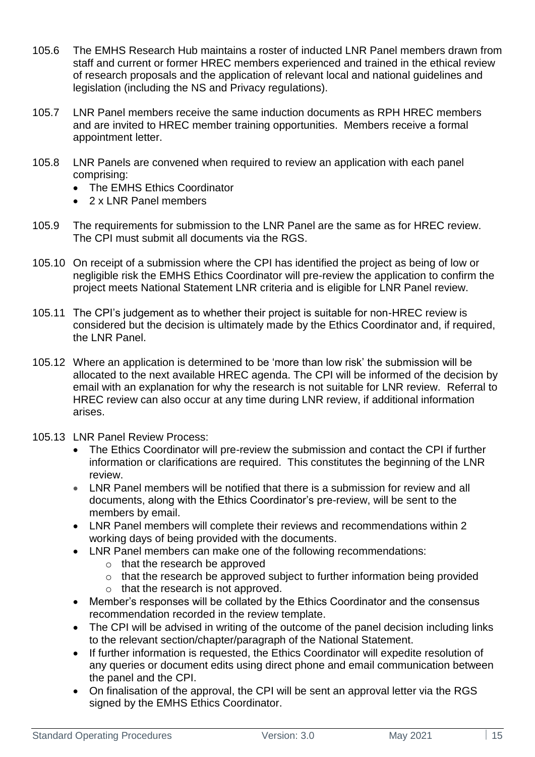- 105.6 The EMHS Research Hub maintains a roster of inducted LNR Panel members drawn from staff and current or former HREC members experienced and trained in the ethical review of research proposals and the application of relevant local and national guidelines and legislation (including the NS and Privacy regulations).
- 105.7 LNR Panel members receive the same induction documents as RPH HREC members and are invited to HREC member training opportunities. Members receive a formal appointment letter.
- 105.8 LNR Panels are convened when required to review an application with each panel comprising:
	- The EMHS Ethics Coordinator
	- 2 x LNR Panel members
- 105.9 The requirements for submission to the LNR Panel are the same as for HREC review. The CPI must submit all documents via the [RGS.](https://rgs.health.wa.gov.au/Pages/Home.aspx)
- 105.10 On receipt of a submission where the CPI has identified the project as being of low or negligible risk the EMHS Ethics Coordinator will pre-review the application to confirm the project meets National Statement LNR criteria and is eligible for LNR Panel review.
- 105.11 The CPI's judgement as to whether their project is suitable for non-HREC review is considered but the decision is ultimately made by the Ethics Coordinator and, if required, the LNR Panel.
- 105.12 Where an application is determined to be 'more than low risk' the submission will be allocated to the next available HREC agenda. The CPI will be informed of the decision by email with an explanation for why the research is not suitable for LNR review. Referral to HREC review can also occur at any time during LNR review, if additional information arises.
- 105.13 LNR Panel Review Process:
	- The Ethics Coordinator will pre-review the submission and contact the CPI if further information or clarifications are required. This constitutes the beginning of the LNR review.
	- LNR Panel members will be notified that there is a submission for review and all documents, along with the Ethics Coordinator's pre-review, will be sent to the members by email.
	- LNR Panel members will complete their reviews and recommendations within 2 working days of being provided with the documents.
	- LNR Panel members can make one of the following recommendations:
		- o that the research be approved
		- $\circ$  that the research be approved subject to further information being provided
		- o that the research is not approved.
	- Member's responses will be collated by the Ethics Coordinator and the consensus recommendation recorded in the review template.
	- The CPI will be advised in writing of the outcome of the panel decision including links to the relevant section/chapter/paragraph of the National Statement.
	- If further information is requested, the Ethics Coordinator will expedite resolution of any queries or document edits using direct phone and email communication between the panel and the CPI.
	- On finalisation of the approval, the CPI will be sent an approval letter via the RGS signed by the EMHS Ethics Coordinator.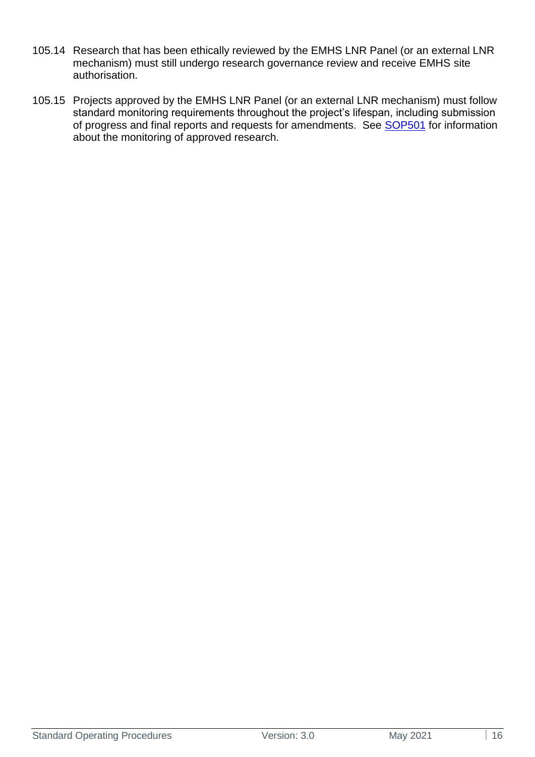- 105.14 Research that has been ethically reviewed by the EMHS LNR Panel (or an external LNR mechanism) must still undergo research governance review and receive EMHS site authorisation.
- 105.15 Projects approved by the EMHS LNR Panel (or an external LNR mechanism) must follow standard monitoring requirements throughout the project's lifespan, including submission of progress and final reports and requests for amendments. See [SOP501](#page-40-1) for information about the monitoring of approved research.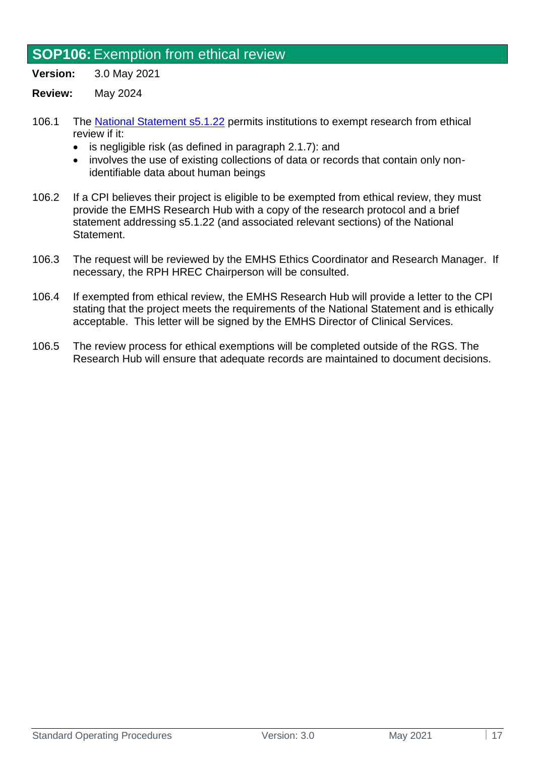### <span id="page-16-0"></span>**SOP106:**Exemption from ethical review

**Version:** 3.0 May 2021

- 106.1 The [National Statement s5.1.22](https://www.nhmrc.gov.au/about-us/publications/national-statement-ethical-conduct-human-research-2007-updated-2018#toc__1539) permits institutions to exempt research from ethical review if it:
	- is negligible risk (as defined in paragraph 2.1.7): and
	- involves the use of existing collections of data or records that contain only nonidentifiable data about human beings
- 106.2 If a CPI believes their project is eligible to be exempted from ethical review, they must provide the EMHS Research Hub with a copy of the research protocol and a brief statement addressing s5.1.22 (and associated relevant sections) of the National Statement.
- 106.3 The request will be reviewed by the EMHS Ethics Coordinator and Research Manager. If necessary, the RPH HREC Chairperson will be consulted.
- 106.4 If exempted from ethical review, the EMHS Research Hub will provide a letter to the CPI stating that the project meets the requirements of the National Statement and is ethically acceptable. This letter will be signed by the EMHS Director of Clinical Services.
- <span id="page-16-1"></span>106.5 The review process for ethical exemptions will be completed outside of the RGS. The Research Hub will ensure that adequate records are maintained to document decisions.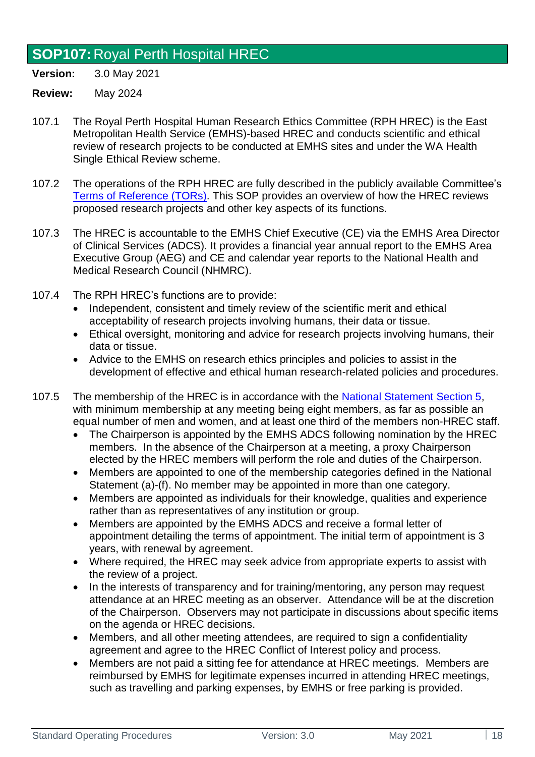## <span id="page-17-0"></span>**SOP107:** Royal Perth Hospital HREC

**Version:** 3.0 May 2021

- 107.1 The Royal Perth Hospital Human Research Ethics Committee (RPH HREC) is the East Metropolitan Health Service (EMHS)-based HREC and conducts scientific and ethical review of research projects to be conducted at EMHS sites and under the WA Health Single Ethical Review scheme.
- 107.2 The operations of the RPH HREC are fully described in the publicly available Committee's [Terms of Reference](https://emhs.health.wa.gov.au/-/media/HSPs/EMHS/Documents/Research/hrec-terms-of-reference.pdf) (TORs). This SOP provides an overview of how the HREC reviews proposed research projects and other key aspects of its functions.
- 107.3 The HREC is accountable to the EMHS Chief Executive (CE) via the EMHS Area Director of Clinical Services (ADCS). It provides a financial year annual report to the EMHS Area Executive Group (AEG) and CE and calendar year reports to the National Health and Medical Research Council (NHMRC).
- 107.4 The RPH HREC's functions are to provide:
	- Independent, consistent and timely review of the scientific merit and ethical acceptability of research projects involving humans, their data or tissue.
	- Ethical oversight, monitoring and advice for research projects involving humans, their data or tissue.
	- Advice to the EMHS on research ethics principles and policies to assist in the development of effective and ethical human research-related policies and procedures.
- 107.5 The membership of the HREC is in accordance with the [National Statement](https://www.nhmrc.gov.au/about-us/publications/national-statement-ethical-conduct-human-research-2007-updated-2018#toc__1642) Section 5, with minimum membership at any meeting being eight members, as far as possible an equal number of men and women, and at least one third of the members non-HREC staff.
	- The Chairperson is appointed by the EMHS ADCS following nomination by the HREC members. In the absence of the Chairperson at a meeting, a proxy Chairperson elected by the HREC members will perform the role and duties of the Chairperson.
	- Members are appointed to one of the membership categories defined in the National Statement (a)-(f). No member may be appointed in more than one category.
	- Members are appointed as individuals for their knowledge, qualities and experience rather than as representatives of any institution or group.
	- Members are appointed by the EMHS ADCS and receive a formal letter of appointment detailing the terms of appointment. The initial term of appointment is 3 years, with renewal by agreement.
	- Where required, the HREC may seek advice from appropriate experts to assist with the review of a project.
	- In the interests of transparency and for training/mentoring, any person may request attendance at an HREC meeting as an observer. Attendance will be at the discretion of the Chairperson. Observers may not participate in discussions about specific items on the agenda or HREC decisions.
	- Members, and all other meeting attendees, are required to sign a confidentiality agreement and agree to the HREC Conflict of Interest policy and process.
	- Members are not paid a sitting fee for attendance at HREC meetings. Members are reimbursed by EMHS for legitimate expenses incurred in attending HREC meetings, such as travelling and parking expenses, by EMHS or free parking is provided.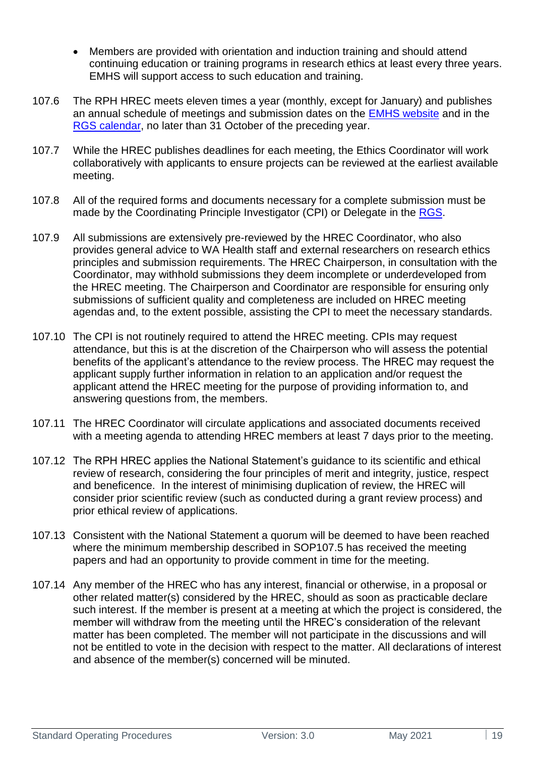- Members are provided with orientation and induction training and should attend continuing education or training programs in research ethics at least every three years. EMHS will support access to such education and training.
- 107.6 The RPH HREC meets eleven times a year (monthly, except for January) and publishes an annual schedule of meetings and submission dates on the [EMHS website](https://emhs.health.wa.gov.au/Research/For-Researchers/HREC) and in the [RGS calendar,](https://rgs.health.wa.gov.au/Pages/Meeting-Calendar.aspx) no later than 31 October of the preceding year.
- 107.7 While the HREC publishes deadlines for each meeting, the Ethics Coordinator will work collaboratively with applicants to ensure projects can be reviewed at the earliest available meeting.
- 107.8 All of the required forms and documents necessary for a complete submission must be made by the Coordinating Principle Investigator (CPI) or Delegate in the [RGS.](https://rgs.health.wa.gov.au/Pages/Home.aspx)
- 107.9 All submissions are extensively pre-reviewed by the HREC Coordinator, who also provides general advice to WA Health staff and external researchers on research ethics principles and submission requirements. The HREC Chairperson, in consultation with the Coordinator, may withhold submissions they deem incomplete or underdeveloped from the HREC meeting. The Chairperson and Coordinator are responsible for ensuring only submissions of sufficient quality and completeness are included on HREC meeting agendas and, to the extent possible, assisting the CPI to meet the necessary standards.
- 107.10 The CPI is not routinely required to attend the HREC meeting. CPIs may request attendance, but this is at the discretion of the Chairperson who will assess the potential benefits of the applicant's attendance to the review process. The HREC may request the applicant supply further information in relation to an application and/or request the applicant attend the HREC meeting for the purpose of providing information to, and answering questions from, the members.
- 107.11 The HREC Coordinator will circulate applications and associated documents received with a meeting agenda to attending HREC members at least 7 days prior to the meeting.
- 107.12 The RPH HREC applies the National Statement's guidance to its scientific and ethical review of research, considering the four principles of merit and integrity, justice, respect and beneficence. In the interest of minimising duplication of review, the HREC will consider prior scientific review (such as conducted during a grant review process) and prior ethical review of applications.
- 107.13 Consistent with the National Statement a quorum will be deemed to have been reached where the minimum membership described in SOP107.5 has received the meeting papers and had an opportunity to provide comment in time for the meeting.
- 107.14 Any member of the HREC who has any interest, financial or otherwise, in a proposal or other related matter(s) considered by the HREC, should as soon as practicable declare such interest. If the member is present at a meeting at which the project is considered, the member will withdraw from the meeting until the HREC's consideration of the relevant matter has been completed. The member will not participate in the discussions and will not be entitled to vote in the decision with respect to the matter. All declarations of interest and absence of the member(s) concerned will be minuted.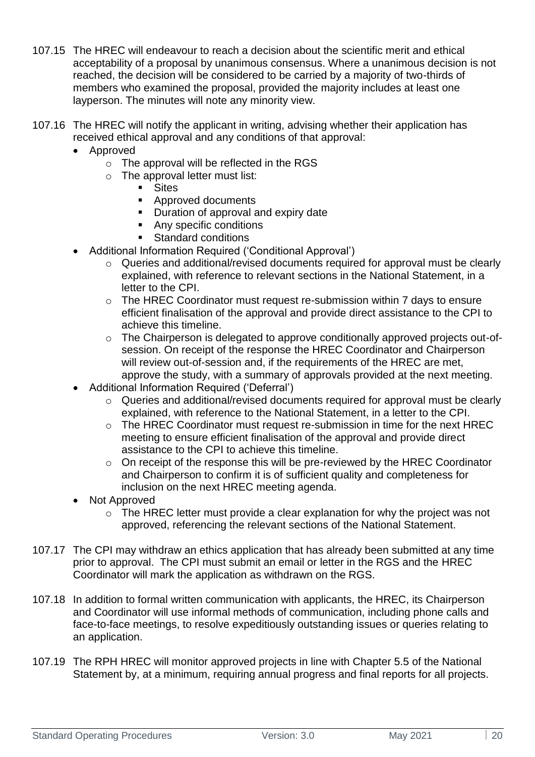- 107.15 The HREC will endeavour to reach a decision about the scientific merit and ethical acceptability of a proposal by unanimous consensus. Where a unanimous decision is not reached, the decision will be considered to be carried by a majority of two-thirds of members who examined the proposal, provided the majority includes at least one layperson. The minutes will note any minority view.
- 107.16 The HREC will notify the applicant in writing, advising whether their application has received ethical approval and any conditions of that approval:
	- Approved
		- $\circ$  The approval will be reflected in the RGS
		- o The approval letter must list:
			- Sites
			- Approved documents
			- Duration of approval and expiry date
			- Any specific conditions
			- Standard conditions
	- Additional Information Required ('Conditional Approval')
		- o Queries and additional/revised documents required for approval must be clearly explained, with reference to relevant sections in the National Statement, in a letter to the CPI.
		- o The HREC Coordinator must request re-submission within 7 days to ensure efficient finalisation of the approval and provide direct assistance to the CPI to achieve this timeline.
		- o The Chairperson is delegated to approve conditionally approved projects out-ofsession. On receipt of the response the HREC Coordinator and Chairperson will review out-of-session and, if the requirements of the HREC are met, approve the study, with a summary of approvals provided at the next meeting.
	- Additional Information Required ('Deferral')
		- o Queries and additional/revised documents required for approval must be clearly explained, with reference to the National Statement, in a letter to the CPI.
		- o The HREC Coordinator must request re-submission in time for the next HREC meeting to ensure efficient finalisation of the approval and provide direct assistance to the CPI to achieve this timeline.
		- o On receipt of the response this will be pre-reviewed by the HREC Coordinator and Chairperson to confirm it is of sufficient quality and completeness for inclusion on the next HREC meeting agenda.
	- Not Approved
		- o The HREC letter must provide a clear explanation for why the project was not approved, referencing the relevant sections of the National Statement.
- 107.17 The CPI may withdraw an ethics application that has already been submitted at any time prior to approval. The CPI must submit an email or letter in the RGS and the HREC Coordinator will mark the application as withdrawn on the RGS.
- 107.18 In addition to formal written communication with applicants, the HREC, its Chairperson and Coordinator will use informal methods of communication, including phone calls and face-to-face meetings, to resolve expeditiously outstanding issues or queries relating to an application.
- 107.19 The RPH HREC will monitor approved projects in line with Chapter 5.5 of the National Statement by, at a minimum, requiring annual progress and final reports for all projects.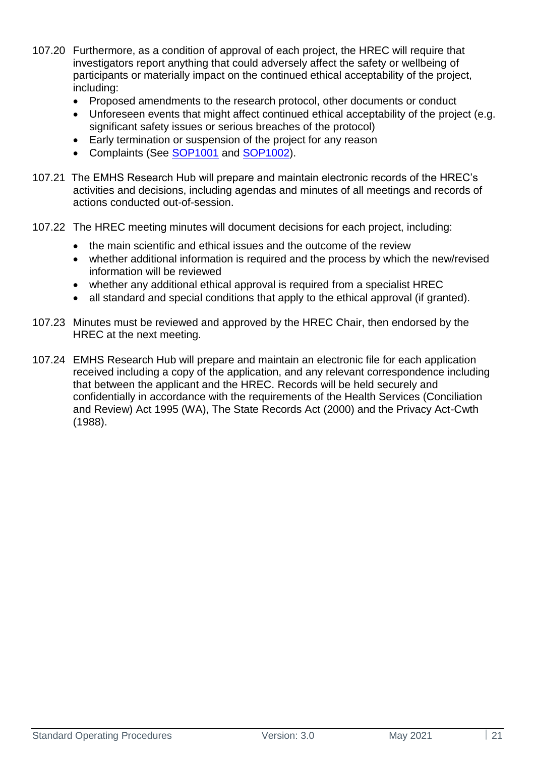- 107.20 Furthermore, as a condition of approval of each project, the HREC will require that investigators report anything that could adversely affect the safety or wellbeing of participants or materially impact on the continued ethical acceptability of the project, including:
	- Proposed amendments to the research protocol, other documents or conduct
	- Unforeseen events that might affect continued ethical acceptability of the project (e.g. significant safety issues or serious breaches of the protocol)
	- Early termination or suspension of the project for any reason
	- Complaints (See [SOP1001](#page-67-1) and [SOP1002\)](#page-69-0).
- 107.21 The EMHS Research Hub will prepare and maintain electronic records of the HREC's activities and decisions, including agendas and minutes of all meetings and records of actions conducted out-of-session.
- 107.22 The HREC meeting minutes will document decisions for each project, including:
	- the main scientific and ethical issues and the outcome of the review
	- whether additional information is required and the process by which the new/revised information will be reviewed
	- whether any additional ethical approval is required from a specialist HREC
	- all standard and special conditions that apply to the ethical approval (if granted).
- 107.23 Minutes must be reviewed and approved by the HREC Chair, then endorsed by the HREC at the next meeting.
- 107.24 EMHS Research Hub will prepare and maintain an electronic file for each application received including a copy of the application, and any relevant correspondence including that between the applicant and the HREC. Records will be held securely and confidentially in accordance with the requirements of the Health Services (Conciliation and Review) Act 1995 (WA), The State Records Act (2000) and the Privacy Act-Cwth (1988).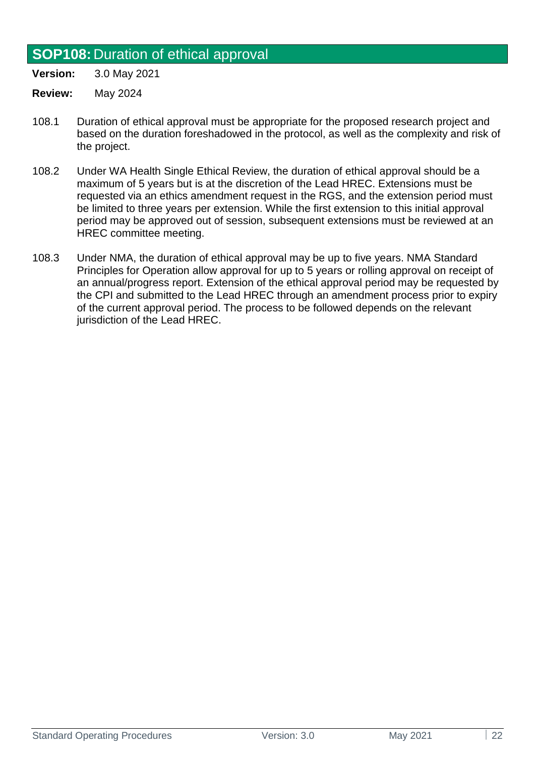### <span id="page-21-0"></span>**SOP108:** Duration of ethical approval

**Version:** 3.0 May 2021

- **Review:** May 2024
- 108.1 Duration of ethical approval must be appropriate for the proposed research project and based on the duration foreshadowed in the protocol, as well as the complexity and risk of the project.
- 108.2 Under WA Health Single Ethical Review, the duration of ethical approval should be a maximum of 5 years but is at the discretion of the Lead HREC. Extensions must be requested via an ethics amendment request in the RGS, and the extension period must be limited to three years per extension. While the first extension to this initial approval period may be approved out of session, subsequent extensions must be reviewed at an HREC committee meeting.
- 108.3 Under NMA, the duration of ethical approval may be up to five years. NMA Standard Principles for Operation allow approval for up to 5 years or rolling approval on receipt of an annual/progress report. Extension of the ethical approval period may be requested by the CPI and submitted to the Lead HREC through an amendment process prior to expiry of the current approval period. The process to be followed depends on the relevant jurisdiction of the Lead HREC.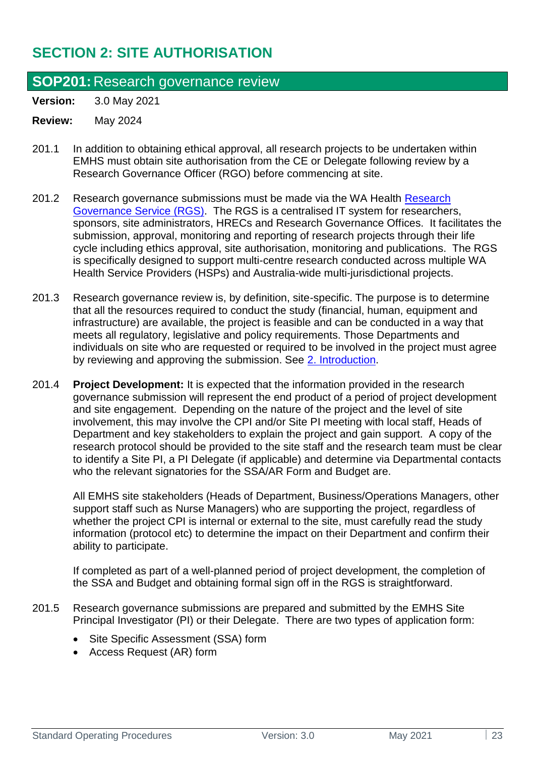## <span id="page-22-0"></span>**SECTION 2: SITE AUTHORISATION**

### <span id="page-22-1"></span>**SOP201:** Research governance review

**Version:** 3.0 May 2021

#### **Review:** May 2024

- 201.1 In addition to obtaining ethical approval, all research projects to be undertaken within EMHS must obtain site authorisation from the CE or Delegate following review by a Research Governance Officer (RGO) before commencing at site.
- 201.2 Research governance submissions must be made via the WA Health [Research](https://rgs.health.wa.gov.au/Pages/Home.aspx)  [Governance Service \(RGS\).](https://rgs.health.wa.gov.au/Pages/Home.aspx) The RGS is a centralised IT system for researchers, sponsors, site administrators, HRECs and Research Governance Offices. It facilitates the submission, approval, monitoring and reporting of research projects through their life cycle including ethics approval, site authorisation, monitoring and publications. The RGS is specifically designed to support multi-centre research conducted across multiple WA Health Service Providers (HSPs) and Australia-wide multi-jurisdictional projects.
- 201.3 Research governance review is, by definition, site-specific. The purpose is to determine that all the resources required to conduct the study (financial, human, equipment and infrastructure) are available, the project is feasible and can be conducted in a way that meets all regulatory, legislative and policy requirements. Those Departments and individuals on site who are requested or required to be involved in the project must agree by reviewing and approving the submission. See [2. Introduction.](#page-4-1)
- 201.4 **Project Development:** It is expected that the information provided in the research governance submission will represent the end product of a period of project development and site engagement. Depending on the nature of the project and the level of site involvement, this may involve the CPI and/or Site PI meeting with local staff, Heads of Department and key stakeholders to explain the project and gain support. A copy of the research protocol should be provided to the site staff and the research team must be clear to identify a Site PI, a PI Delegate (if applicable) and determine via Departmental contacts who the relevant signatories for the SSA/AR Form and Budget are.

All EMHS site stakeholders (Heads of Department, Business/Operations Managers, other support staff such as Nurse Managers) who are supporting the project, regardless of whether the project CPI is internal or external to the site, must carefully read the study information (protocol etc) to determine the impact on their Department and confirm their ability to participate.

If completed as part of a well-planned period of project development, the completion of the SSA and Budget and obtaining formal sign off in the RGS is straightforward.

- 201.5 Research governance submissions are prepared and submitted by the EMHS Site Principal Investigator (PI) or their Delegate. There are two types of application form:
	- Site Specific Assessment (SSA) form
	- Access Request (AR) form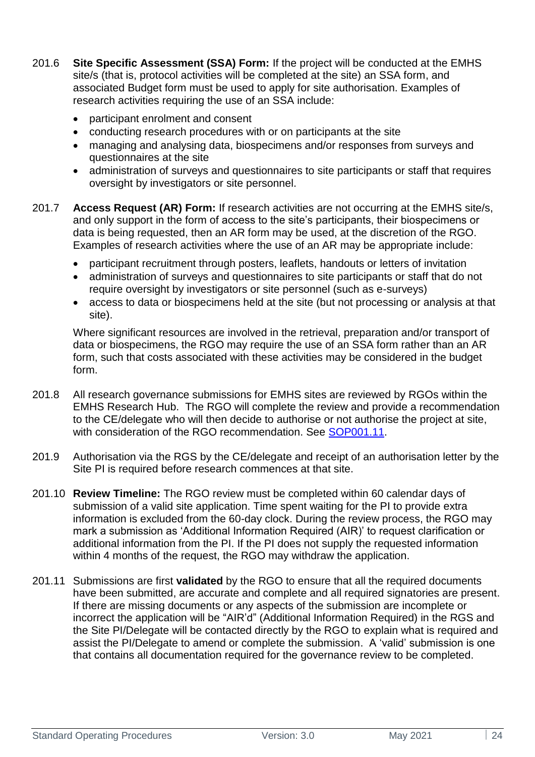- 201.6 **Site Specific Assessment (SSA) Form:** If the project will be conducted at the EMHS site/s (that is, protocol activities will be completed at the site) an SSA form, and associated Budget form must be used to apply for site authorisation. Examples of research activities requiring the use of an SSA include:
	- participant enrolment and consent
	- conducting research procedures with or on participants at the site
	- managing and analysing data, biospecimens and/or responses from surveys and questionnaires at the site
	- administration of surveys and questionnaires to site participants or staff that requires oversight by investigators or site personnel.
- 201.7 **Access Request (AR) Form:** If research activities are not occurring at the EMHS site/s, and only support in the form of access to the site's participants, their biospecimens or data is being requested, then an AR form may be used, at the discretion of the RGO. Examples of research activities where the use of an AR may be appropriate include:
	- participant recruitment through posters, leaflets, handouts or letters of invitation
	- administration of surveys and questionnaires to site participants or staff that do not require oversight by investigators or site personnel (such as e-surveys)
	- access to data or biospecimens held at the site (but not processing or analysis at that site).

Where significant resources are involved in the retrieval, preparation and/or transport of data or biospecimens, the RGO may require the use of an SSA form rather than an AR form, such that costs associated with these activities may be considered in the budget form.

- 201.8 All research governance submissions for EMHS sites are reviewed by RGOs within the EMHS Research Hub. The RGO will complete the review and provide a recommendation to the CE/delegate who will then decide to authorise or not authorise the project at site, with consideration of the RGO recommendation. See [SOP001.11.](#page-6-1)
- 201.9 Authorisation via the RGS by the CE/delegate and receipt of an authorisation letter by the Site PI is required before research commences at that site.
- 201.10 **Review Timeline:** The RGO review must be completed within 60 calendar days of submission of a valid site application. Time spent waiting for the PI to provide extra information is excluded from the 60-day clock. During the review process, the RGO may mark a submission as 'Additional Information Required (AIR)' to request clarification or additional information from the PI. If the PI does not supply the requested information within 4 months of the request, the RGO may withdraw the application.
- 201.11 Submissions are first **validated** by the RGO to ensure that all the required documents have been submitted, are accurate and complete and all required signatories are present. If there are missing documents or any aspects of the submission are incomplete or incorrect the application will be "AIR'd" (Additional Information Required) in the RGS and the Site PI/Delegate will be contacted directly by the RGO to explain what is required and assist the PI/Delegate to amend or complete the submission. A 'valid' submission is one that contains all documentation required for the governance review to be completed.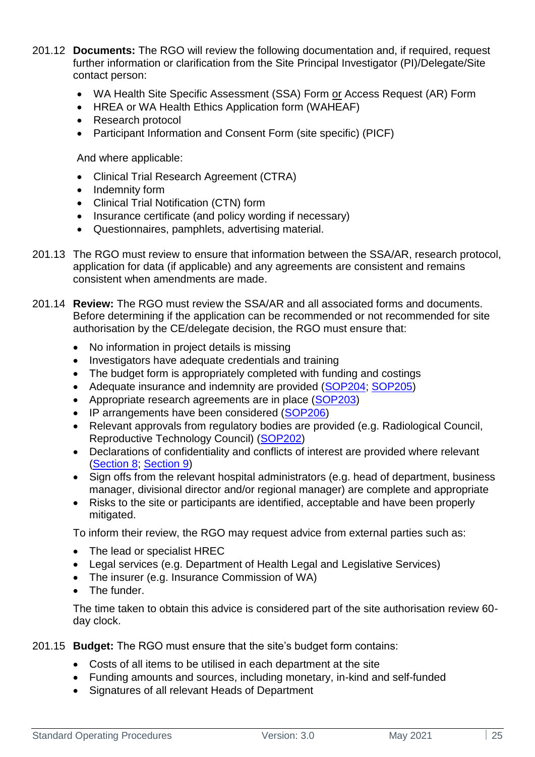- 201.12 **Documents:** The RGO will review the following documentation and, if required, request further information or clarification from the Site Principal Investigator (PI)/Delegate/Site contact person:
	- WA Health Site Specific Assessment (SSA) Form or Access Request (AR) Form
	- HREA or WA Health Ethics Application form (WAHEAF)
	- Research protocol
	- Participant Information and Consent Form (site specific) (PICF)

And where applicable:

- Clinical Trial Research Agreement (CTRA)
- Indemnity form
- Clinical Trial Notification (CTN) form
- Insurance certificate (and policy wording if necessary)
- Questionnaires, pamphlets, advertising material.
- 201.13 The RGO must review to ensure that information between the SSA/AR, research protocol, application for data (if applicable) and any agreements are consistent and remains consistent when amendments are made.
- 201.14 **Review:** The RGO must review the SSA/AR and all associated forms and documents. Before determining if the application can be recommended or not recommended for site authorisation by the CE/delegate decision, the RGO must ensure that:
	- No information in project details is missing
	- Investigators have adequate credentials and training
	- The budget form is appropriately completed with funding and costings
	- Adequate insurance and indemnity are provided [\(SOP204;](#page-27-1) [SOP205\)](#page-29-0)
	- Appropriate research agreements are in place [\(SOP203\)](#page-26-1)
	- IP arrangements have been considered [\(SOP206\)](#page-29-1)
	- Relevant approvals from regulatory bodies are provided (e.g. Radiological Council, Reproductive Technology Council) [\(SOP202\)](#page-26-0)
	- Declarations of confidentiality and conflicts of interest are provided where relevant [\(Section 8;](#page-62-0) [Section 9\)](#page-62-2)
	- Sign offs from the relevant hospital administrators (e.g. head of department, business manager, divisional director and/or regional manager) are complete and appropriate
	- Risks to the site or participants are identified, acceptable and have been properly mitigated.

To inform their review, the RGO may request advice from external parties such as:

- The lead or specialist HREC
- Legal services (e.g. Department of Health Legal and Legislative Services)
- The insurer (e.g. Insurance Commission of WA)
- The funder.

The time taken to obtain this advice is considered part of the site authorisation review 60 day clock.

- 201.15 **Budget:** The RGO must ensure that the site's budget form contains:
	- Costs of all items to be utilised in each department at the site
	- Funding amounts and sources, including monetary, in-kind and self-funded
	- Signatures of all relevant Heads of Department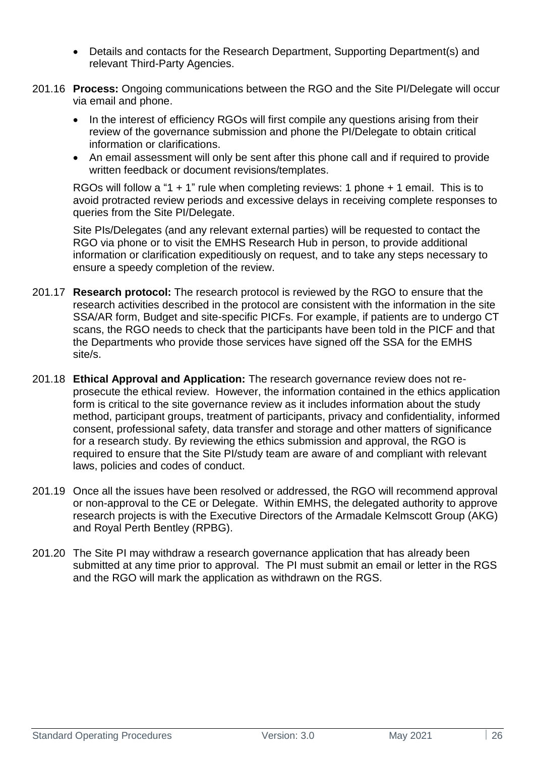- Details and contacts for the Research Department, Supporting Department(s) and relevant Third-Party Agencies.
- 201.16 **Process:** Ongoing communications between the RGO and the Site PI/Delegate will occur via email and phone.
	- In the interest of efficiency RGOs will first compile any questions arising from their review of the governance submission and phone the PI/Delegate to obtain critical information or clarifications.
	- An email assessment will only be sent after this phone call and if required to provide written feedback or document revisions/templates.

RGOs will follow a "1 + 1" rule when completing reviews: 1 phone + 1 email. This is to avoid protracted review periods and excessive delays in receiving complete responses to queries from the Site PI/Delegate.

Site PIs/Delegates (and any relevant external parties) will be requested to contact the RGO via phone or to visit the EMHS Research Hub in person, to provide additional information or clarification expeditiously on request, and to take any steps necessary to ensure a speedy completion of the review.

- 201.17 **Research protocol:** The research protocol is reviewed by the RGO to ensure that the research activities described in the protocol are consistent with the information in the site SSA/AR form, Budget and site-specific PICFs. For example, if patients are to undergo CT scans, the RGO needs to check that the participants have been told in the PICF and that the Departments who provide those services have signed off the SSA for the EMHS site/s.
- 201.18 **Ethical Approval and Application:** The research governance review does not reprosecute the ethical review. However, the information contained in the ethics application form is critical to the site governance review as it includes information about the study method, participant groups, treatment of participants, privacy and confidentiality, informed consent, professional safety, data transfer and storage and other matters of significance for a research study. By reviewing the ethics submission and approval, the RGO is required to ensure that the Site PI/study team are aware of and compliant with relevant laws, policies and codes of conduct.
- 201.19 Once all the issues have been resolved or addressed, the RGO will recommend approval or non-approval to the CE or Delegate. Within EMHS, the delegated authority to approve research projects is with the Executive Directors of the Armadale Kelmscott Group (AKG) and Royal Perth Bentley (RPBG).
- 201.20 The Site PI may withdraw a research governance application that has already been submitted at any time prior to approval. The PI must submit an email or letter in the RGS and the RGO will mark the application as withdrawn on the RGS.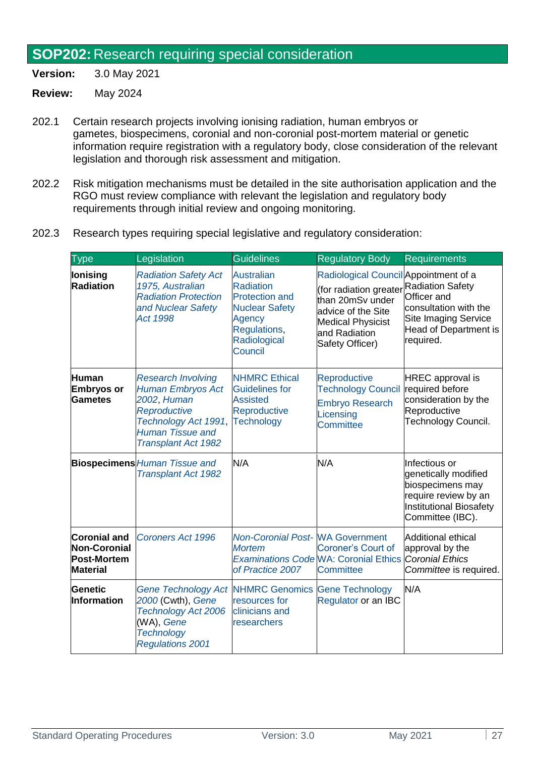#### <span id="page-26-0"></span>**SOP202:** Research requiring special consideration

**Version:** 3.0 May 2021

- 202.1 Certain research projects involving ionising radiation, human embryos or gametes, biospecimens, coronial and non-coronial post-mortem material or genetic information require registration with a regulatory body, close consideration of the relevant legislation and thorough risk assessment and mitigation.
- 202.2 Risk mitigation mechanisms must be detailed in the site authorisation application and the RGO must review compliance with relevant the legislation and regulatory body requirements through initial review and ongoing monitoring.
- 202.3 Research types requiring special legislative and regulatory consideration:

<span id="page-26-1"></span>

| <b>Type</b>                                                    | Legislation                                                                                                                                                    | <b>Guidelines</b>                                                                                                                            | <b>Regulatory Body</b>                                                                                                                                                    | <b>Requirements</b>                                                                                                                  |
|----------------------------------------------------------------|----------------------------------------------------------------------------------------------------------------------------------------------------------------|----------------------------------------------------------------------------------------------------------------------------------------------|---------------------------------------------------------------------------------------------------------------------------------------------------------------------------|--------------------------------------------------------------------------------------------------------------------------------------|
| lonising<br>Radiation                                          | <b>Radiation Safety Act</b><br>1975, Australian<br><b>Radiation Protection</b><br>and Nuclear Safety<br>Act 1998                                               | <b>Australian</b><br><b>Radiation</b><br><b>Protection and</b><br><b>Nuclear Safety</b><br>Agency<br>Regulations,<br>Radiological<br>Council | Radiological Council Appointment of a<br>(for radiation greater<br>than 20mSv under<br>advice of the Site<br><b>Medical Physicist</b><br>and Radiation<br>Safety Officer) | <b>Radiation Safety</b><br>Officer and<br>consultation with the<br><b>Site Imaging Service</b><br>Head of Department is<br>required. |
| <b>Human</b><br><b>Embryos or</b><br>Gametes                   | <b>Research Involving</b><br><b>Human Embryos Act</b><br>2002, Human<br>Reproductive<br>Technology Act 1991,<br><b>Human Tissue and</b><br>Transplant Act 1982 | <b>NHMRC Ethical</b><br><b>Guidelines for</b><br><b>Assisted</b><br>Reproductive<br><b>Technology</b>                                        | Reproductive<br><b>Technology Council</b><br><b>Embryo Research</b><br>Licensing<br>Committee                                                                             | <b>HREC</b> approval is<br>required before<br>consideration by the<br>Reproductive<br>Technology Council.                            |
|                                                                | <b>Biospecimens Human Tissue and</b><br>Transplant Act 1982                                                                                                    | N/A                                                                                                                                          | N/A                                                                                                                                                                       | Infectious or<br>genetically modified<br>biospecimens may<br>require review by an<br>Institutional Biosafety<br>Committee (IBC).     |
| <b>Coronial and</b><br>Non-Coronial<br>Post-Mortem<br>Material | <b>Coroners Act 1996</b>                                                                                                                                       | <b>Non-Coronial Post-WA Government</b><br><b>Mortem</b><br>of Practice 2007                                                                  | <b>Coroner's Court of</b><br>Examinations Code WA: Coronial Ethics Coronial Ethics<br>Committee                                                                           | Additional ethical<br>approval by the<br>Committee is required.                                                                      |
| Genetic<br><b>Information</b>                                  | <b>Gene Technology Act</b><br>2000 (Cwth), Gene<br>Technology Act 2006<br>(WA), Gene<br><b>Technology</b><br><b>Regulations 2001</b>                           | <b>NHMRC Genomics</b><br>resources for<br>clinicians and<br>researchers                                                                      | <b>Gene Technology</b><br>Regulator or an IBC                                                                                                                             | N/A                                                                                                                                  |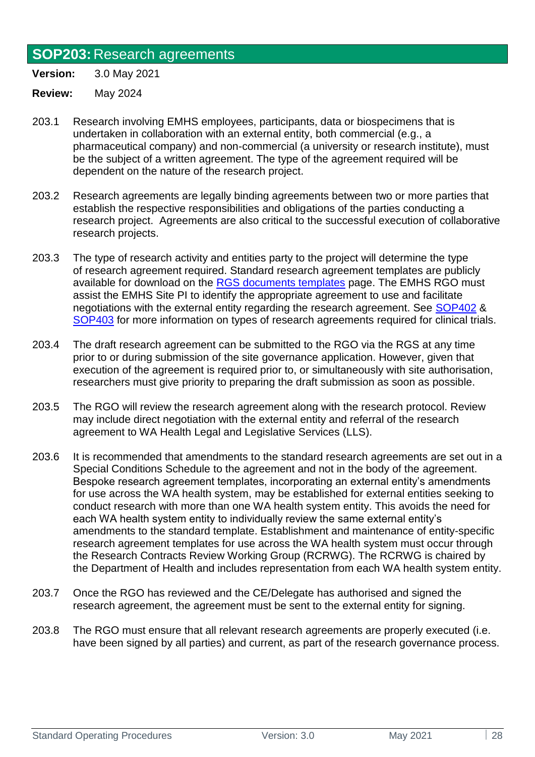### <span id="page-27-0"></span>**SOP203:** Research agreements

**Version:** 3.0 May 2021

- 203.1 Research involving EMHS employees, participants, data or biospecimens that is undertaken in collaboration with an external entity, both commercial (e.g., a pharmaceutical company) and non-commercial (a university or research institute), must be the subject of a written agreement. The type of the agreement required will be dependent on the nature of the research project.
- 203.2 Research agreements are legally binding agreements between two or more parties that establish the respective responsibilities and obligations of the parties conducting a research project. Agreements are also critical to the successful execution of collaborative research projects.
- 203.3 The type of research activity and entities party to the project will determine the type of research agreement required. Standard research agreement templates are publicly available for download on the [RGS documents templates](https://rgs.health.wa.gov.au/Pages/Document-Templates.aspx) page. The EMHS RGO must assist the EMHS Site PI to identify the appropriate agreement to use and facilitate negotiations with the external entity regarding the research agreement. See [SOP402](#page-36-0) & [SOP403](#page-37-0) for more information on types of research agreements required for clinical trials.
- 203.4 The draft research agreement can be submitted to the RGO via the RGS at any time prior to or during submission of the site governance application. However, given that execution of the agreement is required prior to, or simultaneously with site authorisation, researchers must give priority to preparing the draft submission as soon as possible.
- 203.5 The RGO will review the research agreement along with the research protocol. Review may include direct negotiation with the external entity and referral of the research agreement to WA Health Legal and Legislative Services (LLS).
- 203.6 It is recommended that amendments to the standard research agreements are set out in a Special Conditions Schedule to the agreement and not in the body of the agreement. Bespoke research agreement templates, incorporating an external entity's amendments for use across the WA health system, may be established for external entities seeking to conduct research with more than one WA health system entity. This avoids the need for each WA health system entity to individually review the same external entity's amendments to the standard template. Establishment and maintenance of entity-specific research agreement templates for use across the WA health system must occur through the Research Contracts Review Working Group (RCRWG). The RCRWG is chaired by the Department of Health and includes representation from each WA health system entity.
- 203.7 Once the RGO has reviewed and the CE/Delegate has authorised and signed the research agreement, the agreement must be sent to the external entity for signing.
- <span id="page-27-1"></span>203.8 The RGO must ensure that all relevant research agreements are properly executed (i.e. have been signed by all parties) and current, as part of the research governance process.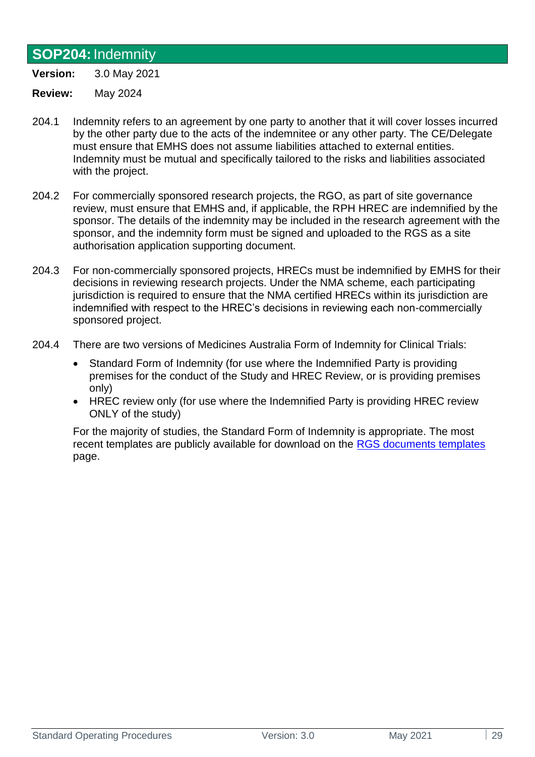### <span id="page-28-0"></span>**SOP204:**Indemnity

**Version:** 3.0 May 2021

**Review:** May 2024

- 204.1 Indemnity refers to an agreement by one party to another that it will cover losses incurred by the other party due to the acts of the indemnitee or any other party. The CE/Delegate must ensure that EMHS does not assume liabilities attached to external entities. Indemnity must be mutual and specifically tailored to the risks and liabilities associated with the project.
- 204.2 For commercially sponsored research projects, the RGO, as part of site governance review, must ensure that EMHS and, if applicable, the RPH HREC are indemnified by the sponsor. The details of the indemnity may be included in the research agreement with the sponsor, and the indemnity form must be signed and uploaded to the RGS as a site authorisation application supporting document.
- 204.3 For non-commercially sponsored projects, HRECs must be indemnified by EMHS for their decisions in reviewing research projects. Under the NMA scheme, each participating jurisdiction is required to ensure that the NMA certified HRECs within its jurisdiction are indemnified with respect to the HREC's decisions in reviewing each non-commercially sponsored project.
- 204.4 There are two versions of Medicines Australia Form of Indemnity for Clinical Trials:
	- Standard Form of Indemnity (for use where the Indemnified Party is providing premises for the conduct of the Study and HREC Review, or is providing premises only)
	- HREC review only (for use where the Indemnified Party is providing HREC review ONLY of the study)

For the majority of studies, the Standard Form of Indemnity is appropriate. The most recent templates are publicly available for download on the [RGS documents templates](https://rgs.health.wa.gov.au/Pages/Document-Templates.aspx) page.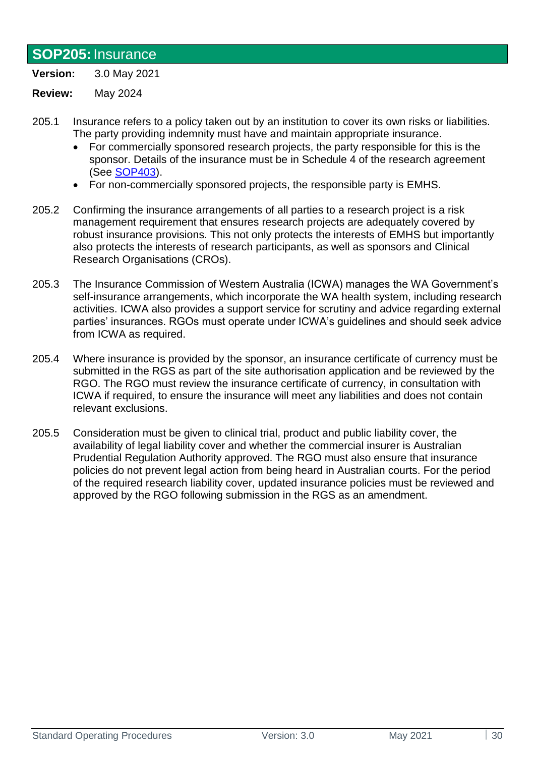#### <span id="page-29-0"></span>**SOP205:**Insurance

**Version:** 3.0 May 2021

- 205.1 Insurance refers to a policy taken out by an institution to cover its own risks or liabilities. The party providing indemnity must have and maintain appropriate insurance.
	- For commercially sponsored research projects, the party responsible for this is the sponsor. Details of the insurance must be in Schedule 4 of the research agreement (See [SOP403\)](#page-37-0).
	- For non-commercially sponsored projects, the responsible party is EMHS.
- 205.2 Confirming the insurance arrangements of all parties to a research project is a risk management requirement that ensures research projects are adequately covered by robust insurance provisions. This not only protects the interests of EMHS but importantly also protects the interests of research participants, as well as sponsors and Clinical Research Organisations (CROs).
- 205.3 The Insurance Commission of Western Australia (ICWA) manages the WA Government's self-insurance arrangements, which incorporate the WA health system, including research activities. ICWA also provides a support service for scrutiny and advice regarding external parties' insurances. RGOs must operate under ICWA's guidelines and should seek advice from ICWA as required.
- 205.4 Where insurance is provided by the sponsor, an insurance certificate of currency must be submitted in the RGS as part of the site authorisation application and be reviewed by the RGO. The RGO must review the insurance certificate of currency, in consultation with ICWA if required, to ensure the insurance will meet any liabilities and does not contain relevant exclusions.
- <span id="page-29-1"></span>205.5 Consideration must be given to clinical trial, product and public liability cover, the availability of legal liability cover and whether the commercial insurer is Australian Prudential Regulation Authority approved. The RGO must also ensure that insurance policies do not prevent legal action from being heard in Australian courts. For the period of the required research liability cover, updated insurance policies must be reviewed and approved by the RGO following submission in the RGS as an amendment.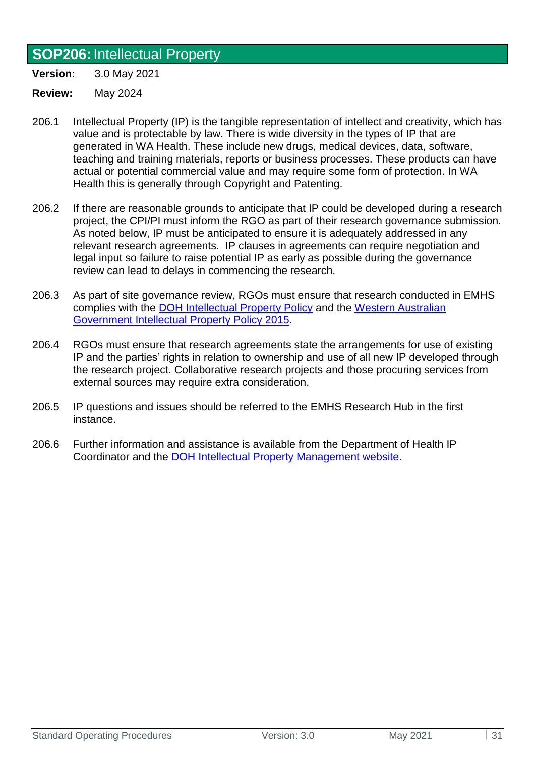## <span id="page-30-0"></span>**SOP206:**Intellectual Property

**Version:** 3.0 May 2021

- 206.1 Intellectual Property (IP) is the tangible representation of intellect and creativity, which has value and is protectable by law. There is wide diversity in the types of IP that are generated in WA Health. These include new drugs, medical devices, data, software, teaching and training materials, reports or business processes. These products can have actual or potential commercial value and may require some form of protection. In WA Health this is generally through Copyright and Patenting.
- 206.2 If there are reasonable grounds to anticipate that IP could be developed during a research project, the CPI/PI must inform the RGO as part of their research governance submission. As noted below, IP must be anticipated to ensure it is adequately addressed in any relevant research agreements. IP clauses in agreements can require negotiation and legal input so failure to raise potential IP as early as possible during the governance review can lead to delays in commencing the research.
- 206.3 As part of site governance review, RGOs must ensure that research conducted in EMHS complies with the [DOH Intellectual Property Policy](https://ww2.health.wa.gov.au/About-us/Policy-frameworks/Research/Mandatory-requirements/Intellectual-Property-Policy) and the [Western Australian](https://www.jtsi.wa.gov.au/docs/default-source/default-document-library/industry-development---key-legislation---wa-ip-policy-2015.pdf?sfvrsn=a64e6c1c_2)  [Government Intellectual Property Policy 2015.](https://www.jtsi.wa.gov.au/docs/default-source/default-document-library/industry-development---key-legislation---wa-ip-policy-2015.pdf?sfvrsn=a64e6c1c_2)
- 206.4 RGOs must ensure that research agreements state the arrangements for use of existing IP and the parties' rights in relation to ownership and use of all new IP developed through the research project. Collaborative research projects and those procuring services from external sources may require extra consideration.
- 206.5 IP questions and issues should be referred to the EMHS Research Hub in the first instance.
- 206.6 Further information and assistance is available from the Department of Health IP Coordinator and the [DOH Intellectual Property Management website.](https://ww2.health.wa.gov.au/Health-for/Researchers-and-educators/Intellectual-property)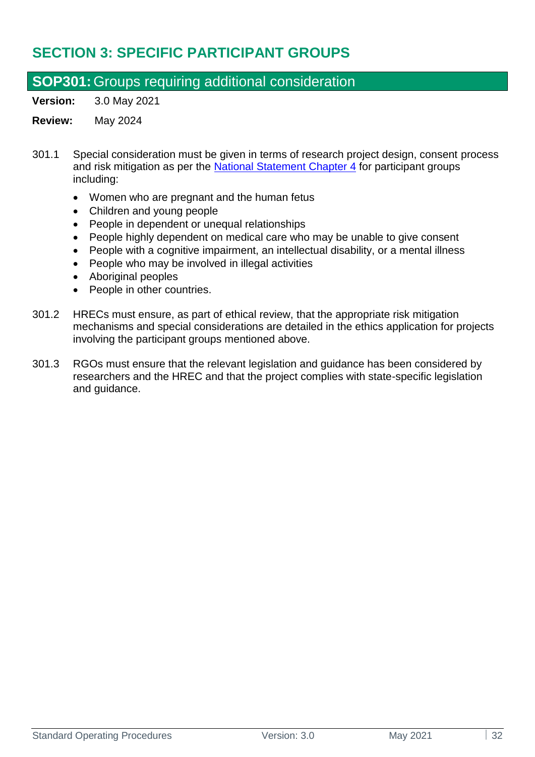## <span id="page-31-0"></span>**SECTION 3: SPECIFIC PARTICIPANT GROUPS**

### <span id="page-31-1"></span>**SOP301:**Groups requiring additional consideration

**Version:** 3.0 May 2021

- 301.1 Special consideration must be given in terms of research project design, consent process and risk mitigation as per the [National Statement](https://www.nhmrc.gov.au/about-us/publications/national-statement-ethical-conduct-human-research-2007-updated-2018#toc__1114) Chapter 4 for participant groups including:
	- Women who are pregnant and the human fetus
	- Children and young people
	- People in dependent or unequal relationships
	- People highly dependent on medical care who may be unable to give consent
	- People with a cognitive impairment, an intellectual disability, or a mental illness
	- People who may be involved in illegal activities
	- Aboriginal peoples
	- People in other countries.
- 301.2 HRECs must ensure, as part of ethical review, that the appropriate risk mitigation mechanisms and special considerations are detailed in the ethics application for projects involving the participant groups mentioned above.
- 301.3 RGOs must ensure that the relevant legislation and guidance has been considered by researchers and the HREC and that the project complies with state-specific legislation and guidance.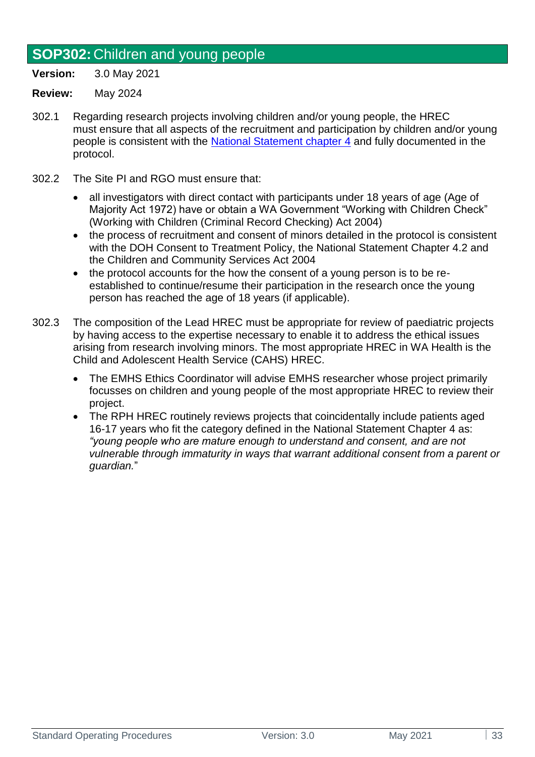## <span id="page-32-0"></span>**SOP302:** Children and young people

**Version:** 3.0 May 2021

- 302.1 Regarding research projects involving children and/or young people, the HREC must ensure that all aspects of the recruitment and participation by children and/or young people is consistent with the [National Statement chapter 4](https://www.nhmrc.gov.au/about-us/publications/national-statement-ethical-conduct-human-research-2007-updated-2018#toc__1195) and fully documented in the protocol.
- 302.2 The Site PI and RGO must ensure that:
	- all investigators with direct contact with participants under 18 years of age (Age of Majority Act 1972) have or obtain a WA Government "Working with Children Check" (Working with Children (Criminal Record Checking) Act 2004)
	- the process of recruitment and consent of minors detailed in the protocol is consistent with the DOH Consent to Treatment Policy, the National Statement Chapter 4.2 and the Children and Community Services Act 2004
	- the protocol accounts for the how the consent of a young person is to be reestablished to continue/resume their participation in the research once the young person has reached the age of 18 years (if applicable).
- 302.3 The composition of the Lead HREC must be appropriate for review of paediatric projects by having access to the expertise necessary to enable it to address the ethical issues arising from research involving minors. The most appropriate HREC in WA Health is the Child and Adolescent Health Service (CAHS) HREC.
	- The EMHS Ethics Coordinator will advise EMHS researcher whose project primarily focusses on children and young people of the most appropriate HREC to review their project.
	- The RPH HREC routinely reviews projects that coincidentally include patients aged 16-17 years who fit the category defined in the National Statement Chapter 4 as: *"young people who are mature enough to understand and consent, and are not vulnerable through immaturity in ways that warrant additional consent from a parent or guardian.*"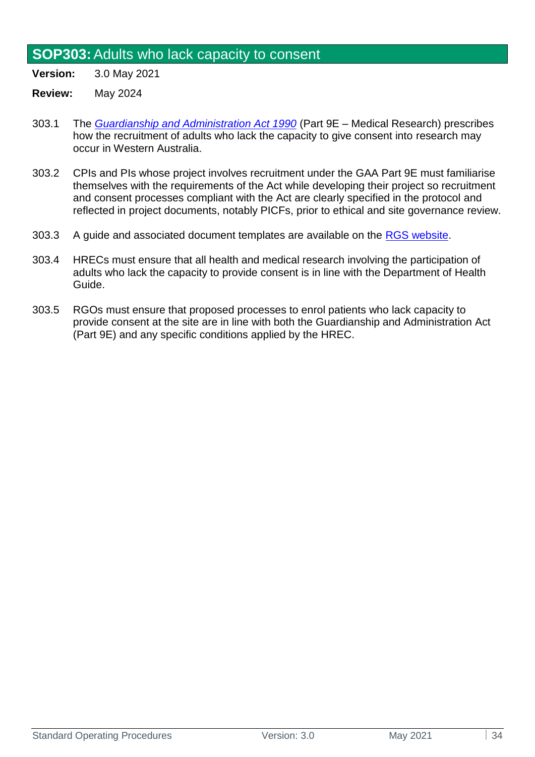#### <span id="page-33-0"></span>**SOP303:**Adults who lack capacity to consent

**Version:** 3.0 May 2021

- 303.1 The *[Guardianship and Administration Act 1990](ttps://www.legislation.wa.gov.au/legislation/prod/filestore.nsf/FileURL/mrdoc_28305.pdf/$FILE/Guardianship%20and%20Administration%20Act%201990%20-%20%5B05-j0-02%5D.pdf?OpenElement)* (Part 9E Medical Research) prescribes how the recruitment of adults who lack the capacity to give consent into research may occur in Western Australia.
- 303.2 CPIs and PIs whose project involves recruitment under the GAA Part 9E must familiarise themselves with the requirements of the Act while developing their project so recruitment and consent processes compliant with the Act are clearly specified in the protocol and reflected in project documents, notably PICFs, prior to ethical and site governance review.
- 303.3 A guide and associated document templates are available on the [RGS website.](https://rgs.health.wa.gov.au/Pages/Document-Templates.aspx)
- 303.4 HRECs must ensure that all health and medical research involving the participation of adults who lack the capacity to provide consent is in line with the Department of Health Guide.
- 303.5 RGOs must ensure that proposed processes to enrol patients who lack capacity to provide consent at the site are in line with both the Guardianship and Administration Act (Part 9E) and any specific conditions applied by the HREC.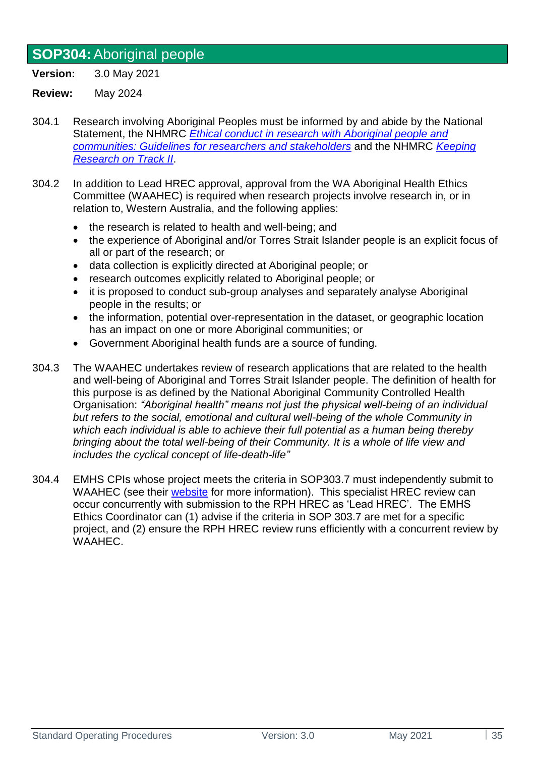## <span id="page-34-0"></span>**SOP304:**Aboriginal people

**Version:** 3.0 May 2021

- 304.1 Research involving Aboriginal Peoples must be informed by and abide by the National Statement, the NHMRC *[Ethical conduct in research with Aboriginal people and](https://www.nhmrc.gov.au/about-us/resources/ethical-conduct-research-aboriginal-and-torres-strait-islander-peoples-and-communities)  [communities: Guidelines for researchers and stakeholders](https://www.nhmrc.gov.au/about-us/resources/ethical-conduct-research-aboriginal-and-torres-strait-islander-peoples-and-communities)* and the NHMRC *[Keeping](https://www.nhmrc.gov.au/about-us/resources/keeping-research-track-ii)  [Research on Track II](https://www.nhmrc.gov.au/about-us/resources/keeping-research-track-ii)*.
- 304.2 In addition to Lead HREC approval, approval from the WA Aboriginal Health Ethics Committee (WAAHEC) is required when research projects involve research in, or in relation to, Western Australia, and the following applies:
	- the research is related to health and well-being; and
	- the experience of Aboriginal and/or Torres Strait Islander people is an explicit focus of all or part of the research; or
	- data collection is explicitly directed at Aboriginal people; or
	- research outcomes explicitly related to Aboriginal people; or
	- it is proposed to conduct sub-group analyses and separately analyse Aboriginal people in the results; or
	- the information, potential over-representation in the dataset, or geographic location has an impact on one or more Aboriginal communities; or
	- Government Aboriginal health funds are a source of funding.
- 304.3 The WAAHEC undertakes review of research applications that are related to the health and well-being of Aboriginal and Torres Strait Islander people. The definition of health for this purpose is as defined by the National Aboriginal Community Controlled Health Organisation: *"Aboriginal health" means not just the physical well-being of an individual but refers to the social, emotional and cultural well-being of the whole Community in which each individual is able to achieve their full potential as a human being thereby bringing about the total well-being of their Community. It is a whole of life view and includes the cyclical concept of life-death-life"*
- 304.4 EMHS CPIs whose project meets the criteria in SOP303.7 must independently submit to WAAHEC (see their [website](https://www.ahcwa.org.au/ethics) for more information). This specialist HREC review can occur concurrently with submission to the RPH HREC as 'Lead HREC'. The EMHS Ethics Coordinator can (1) advise if the criteria in SOP 303.7 are met for a specific project, and (2) ensure the RPH HREC review runs efficiently with a concurrent review by WAAHEC.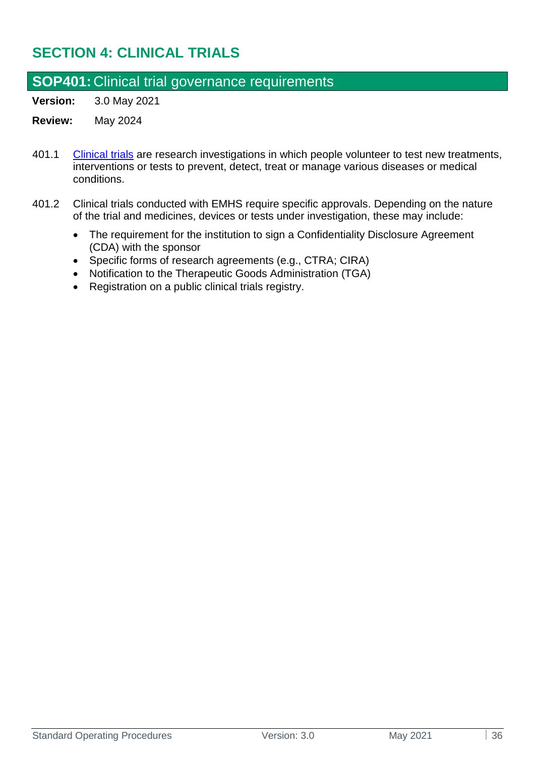## <span id="page-35-0"></span>**SECTION 4: CLINICAL TRIALS**

### <span id="page-35-1"></span>**SOP401:** Clinical trial governance requirements

**Version:** 3.0 May 2021

- 401.1 [Clinical trials](https://www.australianclinicaltrials.gov.au/what-clinical-trial) are research investigations in which people volunteer to test new treatments, interventions or tests to prevent, detect, treat or manage various diseases or medical conditions.
- 401.2 Clinical trials conducted with EMHS require specific approvals. Depending on the nature of the trial and medicines, devices or tests under investigation, these may include:
	- The requirement for the institution to sign a Confidentiality Disclosure Agreement (CDA) with the sponsor
	- Specific forms of research agreements (e.g., CTRA; CIRA)
	- Notification to the Therapeutic Goods Administration (TGA)
	- Registration on a public clinical trials registry.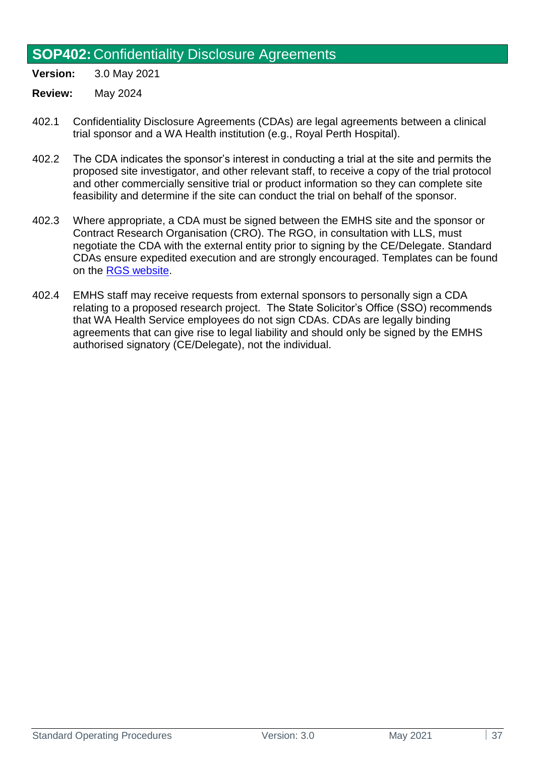### **SOP402:** Confidentiality Disclosure Agreements

**Version:** 3.0 May 2021

- 402.1 Confidentiality Disclosure Agreements (CDAs) are legal agreements between a clinical trial sponsor and a WA Health institution (e.g., Royal Perth Hospital).
- 402.2 The CDA indicates the sponsor's interest in conducting a trial at the site and permits the proposed site investigator, and other relevant staff, to receive a copy of the trial protocol and other commercially sensitive trial or product information so they can complete site feasibility and determine if the site can conduct the trial on behalf of the sponsor.
- 402.3 Where appropriate, a CDA must be signed between the EMHS site and the sponsor or Contract Research Organisation (CRO). The RGO, in consultation with LLS, must negotiate the CDA with the external entity prior to signing by the CE/Delegate. Standard CDAs ensure expedited execution and are strongly encouraged. Templates can be found on the RGS [website.](https://rgs.health.wa.gov.au/Pages/Document-Templates.aspx)
- 402.4 EMHS staff may receive requests from external sponsors to personally sign a CDA relating to a proposed research project. The State Solicitor's Office (SSO) recommends that WA Health Service employees do not sign CDAs. CDAs are legally binding agreements that can give rise to legal liability and should only be signed by the EMHS authorised signatory (CE/Delegate), not the individual.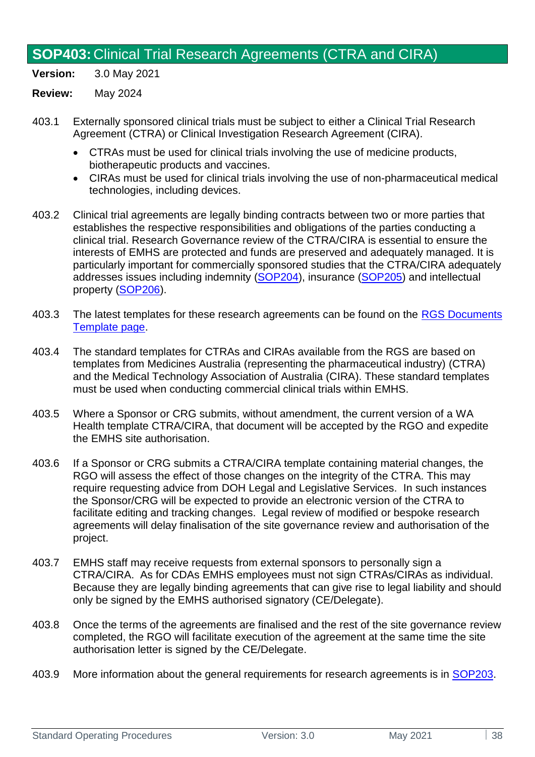## **SOP403:** Clinical Trial Research Agreements (CTRA and CIRA)

**Version:** 3.0 May 2021

- 403.1 Externally sponsored clinical trials must be subject to either a Clinical Trial Research Agreement (CTRA) or Clinical Investigation Research Agreement (CIRA).
	- CTRAs must be used for clinical trials involving the use of medicine products, biotherapeutic products and vaccines.
	- CIRAs must be used for clinical trials involving the use of non-pharmaceutical medical technologies, including devices.
- 403.2 Clinical trial agreements are legally binding contracts between two or more parties that establishes the respective responsibilities and obligations of the parties conducting a clinical trial. Research Governance review of the CTRA/CIRA is essential to ensure the interests of EMHS are protected and funds are preserved and adequately managed. It is particularly important for commercially sponsored studies that the CTRA/CIRA adequately addresses issues including indemnity [\(SOP204\)](#page-28-0), insurance [\(SOP205\)](#page-29-0) and intellectual property [\(SOP206\)](#page-30-0).
- 403.3 The latest templates for these research agreements can be found on the RGS Documents [Template page.](https://rgs.health.wa.gov.au/Pages/Document-Templates.aspx)
- 403.4 The standard templates for CTRAs and CIRAs available from the RGS are based on templates from Medicines Australia (representing the pharmaceutical industry) (CTRA) and the Medical Technology Association of Australia (CIRA). These standard templates must be used when conducting commercial clinical trials within EMHS.
- 403.5 Where a Sponsor or CRG submits, without amendment, the current version of a WA Health template CTRA/CIRA, that document will be accepted by the RGO and expedite the EMHS site authorisation.
- 403.6 If a Sponsor or CRG submits a CTRA/CIRA template containing material changes, the RGO will assess the effect of those changes on the integrity of the CTRA. This may require requesting advice from DOH Legal and Legislative Services. In such instances the Sponsor/CRG will be expected to provide an electronic version of the CTRA to facilitate editing and tracking changes. Legal review of modified or bespoke research agreements will delay finalisation of the site governance review and authorisation of the project.
- 403.7 EMHS staff may receive requests from external sponsors to personally sign a CTRA/CIRA. As for CDAs EMHS employees must not sign CTRAs/CIRAs as individual. Because they are legally binding agreements that can give rise to legal liability and should only be signed by the EMHS authorised signatory (CE/Delegate).
- 403.8 Once the terms of the agreements are finalised and the rest of the site governance review completed, the RGO will facilitate execution of the agreement at the same time the site authorisation letter is signed by the CE/Delegate.
- 403.9 More information about the general requirements for research agreements is in [SOP203.](#page-26-0)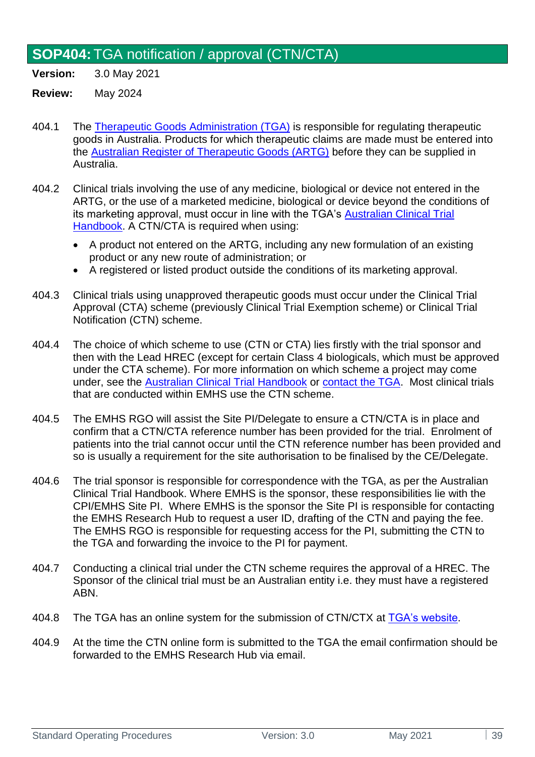# **SOP404:**TGA notification / approval (CTN/CTA)

**Version:** 3.0 May 2021

- 404.1 The [Therapeutic Goods Administration \(TGA\)](https://www.tga.gov.au/) is responsible for regulating therapeutic goods in Australia. Products for which therapeutic claims are made must be entered into the [Australian Register of Therapeutic Goods \(ARTG\)](https://www.tga.gov.au/australian-register-therapeutic-goods) before they can be supplied in Australia.
- 404.2 Clinical trials involving the use of any medicine, biological or device not entered in the ARTG, or the use of a marketed medicine, biological or device beyond the conditions of its marketing approval, must occur in line with the TGA's [Australian Clinical Trial](https://www.tga.gov.au/resource/australian-clinical-trial-handbook)  [Handbook.](https://www.tga.gov.au/resource/australian-clinical-trial-handbook) A CTN/CTA is required when using:
	- A product not entered on the [ARTG,](https://www.ebs.tga.gov.au/) including any new formulation of an existing product or any new route of administration; or
	- A registered or listed product outside the conditions of its marketing approval.
- 404.3 Clinical trials using unapproved therapeutic goods must occur under the Clinical Trial Approval (CTA) scheme (previously Clinical Trial Exemption scheme) or Clinical Trial Notification (CTN) scheme.
- 404.4 The choice of which scheme to use (CTN or CTA) lies firstly with the trial sponsor and then with the Lead HREC (except for certain Class 4 biologicals, which must be approved under the CTA scheme). For more information on which scheme a project may come under, see the [Australian Clinical Trial Handbook](https://www.tga.gov.au/resource/australian-clinical-trial-handbook) or [contact the TGA.](https://www.tga.gov.au/contact-tga) Most clinical trials that are conducted within EMHS use the CTN scheme.
- 404.5 The EMHS RGO will assist the Site PI/Delegate to ensure a CTN/CTA is in place and confirm that a CTN/CTA reference number has been provided for the trial. Enrolment of patients into the trial cannot occur until the CTN reference number has been provided and so is usually a requirement for the site authorisation to be finalised by the CE/Delegate.
- 404.6 The trial sponsor is responsible for correspondence with the TGA, as per the Australian Clinical Trial Handbook. Where EMHS is the sponsor, these responsibilities lie with the CPI/EMHS Site PI. Where EMHS is the sponsor the Site PI is responsible for contacting the EMHS Research Hub to request a user ID, drafting of the CTN and paying the fee. The EMHS RGO is responsible for requesting access for the PI, submitting the CTN to the TGA and forwarding the invoice to the PI for payment.
- 404.7 Conducting a clinical trial under the CTN scheme requires the approval of a HREC. The Sponsor of the clinical trial must be an Australian entity i.e. they must have a registered ABN.
- 404.8 The TGA has an online system for the submission of CTN/CTX at [TGA's website](https://www.tga.gov.au/form/ctn-scheme-forms).
- 404.9 At the time the CTN online form is submitted to the TGA the email confirmation should be forwarded to the EMHS Research Hub via email.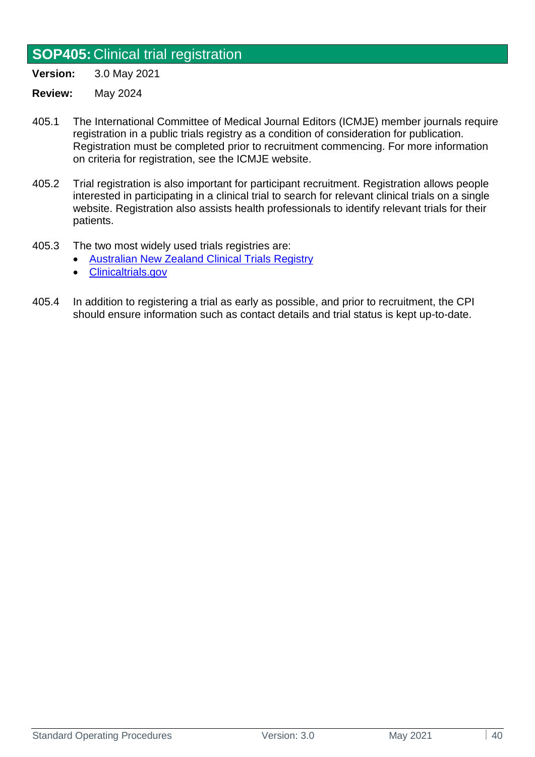# **SOP405:** Clinical trial registration

**Version:** 3.0 May 2021

- 405.1 The International Committee of Medical Journal Editors (ICMJE) member journals require registration in a public trials registry as a condition of consideration for publication. Registration must be completed prior to recruitment commencing. For more information on criteria for registration, see the ICMJE website.
- 405.2 Trial registration is also important for participant recruitment. Registration allows people interested in participating in a clinical trial to search for relevant clinical trials on a single website. Registration also assists health professionals to identify relevant trials for their patients.
- 405.3 The two most widely used trials registries are:
	- [Australian New Zealand Clinical Trials Registry](http://www.anzctr.org.au/Default.aspx)
	- [Clinicaltrials.gov](http://www.clinicaltrials.gov/)
- 405.4 In addition to registering a trial as early as possible, and prior to recruitment, the CPI should ensure information such as contact details and trial status is kept up-to-date.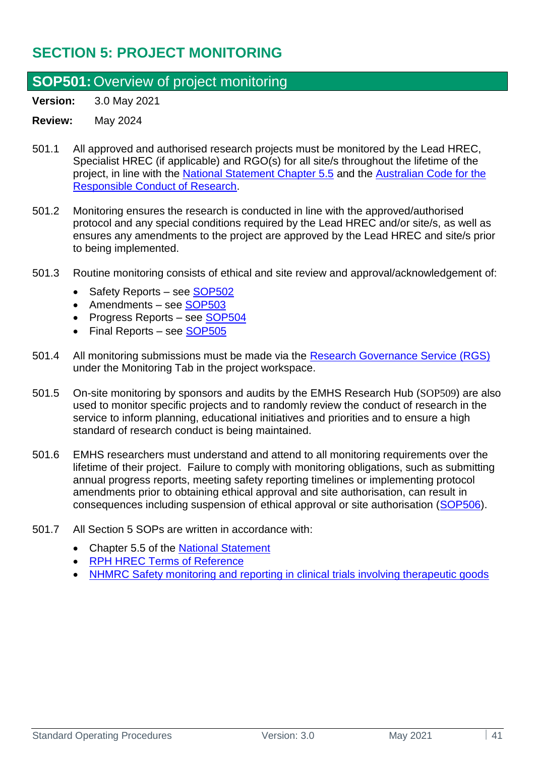# **SECTION 5: PROJECT MONITORING**

## <span id="page-40-0"></span>**SOP501:**Overview of project monitoring

**Version:** 3.0 May 2021

- 501.1 All approved and authorised research projects must be monitored by the Lead HREC, Specialist HREC (if applicable) and RGO(s) for all site/s throughout the lifetime of the project, in line with the [National Statement Chapter 5.5](https://www.nhmrc.gov.au/about-us/publications/national-statement-ethical-conduct-human-research-2007-updated-2018#toc__1826) and the [Australian Code for the](https://www.nhmrc.gov.au/about-us/publications/australian-code-responsible-conduct-research-2018)  [Responsible Conduct of Research.](https://www.nhmrc.gov.au/about-us/publications/australian-code-responsible-conduct-research-2018)
- 501.2 Monitoring ensures the research is conducted in line with the approved/authorised protocol and any special conditions required by the Lead HREC and/or site/s, as well as ensures any amendments to the project are approved by the Lead HREC and site/s prior to being implemented.
- 501.3 Routine monitoring consists of ethical and site review and approval/acknowledgement of:
	- Safety Reports see [SOP502](#page-41-0)
	- Amendments see [SOP503](#page-43-0)
	- Progress Reports see [SOP504](#page-44-0)
	- Final Reports see [SOP505](#page-46-0)
- 501.4 All monitoring submissions must be made via the [Research Governance Service \(RGS\)](https://rgs.health.wa.gov.au/Pages/Home.aspx) under the Monitoring Tab in the project workspace.
- 501.5 On-site monitoring by sponsors and audits by the EMHS Research Hub ([SOP509](#page-50-0)) are also used to monitor specific projects and to randomly review the conduct of research in the service to inform planning, educational initiatives and priorities and to ensure a high standard of research conduct is being maintained.
- 501.6 EMHS researchers must understand and attend to all monitoring requirements over the lifetime of their project. Failure to comply with monitoring obligations, such as submitting annual progress reports, meeting safety reporting timelines or implementing protocol amendments prior to obtaining ethical approval and site authorisation, can result in consequences including suspension of ethical approval or site authorisation [\(SOP506\)](#page-48-0).
- 501.7 All Section 5 SOPs are written in accordance with:
	- Chapter 5.5 of the [National Statement](http://www.nhmrc.gov.au/guidelines/publications/e72)
	- [RPH HREC Terms of Reference](https://emhs.health.wa.gov.au/-/media/HSPs/EMHS/Documents/Research/hrec-terms-of-reference.pdf)
	- [NHMRC Safety monitoring and reporting in clinical trials involving therapeutic goods](https://www.nhmrc.gov.au/about-us/publications/safety-monitoring-and-reporting-clinical-trials-involving-therapeutic-goods)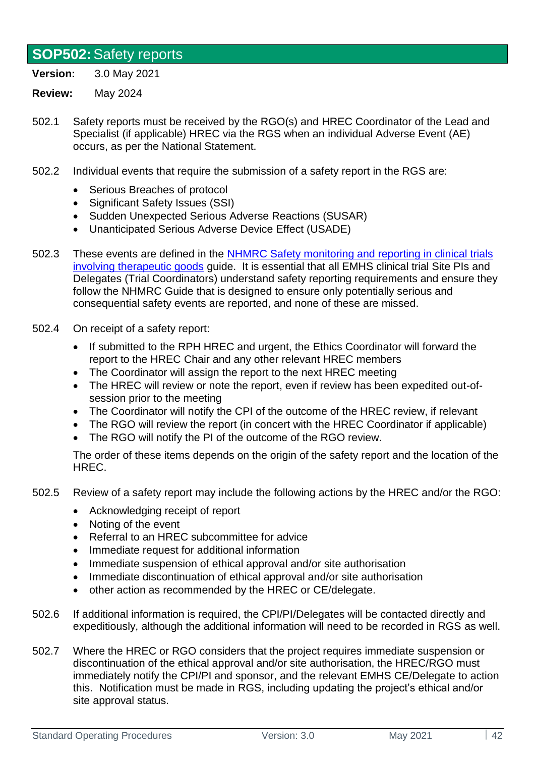### <span id="page-41-0"></span>**SOP502:**Safety reports

**Version:** 3.0 May 2021

#### **Review:** May 2024

- 502.1 Safety reports must be received by the RGO(s) and HREC Coordinator of the Lead and Specialist (if applicable) HREC via the RGS when an individual Adverse Event (AE) occurs, as per the National Statement.
- 502.2 Individual events that require the submission of a safety report in the RGS are:
	- Serious Breaches of protocol
	- Significant Safety Issues (SSI)
	- Sudden Unexpected Serious Adverse Reactions (SUSAR)
	- Unanticipated Serious Adverse Device Effect (USADE)
- 502.3 These events are defined in the [NHMRC Safety monitoring and reporting in clinical trials](https://www.nhmrc.gov.au/about-us/publications/safety-monitoring-and-reporting-clinical-trials-involving-therapeutic-goods)  [involving therapeutic goods](https://www.nhmrc.gov.au/about-us/publications/safety-monitoring-and-reporting-clinical-trials-involving-therapeutic-goods) guide. It is essential that all EMHS clinical trial Site PIs and Delegates (Trial Coordinators) understand safety reporting requirements and ensure they follow the NHMRC Guide that is designed to ensure only potentially serious and consequential safety events are reported, and none of these are missed.
- 502.4 On receipt of a safety report:
	- If submitted to the RPH HREC and urgent, the Ethics Coordinator will forward the report to the HREC Chair and any other relevant HREC members
	- The Coordinator will assign the report to the next HREC meeting
	- The HREC will review or note the report, even if review has been expedited out-ofsession prior to the meeting
	- The Coordinator will notify the CPI of the outcome of the HREC review, if relevant
	- The RGO will review the report (in concert with the HREC Coordinator if applicable)
	- The RGO will notify the PI of the outcome of the RGO review.

The order of these items depends on the origin of the safety report and the location of the HREC.

- 502.5 Review of a safety report may include the following actions by the HREC and/or the RGO:
	- Acknowledging receipt of report
	- Noting of the event
	- Referral to an HREC subcommittee for advice
	- Immediate request for additional information
	- Immediate suspension of ethical approval and/or site authorisation
	- Immediate discontinuation of ethical approval and/or site authorisation
	- other action as recommended by the HREC or CE/delegate.
- 502.6 If additional information is required, the CPI/PI/Delegates will be contacted directly and expeditiously, although the additional information will need to be recorded in RGS as well.
- 502.7 Where the HREC or RGO considers that the project requires immediate suspension or discontinuation of the ethical approval and/or site authorisation, the HREC/RGO must immediately notify the CPI/PI and sponsor, and the relevant EMHS CE/Delegate to action this. Notification must be made in RGS, including updating the project's ethical and/or site approval status.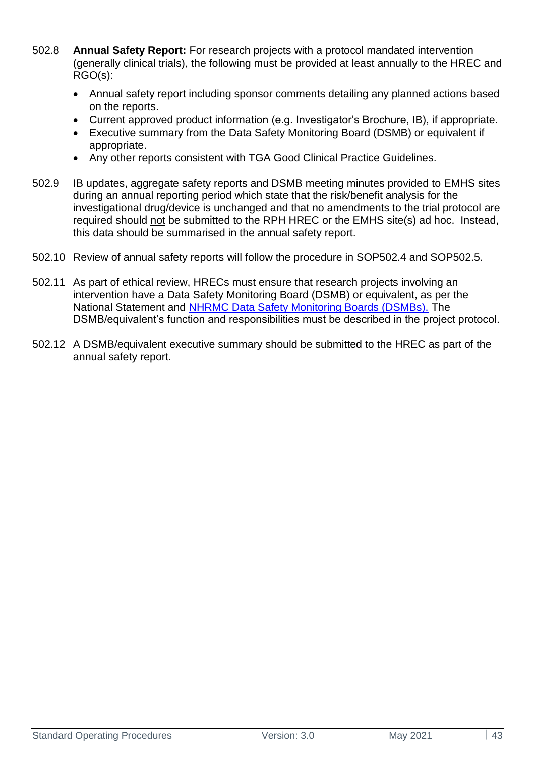- 502.8 **Annual Safety Report:** For research projects with a protocol mandated intervention (generally clinical trials), the following must be provided at least annually to the HREC and RGO(s):
	- Annual safety report including sponsor comments detailing any planned actions based on the reports.
	- Current approved product information (e.g. Investigator's Brochure, IB), if appropriate.
	- Executive summary from the Data Safety Monitoring Board (DSMB) or equivalent if appropriate.
	- Any other reports consistent with TGA Good Clinical Practice Guidelines.
- 502.9 IB updates, aggregate safety reports and DSMB meeting minutes provided to EMHS sites during an annual reporting period which state that the risk/benefit analysis for the investigational drug/device is unchanged and that no amendments to the trial protocol are required should not be submitted to the RPH HREC or the EMHS site(s) ad hoc. Instead, this data should be summarised in the annual safety report.
- 502.10 Review of annual safety reports will follow the procedure in SOP502.4 and SOP502.5.
- 502.11 As part of ethical review, HRECs must ensure that research projects involving an intervention have a Data Safety Monitoring Board (DSMB) or equivalent, as per the National Statement and [NHRMC Data Safety Monitoring Boards \(DSMBs\).](https://www.australianclinicaltrials.gov.au/sites/default/files/content/For%20researchers/Data%20Safety%20Monitoring%20Boards_1.pdf) The DSMB/equivalent's function and responsibilities must be described in the project protocol.
- 502.12 A DSMB/equivalent executive summary should be submitted to the HREC as part of the annual safety report.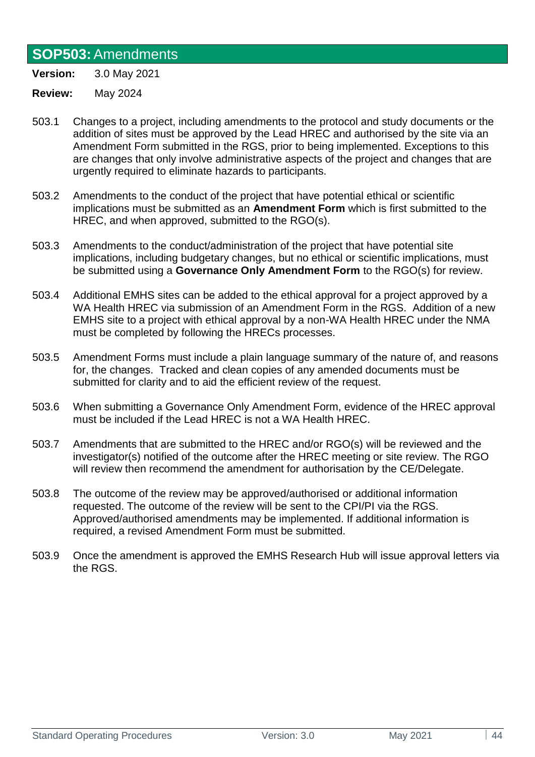### <span id="page-43-0"></span>**SOP503:**Amendments

**Version:** 3.0 May 2021

- 503.1 Changes to a project, including amendments to the protocol and study documents or the addition of sites must be approved by the Lead HREC and authorised by the site via an Amendment Form submitted in the RGS, prior to being implemented. Exceptions to this are changes that only involve administrative aspects of the project and changes that are urgently required to eliminate hazards to participants.
- 503.2 Amendments to the conduct of the project that have potential ethical or scientific implications must be submitted as an **Amendment Form** which is first submitted to the HREC, and when approved, submitted to the RGO(s).
- 503.3 Amendments to the conduct/administration of the project that have potential site implications, including budgetary changes, but no ethical or scientific implications, must be submitted using a **Governance Only Amendment Form** to the RGO(s) for review.
- 503.4 Additional EMHS sites can be added to the ethical approval for a project approved by a WA Health HREC via submission of an Amendment Form in the RGS. Addition of a new EMHS site to a project with ethical approval by a non-WA Health HREC under the NMA must be completed by following the HRECs processes.
- 503.5 Amendment Forms must include a plain language summary of the nature of, and reasons for, the changes. Tracked and clean copies of any amended documents must be submitted for clarity and to aid the efficient review of the request.
- 503.6 When submitting a Governance Only Amendment Form, evidence of the HREC approval must be included if the Lead HREC is not a WA Health HREC.
- 503.7 Amendments that are submitted to the HREC and/or RGO(s) will be reviewed and the investigator(s) notified of the outcome after the HREC meeting or site review. The RGO will review then recommend the amendment for authorisation by the CE/Delegate.
- 503.8 The outcome of the review may be approved/authorised or additional information requested. The outcome of the review will be sent to the CPI/PI via the RGS. Approved/authorised amendments may be implemented. If additional information is required, a revised Amendment Form must be submitted.
- 503.9 Once the amendment is approved the EMHS Research Hub will issue approval letters via the RGS.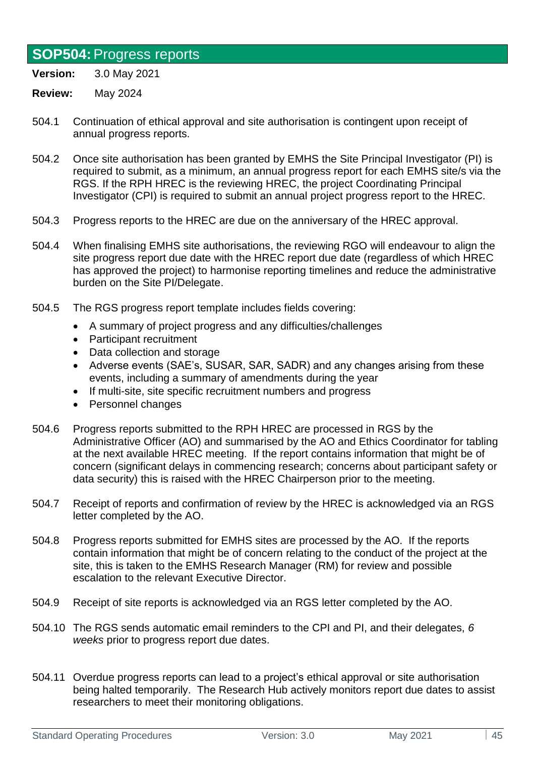# <span id="page-44-0"></span>**SOP504:**Progress reports

**Version:** 3.0 May 2021

- 504.1 Continuation of ethical approval and site authorisation is contingent upon receipt of annual progress reports.
- 504.2 Once site authorisation has been granted by EMHS the Site Principal Investigator (PI) is required to submit, as a minimum, an annual progress report for each EMHS site/s via the RGS. If the RPH HREC is the reviewing HREC, the project Coordinating Principal Investigator (CPI) is required to submit an annual project progress report to the HREC.
- 504.3 Progress reports to the HREC are due on the anniversary of the HREC approval.
- 504.4 When finalising EMHS site authorisations, the reviewing RGO will endeavour to align the site progress report due date with the HREC report due date (regardless of which HREC has approved the project) to harmonise reporting timelines and reduce the administrative burden on the Site PI/Delegate.
- 504.5 The RGS progress report template includes fields covering:
	- A summary of project progress and any difficulties/challenges
	- Participant recruitment
	- Data collection and storage
	- Adverse events (SAE's, SUSAR, SAR, SADR) and any changes arising from these events, including a summary of amendments during the year
	- If multi-site, site specific recruitment numbers and progress
	- Personnel changes
- 504.6 Progress reports submitted to the RPH HREC are processed in RGS by the Administrative Officer (AO) and summarised by the AO and Ethics Coordinator for tabling at the next available HREC meeting. If the report contains information that might be of concern (significant delays in commencing research; concerns about participant safety or data security) this is raised with the HREC Chairperson prior to the meeting.
- 504.7 Receipt of reports and confirmation of review by the HREC is acknowledged via an RGS letter completed by the AO.
- 504.8 Progress reports submitted for EMHS sites are processed by the AO. If the reports contain information that might be of concern relating to the conduct of the project at the site, this is taken to the EMHS Research Manager (RM) for review and possible escalation to the relevant Executive Director.
- 504.9 Receipt of site reports is acknowledged via an RGS letter completed by the AO.
- 504.10 The RGS sends automatic email reminders to the CPI and PI, and their delegates, *6 weeks* prior to progress report due dates.
- 504.11 Overdue progress reports can lead to a project's ethical approval or site authorisation being halted temporarily. The Research Hub actively monitors report due dates to assist researchers to meet their monitoring obligations.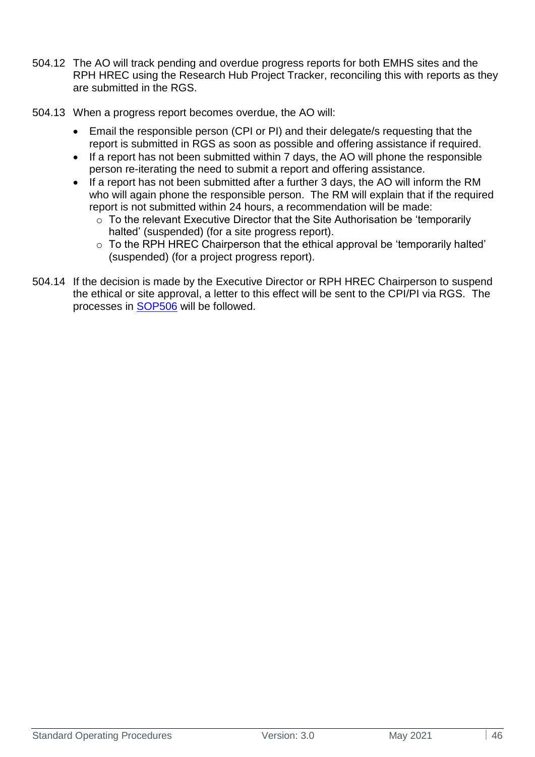- 504.12 The AO will track pending and overdue progress reports for both EMHS sites and the RPH HREC using the Research Hub Project Tracker, reconciling this with reports as they are submitted in the RGS.
- 504.13 When a progress report becomes overdue, the AO will:
	- Email the responsible person (CPI or PI) and their delegate/s requesting that the report is submitted in RGS as soon as possible and offering assistance if required.
	- If a report has not been submitted within 7 days, the AO will phone the responsible person re-iterating the need to submit a report and offering assistance.
	- If a report has not been submitted after a further 3 days, the AO will inform the RM who will again phone the responsible person. The RM will explain that if the required report is not submitted within 24 hours, a recommendation will be made:
		- $\frac{1}{2}$  To the relevant Executive Director that the Site Authorisation be 'temporarily halted' (suspended) (for a site progress report).
		- o To the RPH HREC Chairperson that the ethical approval be 'temporarily halted' (suspended) (for a project progress report).
- 504.14 If the decision is made by the Executive Director or RPH HREC Chairperson to suspend the ethical or site approval, a letter to this effect will be sent to the CPI/PI via RGS. The processes in [SOP506](#page-48-0) will be followed.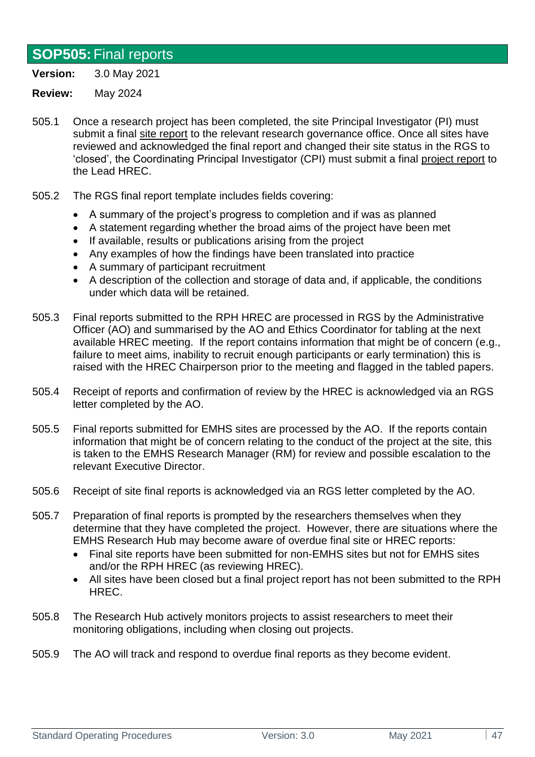## <span id="page-46-0"></span>**SOP505:**Final reports

**Version:** 3.0 May 2021

- 505.1 Once a research project has been completed, the site Principal Investigator (PI) must submit a final site report to the relevant research governance office. Once all sites have reviewed and acknowledged the final report and changed their site status in the RGS to 'closed', the Coordinating Principal Investigator (CPI) must submit a final project report to the Lead HREC.
- 505.2 The RGS final report template includes fields covering:
	- A summary of the project's progress to completion and if was as planned
	- A statement regarding whether the broad aims of the project have been met
	- If available, results or publications arising from the project
	- Any examples of how the findings have been translated into practice
	- A summary of participant recruitment
	- A description of the collection and storage of data and, if applicable, the conditions under which data will be retained.
- 505.3 Final reports submitted to the RPH HREC are processed in RGS by the Administrative Officer (AO) and summarised by the AO and Ethics Coordinator for tabling at the next available HREC meeting. If the report contains information that might be of concern (e.g., failure to meet aims, inability to recruit enough participants or early termination) this is raised with the HREC Chairperson prior to the meeting and flagged in the tabled papers.
- 505.4 Receipt of reports and confirmation of review by the HREC is acknowledged via an RGS letter completed by the AO.
- 505.5 Final reports submitted for EMHS sites are processed by the AO. If the reports contain information that might be of concern relating to the conduct of the project at the site, this is taken to the EMHS Research Manager (RM) for review and possible escalation to the relevant Executive Director.
- 505.6 Receipt of site final reports is acknowledged via an RGS letter completed by the AO.
- 505.7 Preparation of final reports is prompted by the researchers themselves when they determine that they have completed the project. However, there are situations where the EMHS Research Hub may become aware of overdue final site or HREC reports:
	- Final site reports have been submitted for non-EMHS sites but not for EMHS sites and/or the RPH HREC (as reviewing HREC).
	- All sites have been closed but a final project report has not been submitted to the RPH HREC.
- 505.8 The Research Hub actively monitors projects to assist researchers to meet their monitoring obligations, including when closing out projects.
- 505.9 The AO will track and respond to overdue final reports as they become evident.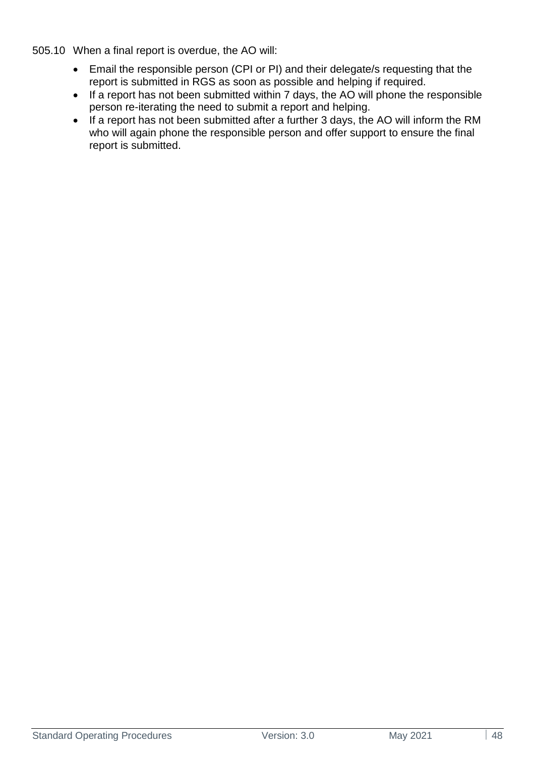505.10 When a final report is overdue, the AO will:

- Email the responsible person (CPI or PI) and their delegate/s requesting that the report is submitted in RGS as soon as possible and helping if required.
- If a report has not been submitted within 7 days, the AO will phone the responsible person re-iterating the need to submit a report and helping.
- If a report has not been submitted after a further 3 days, the AO will inform the RM who will again phone the responsible person and offer support to ensure the final report is submitted.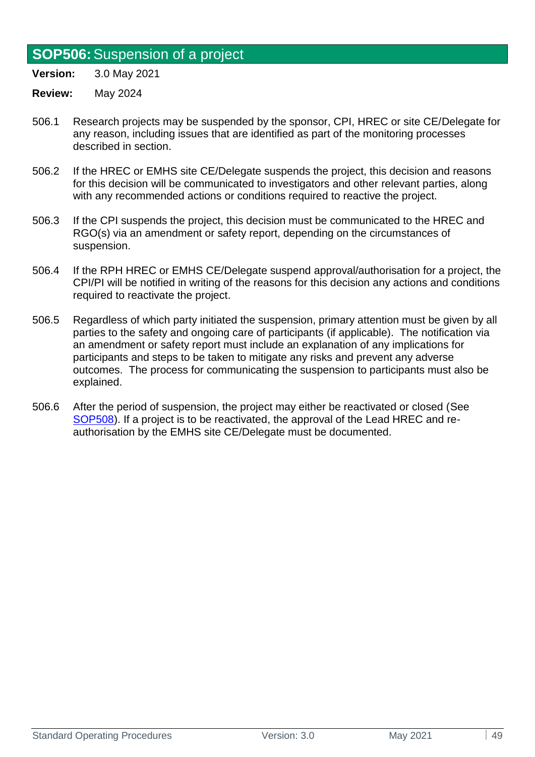### <span id="page-48-0"></span>**SOP506:**Suspension of a project

**Version:** 3.0 May 2021

- 506.1 Research projects may be suspended by the sponsor, CPI, HREC or site CE/Delegate for any reason, including issues that are identified as part of the monitoring processes described in section.
- 506.2 If the HREC or EMHS site CE/Delegate suspends the project, this decision and reasons for this decision will be communicated to investigators and other relevant parties, along with any recommended actions or conditions required to reactive the project.
- 506.3 If the CPI suspends the project, this decision must be communicated to the HREC and RGO(s) via an amendment or safety report, depending on the circumstances of suspension.
- 506.4 If the RPH HREC or EMHS CE/Delegate suspend approval/authorisation for a project, the CPI/PI will be notified in writing of the reasons for this decision any actions and conditions required to reactivate the project.
- 506.5 Regardless of which party initiated the suspension, primary attention must be given by all parties to the safety and ongoing care of participants (if applicable). The notification via an amendment or safety report must include an explanation of any implications for participants and steps to be taken to mitigate any risks and prevent any adverse outcomes. The process for communicating the suspension to participants must also be explained.
- 506.6 After the period of suspension, the project may either be reactivated or closed (See [SOP508\)](#page-50-1). If a project is to be reactivated, the approval of the Lead HREC and reauthorisation by the EMHS site CE/Delegate must be documented.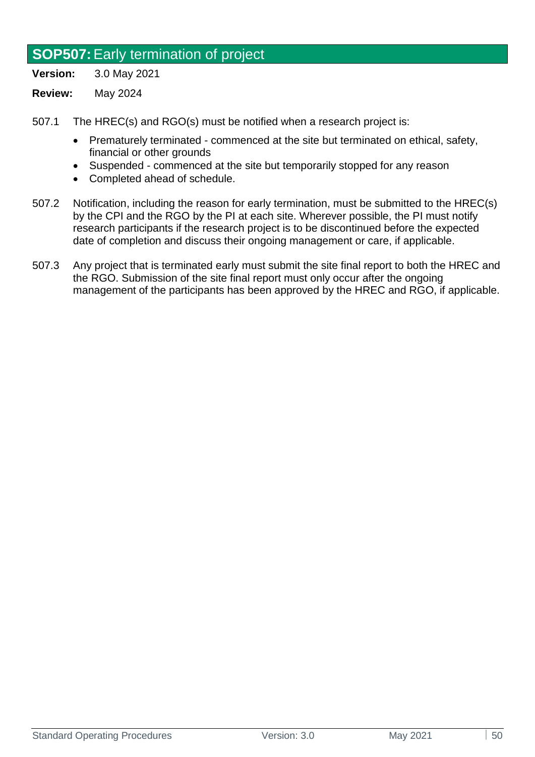## **SOP507:**Early termination of project

**Version:** 3.0 May 2021

- **Review:** May 2024
- 507.1 The HREC(s) and RGO(s) must be notified when a research project is:
	- Prematurely terminated commenced at the site but terminated on ethical, safety, financial or other grounds
	- Suspended commenced at the site but temporarily stopped for any reason
	- Completed ahead of schedule.
- 507.2 Notification, including the reason for early termination, must be submitted to the HREC(s) by the CPI and the RGO by the PI at each site. Wherever possible, the PI must notify research participants if the research project is to be discontinued before the expected date of completion and discuss their ongoing management or care, if applicable.
- 507.3 Any project that is terminated early must submit the site final report to both the HREC and the RGO. Submission of the site final report must only occur after the ongoing management of the participants has been approved by the HREC and RGO, if applicable.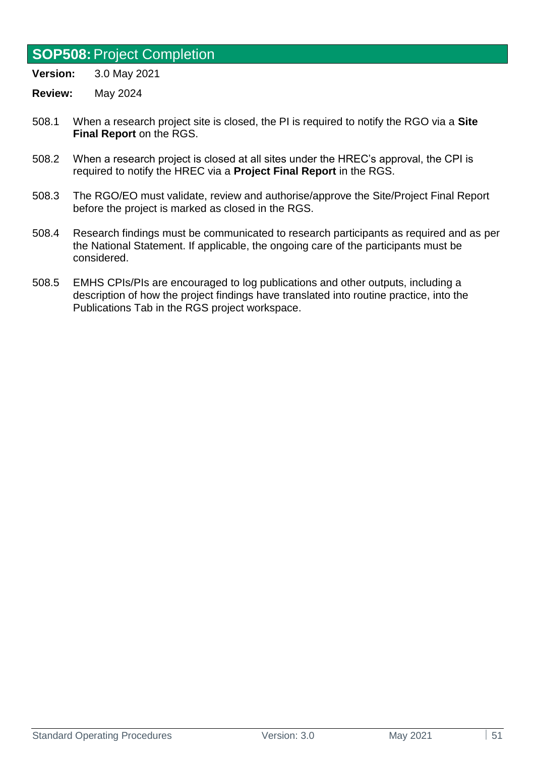### <span id="page-50-1"></span>**SOP508:**Project Completion

**Version:** 3.0 May 2021

- 508.1 When a research project site is closed, the PI is required to notify the RGO via a **Site Final Report** on the RGS.
- 508.2 When a research project is closed at all sites under the HREC's approval, the CPI is required to notify the HREC via a **Project Final Report** in the RGS.
- 508.3 The RGO/EO must validate, review and authorise/approve the Site/Project Final Report before the project is marked as closed in the RGS.
- 508.4 Research findings must be communicated to research participants as required and as per the National Statement. If applicable, the ongoing care of the participants must be considered.
- <span id="page-50-0"></span>508.5 EMHS CPIs/PIs are encouraged to log publications and other outputs, including a description of how the project findings have translated into routine practice, into the Publications Tab in the RGS project workspace.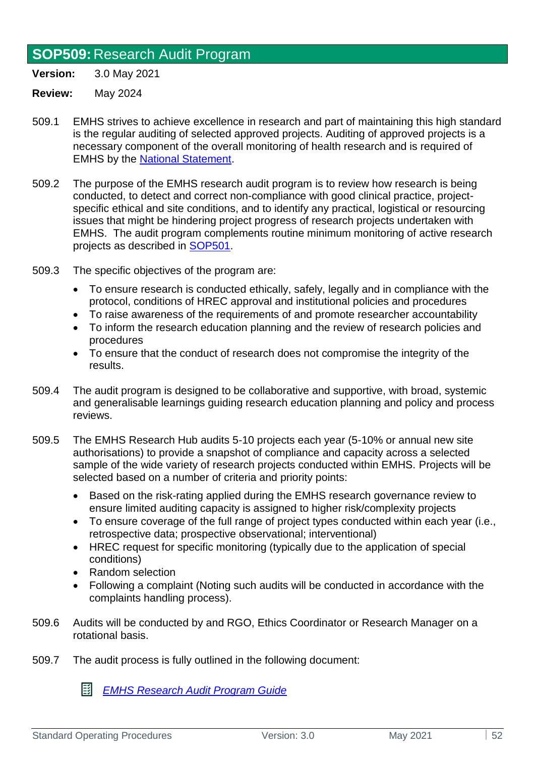## **SOP509:** Research Audit Program

**Version:** 3.0 May 2021

**Review:** May 2024

- 509.1 EMHS strives to achieve excellence in research and part of maintaining this high standard is the regular auditing of selected approved projects. Auditing of approved projects is a necessary component of the overall monitoring of health research and is required of EMHS by the [National Statement.](https://www.nhmrc.gov.au/about-us/publications/national-statement-ethical-conduct-human-research-2007-updated-2018#toc__1826)
- 509.2 The purpose of the EMHS research audit program is to review how research is being conducted, to detect and correct non-compliance with good clinical practice, projectspecific ethical and site conditions, and to identify any practical, logistical or resourcing issues that might be hindering project progress of research projects undertaken with EMHS. The audit program complements routine minimum monitoring of active research projects as described in [SOP501.](#page-40-0)
- 509.3 The specific objectives of the program are:
	- To ensure research is conducted ethically, safely, legally and in compliance with the protocol, conditions of HREC approval and institutional policies and procedures
	- To raise awareness of the requirements of and promote researcher accountability
	- To inform the research education planning and the review of research policies and procedures
	- To ensure that the conduct of research does not compromise the integrity of the results.
- 509.4 The audit program is designed to be collaborative and supportive, with broad, systemic and generalisable learnings guiding research education planning and policy and process reviews.
- 509.5 The EMHS Research Hub audits 5-10 projects each year (5-10% or annual new site authorisations) to provide a snapshot of compliance and capacity across a selected sample of the wide variety of research projects conducted within EMHS. Projects will be selected based on a number of criteria and priority points:
	- Based on the risk-rating applied during the EMHS research governance review to ensure limited auditing capacity is assigned to higher risk/complexity projects
	- To ensure coverage of the full range of project types conducted within each year (i.e., retrospective data; prospective observational; interventional)
	- HREC request for specific monitoring (typically due to the application of special conditions)
	- Random selection
	- Following a complaint (Noting such audits will be conducted in accordance with the complaints handling process).
- 509.6 Audits will be conducted by and RGO, Ethics Coordinator or Research Manager on a rotational basis.
- 509.7 The audit process is fully outlined in the following document:

國 *[EMHS Research Audit Program Guide](https://emhs.health.wa.gov.au/-/media/HSPs/EMHS/Documents/Research/EMHS-Research-Audit-Program-Guide-v10-Dec-2020.pdf)*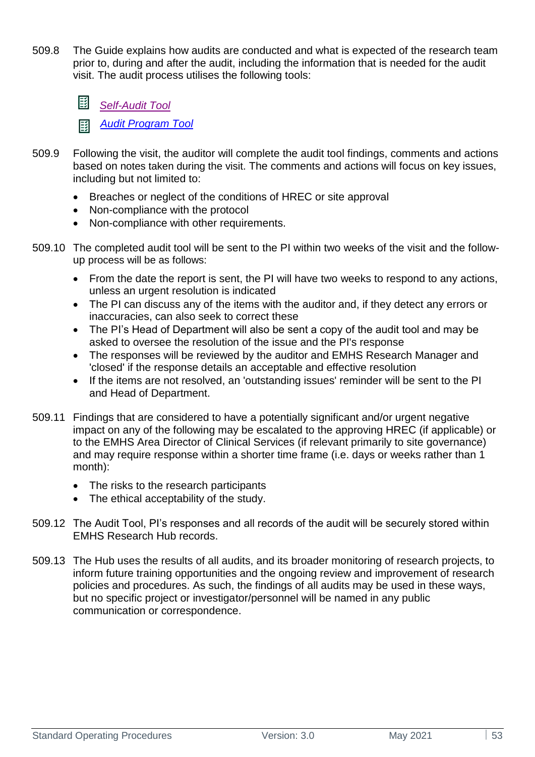509.8 The Guide explains how audits are conducted and what is expected of the research team prior to, during and after the audit, including the information that is needed for the audit visit. The audit process utilises the following tools:



*[Audit Program Tool](https://emhs.health.wa.gov.au/-/media/HSPs/EMHS/Documents/Research/EMHS-Research-Audit-Program-Tool-v10-Dec-2020.DOCX)* 彫

- 509.9 Following the visit, the auditor will complete the audit tool findings, comments and actions based on notes taken during the visit. The comments and actions will focus on key issues, including but not limited to:
	- Breaches or neglect of the conditions of HREC or site approval
	- Non-compliance with the protocol
	- Non-compliance with other requirements.
- 509.10 The completed audit tool will be sent to the PI within two weeks of the visit and the followup process will be as follows:
	- From the date the report is sent, the PI will have two weeks to respond to any actions, unless an urgent resolution is indicated
	- The PI can discuss any of the items with the auditor and, if they detect any errors or inaccuracies, can also seek to correct these
	- The PI's Head of Department will also be sent a copy of the audit tool and may be asked to oversee the resolution of the issue and the PI's response
	- The responses will be reviewed by the auditor and EMHS Research Manager and 'closed' if the response details an acceptable and effective resolution
	- If the items are not resolved, an 'outstanding issues' reminder will be sent to the PI and Head of Department.
- 509.11 Findings that are considered to have a potentially significant and/or urgent negative impact on any of the following may be escalated to the approving HREC (if applicable) or to the EMHS Area Director of Clinical Services (if relevant primarily to site governance) and may require response within a shorter time frame (i.e. days or weeks rather than 1 month):
	- The risks to the research participants
	- The ethical acceptability of the study.
- 509.12 The Audit Tool, PI's responses and all records of the audit will be securely stored within EMHS Research Hub records.
- 509.13 The Hub uses the results of all audits, and its broader monitoring of research projects, to inform future training opportunities and the ongoing review and improvement of research policies and procedures. As such, the findings of all audits may be used in these ways, but no specific project or investigator/personnel will be named in any public communication or correspondence.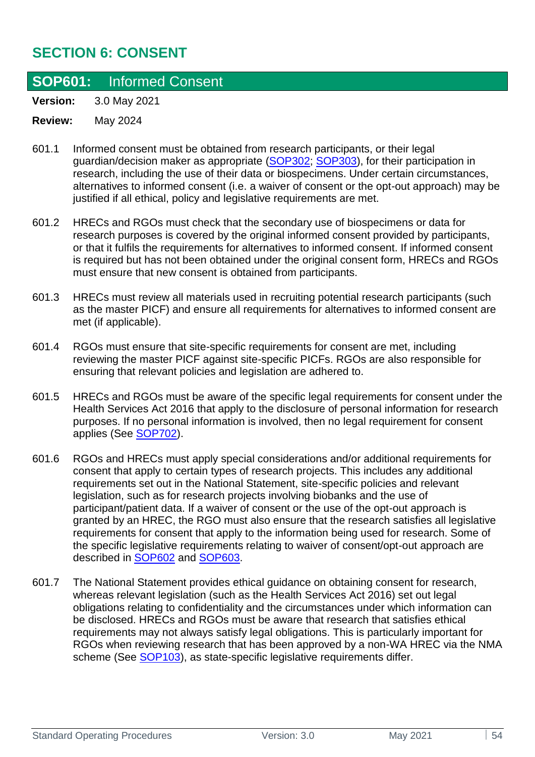# **SECTION 6: CONSENT**

### **SOP601:** Informed Consent

**Version:** 3.0 May 2021

- 601.1 Informed consent must be obtained from research participants, or their legal guardian/decision maker as appropriate [\(SOP302;](#page-32-0) [SOP303\)](#page-33-0), for their participation in research, including the use of their data or biospecimens. Under certain circumstances, alternatives to informed consent (i.e. a waiver of consent or the opt-out approach) may be justified if all ethical, policy and legislative requirements are met.
- 601.2 HRECs and RGOs must check that the secondary use of biospecimens or data for research purposes is covered by the original informed consent provided by participants, or that it fulfils the requirements for alternatives to informed consent. If informed consent is required but has not been obtained under the original consent form, HRECs and RGOs must ensure that new consent is obtained from participants.
- 601.3 HRECs must review all materials used in recruiting potential research participants (such as the master PICF) and ensure all requirements for alternatives to informed consent are met (if applicable).
- 601.4 RGOs must ensure that site-specific requirements for consent are met, including reviewing the master PICF against site-specific PICFs. RGOs are also responsible for ensuring that relevant policies and legislation are adhered to.
- 601.5 HRECs and RGOs must be aware of the specific legal requirements for consent under the Health Services Act 2016 that apply to the disclosure of personal information for research purposes. If no personal information is involved, then no legal requirement for consent applies (See [SOP702\)](#page-56-0).
- 601.6 RGOs and HRECs must apply special considerations and/or additional requirements for consent that apply to certain types of research projects. This includes any additional requirements set out in the National Statement, site-specific policies and relevant legislation, such as for research projects involving biobanks and the use of participant/patient data. If a waiver of consent or the use of the opt-out approach is granted by an HREC, the RGO must also ensure that the research satisfies all legislative requirements for consent that apply to the information being used for research. Some of the specific legislative requirements relating to waiver of consent/opt-out approach are described in [SOP602](#page-54-0) and [SOP603.](#page-55-0)
- <span id="page-53-0"></span>601.7 The National Statement provides ethical guidance on obtaining consent for research, whereas relevant legislation (such as the Health Services Act 2016) set out legal obligations relating to confidentiality and the circumstances under which information can be disclosed. HRECs and RGOs must be aware that research that satisfies ethical requirements may not always satisfy legal obligations. This is particularly important for RGOs when reviewing research that has been approved by a non-WA HREC via the NMA scheme (See [SOP103\)](#page-10-0), as state-specific legislative requirements differ.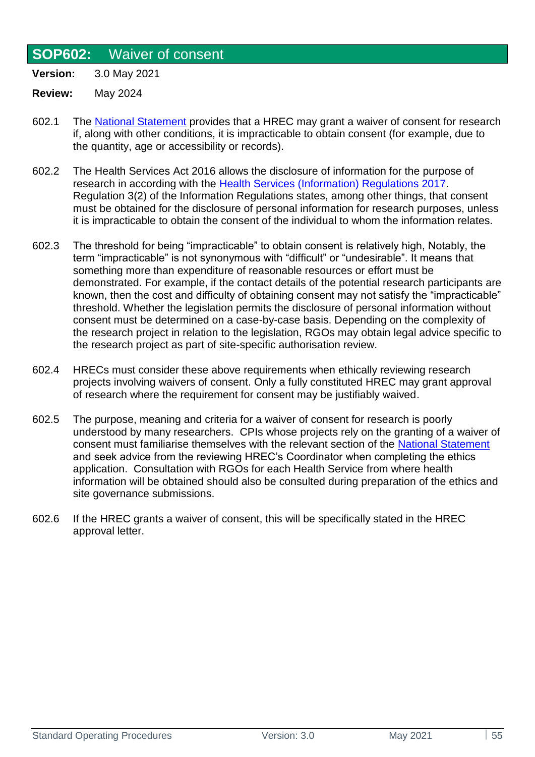### <span id="page-54-0"></span>**SOP602:** Waiver of consent

**Version:** 3.0 May 2021

- 602.1 The [National Statement](https://www.nhmrc.gov.au/about-us/publications/national-statement-ethical-conduct-human-research-2007-updated-2018#toc__355) provides that a HREC may grant a waiver of consent for research if, along with other conditions, it is impracticable to obtain consent (for example, due to the quantity, age or accessibility or records).
- 602.2 The Health Services Act 2016 allows the disclosure of information for the purpose of research in according with the [Health Services \(Information\) Regulations 2017.](https://www.legislation.wa.gov.au/legislation/statutes.nsf/law_s48136_currencies.html) Regulation 3(2) of the Information Regulations states, among other things, that consent must be obtained for the disclosure of personal information for research purposes, unless it is impracticable to obtain the consent of the individual to whom the information relates.
- 602.3 The threshold for being "impracticable" to obtain consent is relatively high, Notably, the term "impracticable" is not synonymous with "difficult" or "undesirable". It means that something more than expenditure of reasonable resources or effort must be demonstrated. For example, if the contact details of the potential research participants are known, then the cost and difficulty of obtaining consent may not satisfy the "impracticable" threshold. Whether the legislation permits the disclosure of personal information without consent must be determined on a case-by-case basis. Depending on the complexity of the research project in relation to the legislation, RGOs may obtain legal advice specific to the research project as part of site-specific authorisation review.
- 602.4 HRECs must consider these above requirements when ethically reviewing research projects involving waivers of consent. Only a fully constituted HREC may grant approval of research where the requirement for consent may be justifiably waived.
- 602.5 The purpose, meaning and criteria for a waiver of consent for research is poorly understood by many researchers. CPIs whose projects rely on the granting of a waiver of consent must familiarise themselves with the relevant section of the [National Statement](https://www.nhmrc.gov.au/about-us/publications/national-statement-ethical-conduct-human-research-2007-updated-2018#toc__355) and seek advice from the reviewing HREC's Coordinator when completing the ethics application. Consultation with RGOs for each Health Service from where health information will be obtained should also be consulted during preparation of the ethics and site governance submissions.
- 602.6 If the HREC grants a waiver of consent, this will be specifically stated in the HREC approval letter.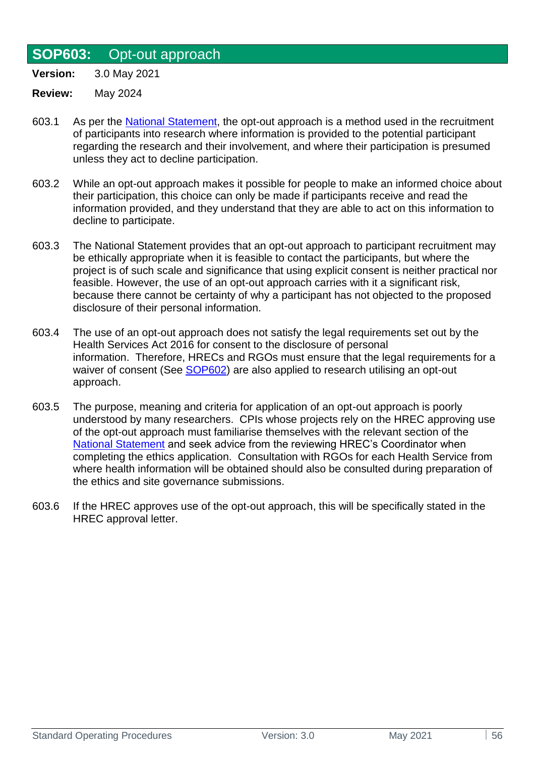### <span id="page-55-0"></span>**SOP603:** Opt-out approach

**Version:** 3.0 May 2021

- 603.1 As per the [National Statement,](https://www.nhmrc.gov.au/about-us/publications/national-statement-ethical-conduct-human-research-2007-updated-2018#toc__335) the opt-out approach is a method used in the recruitment of participants into research where information is provided to the potential participant regarding the research and their involvement, and where their participation is presumed unless they act to decline participation.
- 603.2 While an opt-out approach makes it possible for people to make an informed choice about their participation, this choice can only be made if participants receive and read the information provided, and they understand that they are able to act on this information to decline to participate.
- 603.3 The National Statement provides that an opt-out approach to participant recruitment may be ethically appropriate when it is feasible to contact the participants, but where the project is of such scale and significance that using explicit consent is neither practical nor feasible. However, the use of an opt-out approach carries with it a significant risk, because there cannot be certainty of why a participant has not objected to the proposed disclosure of their personal information.
- 603.4 The use of an opt-out approach does not satisfy the legal requirements set out by the Health Services Act 2016 for consent to the disclosure of personal information. Therefore, HRECs and RGOs must ensure that the legal requirements for a waiver of consent (See [SOP602\)](#page-53-0) are also applied to research utilising an opt-out approach.
- 603.5 The purpose, meaning and criteria for application of an opt-out approach is poorly understood by many researchers. CPIs whose projects rely on the HREC approving use of the opt-out approach must familiarise themselves with the relevant section of the [National Statement](https://www.nhmrc.gov.au/about-us/publications/national-statement-ethical-conduct-human-research-2007-updated-2018#toc__335) and seek advice from the reviewing HREC's Coordinator when completing the ethics application. Consultation with RGOs for each Health Service from where health information will be obtained should also be consulted during preparation of the ethics and site governance submissions.
- 603.6 If the HREC approves use of the opt-out approach, this will be specifically stated in the HREC approval letter.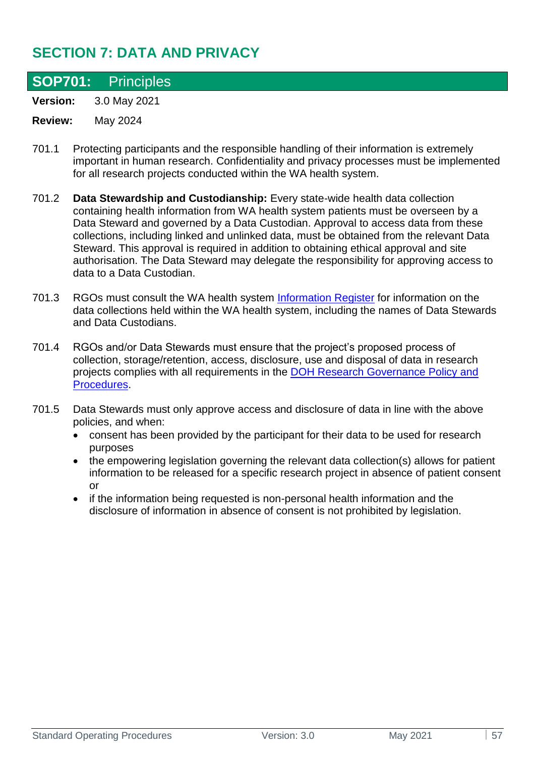# **SECTION 7: DATA AND PRIVACY**

## **SOP701:** Principles

**Version:** 3.0 May 2021

- 701.1 Protecting participants and the responsible handling of their information is extremely important in human research. Confidentiality and privacy processes must be implemented for all research projects conducted within the WA health system.
- 701.2 **Data Stewardship and Custodianship:** Every state-wide health data collection containing health information from WA health system patients must be overseen by a Data Steward and governed by a Data Custodian. Approval to access data from these collections, including linked and unlinked data, must be obtained from the relevant Data Steward. This approval is required in addition to obtaining ethical approval and site authorisation. The Data Steward may delegate the responsibility for approving access to data to a Data Custodian.
- 701.3 RGOs must consult the WA health system [Information Register](https://doh-healthpoint.hdwa.health.wa.gov.au/directory/Purchasing%20and%20System%20Performance/Data%20and%20information/Lists/WA%20health%20system%20Information%20Register/AllItems.aspx) for information on the data collections held within the WA health system, including the names of Data Stewards and Data Custodians.
- 701.4 RGOs and/or Data Stewards must ensure that the project's proposed process of collection, storage/retention, access, disclosure, use and disposal of data in research projects complies with all requirements in the [DOH Research Governance Policy](https://rgs.health.wa.gov.au/Pages/Research-Governance-Framework.aspx) and [Procedures.](https://rgs.health.wa.gov.au/Pages/Research-Governance-Framework.aspx)
- <span id="page-56-0"></span>701.5 Data Stewards must only approve access and disclosure of data in line with the above policies, and when:
	- consent has been provided by the participant for their data to be used for research purposes
	- the empowering legislation governing the relevant data collection(s) allows for patient information to be released for a specific research project in absence of patient consent or
	- if the information being requested is non-personal health information and the disclosure of information in absence of consent is not prohibited by legislation.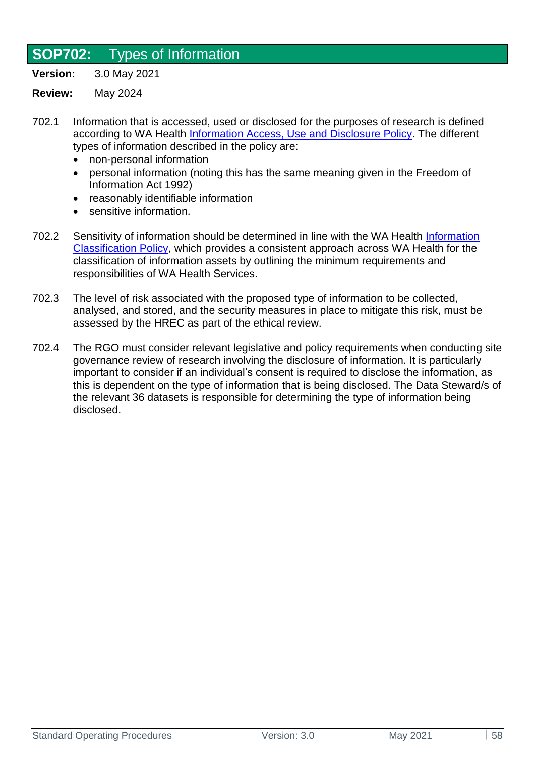## **SOP702:** Types of Information

**Version:** 3.0 May 2021

- 702.1 Information that is accessed, used or disclosed for the purposes of research is defined according to WA Health [Information Access, Use and Disclosure Policy.](https://www.google.com/search?q=Real+Life+Patient+Handling+%28RLPH%29&source=hp&ei=QIKsYOKqOPDC3LUPrf2jwAY&iflsig=AINFCbYAAAAAYKyQUB2oBwAvW2fI9bcdD1ZHiGPpD5TQ&oq=Real+Life+Patient+Handling+%28RLPH%29&gs_lcp=Cgdnd3Mtd2l6EAwyBwghEAoQoAFQnQVYnQVguRpoAHAAeACAAZcCiAGXApIBAzItMZgBAKABAqABAaoBB2d3cy13aXo&sclient=gws-wiz&ved=0ahUKEwjiyoy0hOTwAhVwIbcAHa3-CGgQ4dUDCAw#spf=1621918277183https://ww2.health.wa.gov.au/About-us/Policy-frameworks/Information-Management/Mandatory-requirements/Access-Use-and-Disclosure/Information-Access-Use-and-Disclosure-Policy) The different types of information described in the policy are:
	- non-personal information
	- personal information (noting this has the same meaning given in the Freedom of Information Act 1992)
	- reasonably identifiable information
	- sensitive information.
- 702.2 Sensitivity of information should be determined in line with the WA Health [Information](https://ww2.health.wa.gov.au/About-us/Policy-frameworks/Information-Management/Mandatory-requirements/Access-Use-and-Disclosure/Information-Classification-Policy) [Classification Policy,](https://ww2.health.wa.gov.au/About-us/Policy-frameworks/Information-Management/Mandatory-requirements/Access-Use-and-Disclosure/Information-Classification-Policy) which provides a consistent approach across WA Health for the classification of information assets by outlining the minimum requirements and responsibilities of WA Health Services.
- 702.3 The level of risk associated with the proposed type of information to be collected, analysed, and stored, and the security measures in place to mitigate this risk, must be assessed by the HREC as part of the ethical review.
- 702.4 The RGO must consider relevant legislative and policy requirements when conducting site governance review of research involving the disclosure of information. It is particularly important to consider if an individual's consent is required to disclose the information, as this is dependent on the type of information that is being disclosed. The Data Steward/s of the relevant 36 datasets is responsible for determining the type of information being disclosed.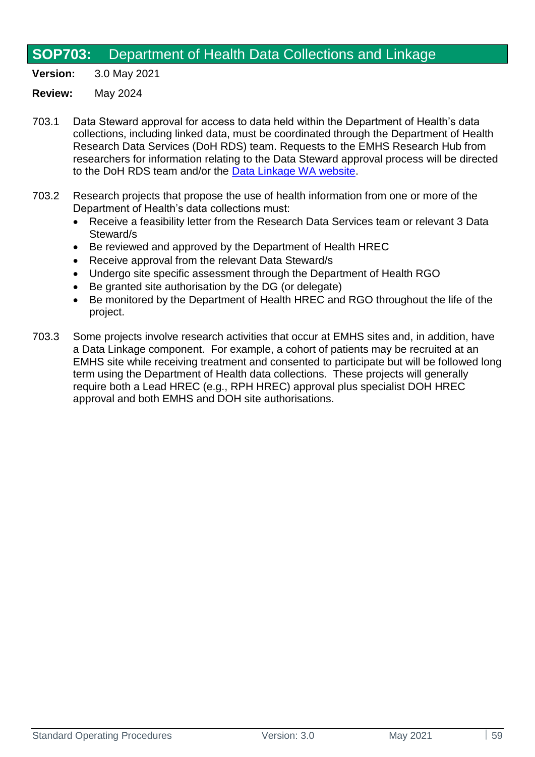## **SOP703:** Department of Health Data Collections and Linkage

**Version:** 3.0 May 2021

- 703.1 Data Steward approval for access to data held within the Department of Health's data collections, including linked data, must be coordinated through the Department of Health Research Data Services (DoH RDS) team. Requests to the EMHS Research Hub from researchers for information relating to the Data Steward approval process will be directed to the DoH RDS team and/or the [Data Linkage WA website.](https://www.datalinkage-wa.org.au/apply/application-process/)
- 703.2 Research projects that propose the use of health information from one or more of the Department of Health's data collections must:
	- Receive a feasibility letter from the Research Data Services team or relevant 3 Data Steward/s
	- Be reviewed and approved by the Department of Health HREC
	- Receive approval from the relevant Data Steward/s
	- Undergo site specific assessment through the Department of Health RGO
	- Be granted site authorisation by the DG (or delegate)
	- Be monitored by the Department of Health HREC and RGO throughout the life of the project.
- 703.3 Some projects involve research activities that occur at EMHS sites and, in addition, have a Data Linkage component. For example, a cohort of patients may be recruited at an EMHS site while receiving treatment and consented to participate but will be followed long term using the Department of Health data collections. These projects will generally require both a Lead HREC (e.g., RPH HREC) approval plus specialist DOH HREC approval and both EMHS and DOH site authorisations.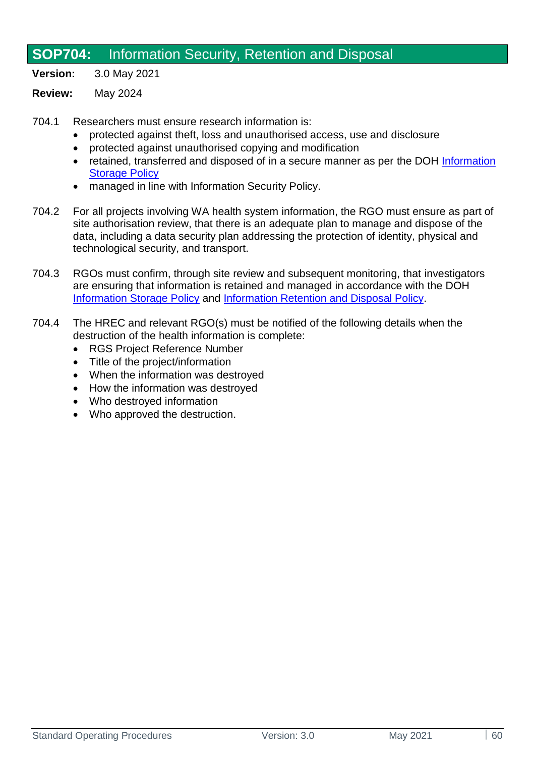# **SOP704:** Information Security, Retention and Disposal

**Version:** 3.0 May 2021

#### **Review:** May 2024

704.1 Researchers must ensure research information is:

- protected against theft, loss and unauthorised access, use and disclosure
- protected against unauthorised copying and modification
- retained, transferred and disposed of in a secure manner as per the DOH [Information](https://ww2.health.wa.gov.au/About-us/Policy-frameworks/Information-Management/Mandatory-requirements/Storage-and-Disposal/Information-Storage-Policy)  [Storage Policy](https://ww2.health.wa.gov.au/About-us/Policy-frameworks/Information-Management/Mandatory-requirements/Storage-and-Disposal/Information-Storage-Policy)
- managed in line with Information Security Policy.
- 704.2 For all projects involving WA health system information, the RGO must ensure as part of site authorisation review, that there is an adequate plan to manage and dispose of the data, including a data security plan addressing the protection of identity, physical and technological security, and transport.
- 704.3 RGOs must confirm, through site review and subsequent monitoring, that investigators are ensuring that information is retained and managed in accordance with the DOH [Information Storage Policy](https://ww2.health.wa.gov.au/About-us/Policy-frameworks/Information-Management/Mandatory-requirements/Storage-and-Disposal/Information-Storage-Policy) and [Information Retention and Disposal Policy.](https://ww2.health.wa.gov.au/About-us/Policy-frameworks/Information-Management/Mandatory-requirements/Storage-and-Disposal/Information-Retention-and-Disposal-Policy)
- 704.4 The HREC and relevant RGO(s) must be notified of the following details when the destruction of the health information is complete:
	- RGS Project Reference Number
	- Title of the project/information
	- When the information was destroyed
	- How the information was destroyed
	- Who destroyed information
	- Who approved the destruction.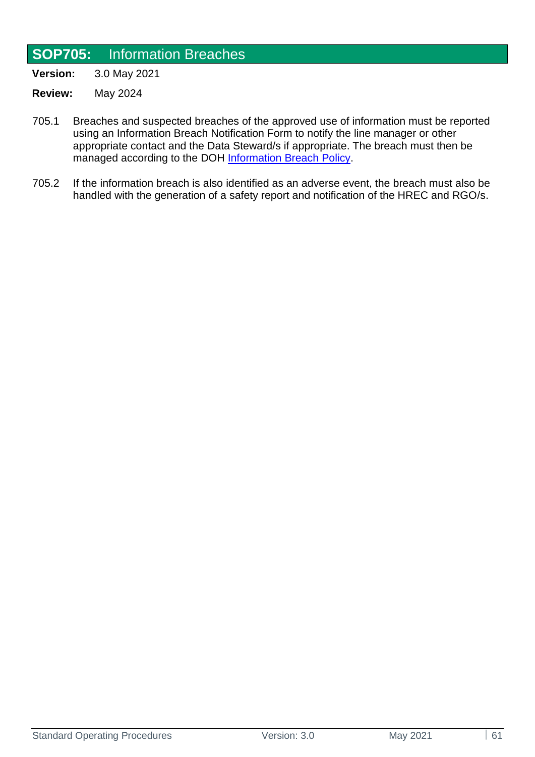## **SOP705:** Information Breaches

**Version:** 3.0 May 2021

- **Review:** May 2024
- 705.1 Breaches and suspected breaches of the approved use of information must be reported using an Information Breach Notification Form to notify the line manager or other appropriate contact and the Data Steward/s if appropriate. The breach must then be managed according to the DOH [Information Breach Policy.](https://ww2.health.wa.gov.au/About-us/Policy-frameworks/Information-Management/Mandatory-requirements/Access-Use-and-Disclosure/Information-Breach-Policy)
- 705.2 If the information breach is also identified as an adverse event, the breach must also be handled with the generation of a safety report and notification of the HREC and RGO/s.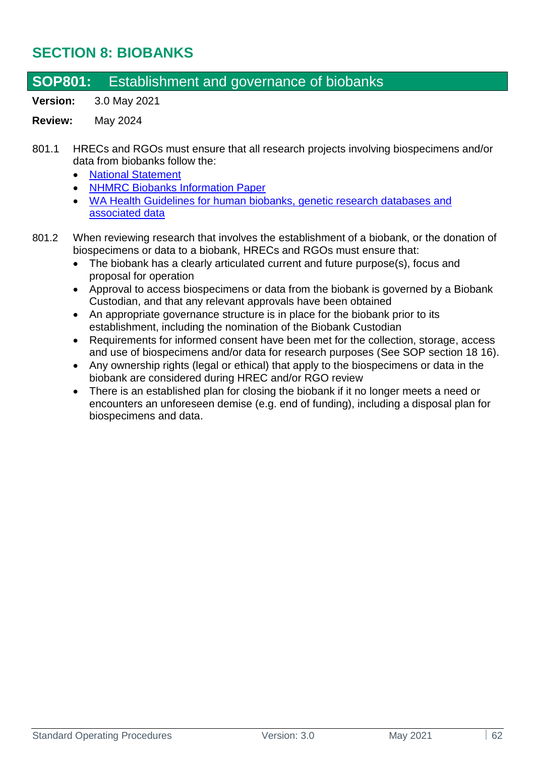# **SECTION 8: BIOBANKS**

## **SOP801:** Establishment and governance of biobanks

**Version:** 3.0 May 2021

- 801.1 HRECs and RGOs must ensure that all research projects involving biospecimens and/or data from biobanks follow the:
	- [National Statement](https://www.nhmrc.gov.au/about-us/publications/national-statement-ethical-conduct-human-research-2007-updated-2018)
	- [NHMRC Biobanks Information Paper](https://www.nhmrc.gov.au/about-us/publications/biobanks-information-paper)
	- [WA Health Guidelines for human biobanks, genetic research databases and](https://rgs.health.wa.gov.au/Documents/Guidelines%20biobanks%20genetic%20databases.pdf)  [associated data](https://rgs.health.wa.gov.au/Documents/Guidelines%20biobanks%20genetic%20databases.pdf)
- 801.2 When reviewing research that involves the establishment of a biobank, or the donation of biospecimens or data to a biobank, HRECs and RGOs must ensure that:
	- The biobank has a clearly articulated current and future purpose(s), focus and proposal for operation
	- Approval to access biospecimens or data from the biobank is governed by a Biobank Custodian, and that any relevant approvals have been obtained
	- An appropriate governance structure is in place for the biobank prior to its establishment, including the nomination of the Biobank Custodian
	- Requirements for informed consent have been met for the collection, storage, access and use of biospecimens and/or data for research purposes (See SOP section 18 16).
	- Any ownership rights (legal or ethical) that apply to the biospecimens or data in the biobank are considered during HREC and/or RGO review
	- There is an established plan for closing the biobank if it no longer meets a need or encounters an unforeseen demise (e.g. end of funding), including a disposal plan for biospecimens and data.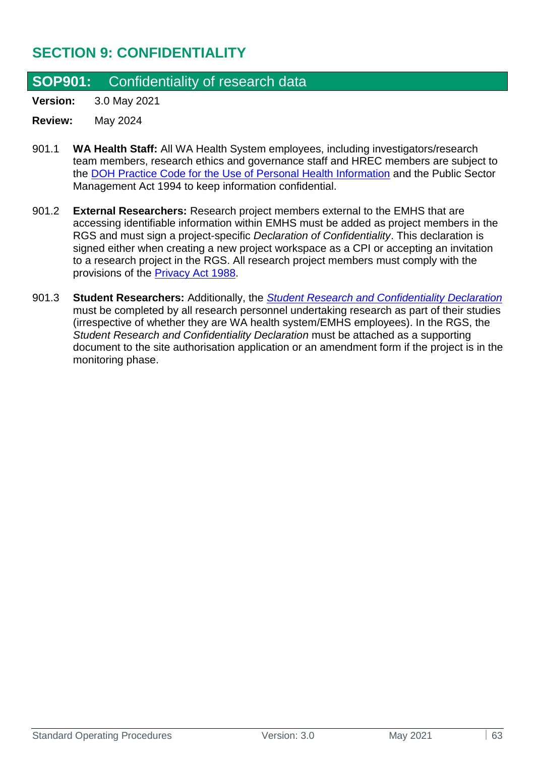# **SECTION 9: CONFIDENTIALITY**

## **SOP901:** Confidentiality of research data

**Version:** 3.0 May 2021

- 901.1 **WA Health Staff:** All WA Health System employees, including investigators/research team members, research ethics and governance staff and HREC members are subject to the [DOH Practice Code for the Use of Personal Health Information](https://www.datalinkage-wa.org.au/resources/policies/) and the Public Sector Management Act 1994 to keep information confidential.
- 901.2 **External Researchers:** Research project members external to the EMHS that are accessing identifiable information within EMHS must be added as project members in the RGS and must sign a project-specific *Declaration of Confidentiality*. This declaration is signed either when creating a new project workspace as a CPI or accepting an invitation to a research project in the RGS. All research project members must comply with the provisions of the [Privacy Act 1988.](https://www.legislation.gov.au/Details/C2020C00237)
- 901.3 **Student Researchers:** Additionally, the *[Student Research and Confidentiality Declaration](https://rgs.health.wa.gov.au/Pages/Document-Templates.aspx)* must be completed by all research personnel undertaking research as part of their studies (irrespective of whether they are WA health system/EMHS employees). In the RGS, the *Student Research and Confidentiality Declaration* must be attached as a supporting document to the site authorisation application or an amendment form if the project is in the monitoring phase.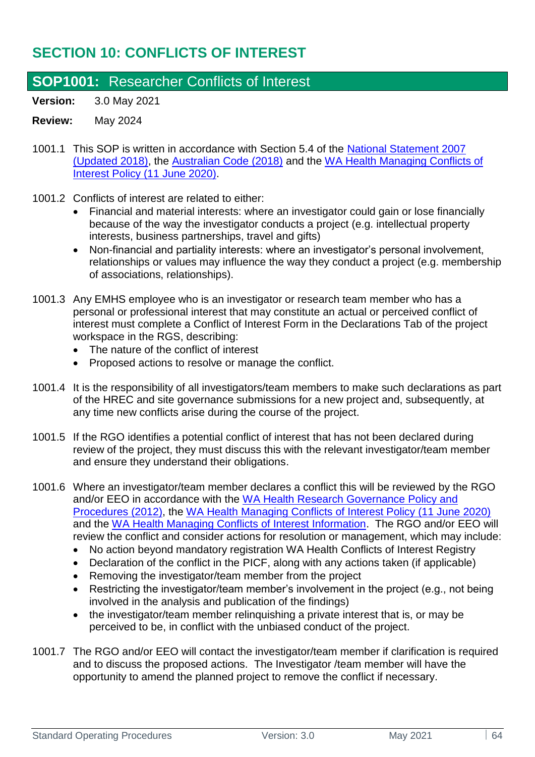# **SECTION 10: CONFLICTS OF INTEREST**

## **SOP1001:** Researcher Conflicts of Interest

**Version:** 3.0 May 2021

- 1001.1 This SOP is written in accordance with Section 5.4 of the [National Statement 2007](https://www.nhmrc.gov.au/about-us/publications/national-statement-ethical-conduct-human-research-2007-updated-2018)  [\(Updated 2018\),](https://www.nhmrc.gov.au/about-us/publications/national-statement-ethical-conduct-human-research-2007-updated-2018) the [Australian Code \(2018\)](https://www.nhmrc.gov.au/about-us/publications/australian-code-responsible-conduct-research-2018) and the [WA Health Managing Conflicts of](https://ww2.health.wa.gov.au/About-us/Policy-frameworks/Integrity/Mandatory-requirements/Managing-Conflicts-of-Interest-Policy)  [Interest Policy \(11 June 2020\).](https://ww2.health.wa.gov.au/About-us/Policy-frameworks/Integrity/Mandatory-requirements/Managing-Conflicts-of-Interest-Policy)
- 1001.2 Conflicts of interest are related to either:
	- Financial and material interests: where an investigator could gain or lose financially because of the way the investigator conducts a project (e.g. intellectual property interests, business partnerships, travel and gifts)
	- Non-financial and partiality interests: where an investigator's personal involvement, relationships or values may influence the way they conduct a project (e.g. membership of associations, relationships).
- 1001.3 Any EMHS employee who is an investigator or research team member who has a personal or professional interest that may constitute an actual or perceived conflict of interest must complete a Conflict of Interest Form in the Declarations Tab of the project workspace in the RGS, describing:
	- The nature of the conflict of interest
	- Proposed actions to resolve or manage the conflict.
- 1001.4 It is the responsibility of all investigators/team members to make such declarations as part of the HREC and site governance submissions for a new project and, subsequently, at any time new conflicts arise during the course of the project.
- 1001.5 If the RGO identifies a potential conflict of interest that has not been declared during review of the project, they must discuss this with the relevant investigator/team member and ensure they understand their obligations.
- 1001.6 Where an investigator/team member declares a conflict this will be reviewed by the RGO and/or EEO in accordance with the [WA Health Research Governance Policy and](https://ww2.health.wa.gov.au/-/media/Files/Corporate/Policy-Frameworks/Research/Policy/WA-Health-Research-Governance-Policy-and-Procedures/OD411-WA-Health-Research-Governance-Policy-and-Procedures.pdf)  [Procedures \(2012\),](https://ww2.health.wa.gov.au/-/media/Files/Corporate/Policy-Frameworks/Research/Policy/WA-Health-Research-Governance-Policy-and-Procedures/OD411-WA-Health-Research-Governance-Policy-and-Procedures.pdf) the [WA Health Managing Conflicts of Interest Policy \(11 June 2020\)](https://ww2.health.wa.gov.au/-/media/Files/Corporate/Policy-Frameworks/Integrity/Policy/Managing-Conflicts-of-Interest-Policy/Managing-Conflicts-of-Interest-Policy.pdf) and the [WA Health Managing Conflicts of Interest Information.](https://ww2.health.wa.gov.au/~/media/Files/Corporate/Policy%20Frameworks/Integrity/Policy/Managing%20Conflicts%20of%20Interest%20Policy/Supporting/Managing-Conflicts-of-Interest-Information.pdf) The RGO and/or EEO will review the conflict and consider actions for resolution or management, which may include:
	- No action beyond mandatory registration WA Health Conflicts of Interest Registry
	- Declaration of the conflict in the PICF, along with any actions taken (if applicable)
	- Removing the investigator/team member from the project
	- Restricting the investigator/team member's involvement in the project (e.g., not being involved in the analysis and publication of the findings)
	- the investigator/team member relinguishing a private interest that is, or may be perceived to be, in conflict with the unbiased conduct of the project.
- 1001.7 The RGO and/or EEO will contact the investigator/team member if clarification is required and to discuss the proposed actions. The Investigator /team member will have the opportunity to amend the planned project to remove the conflict if necessary.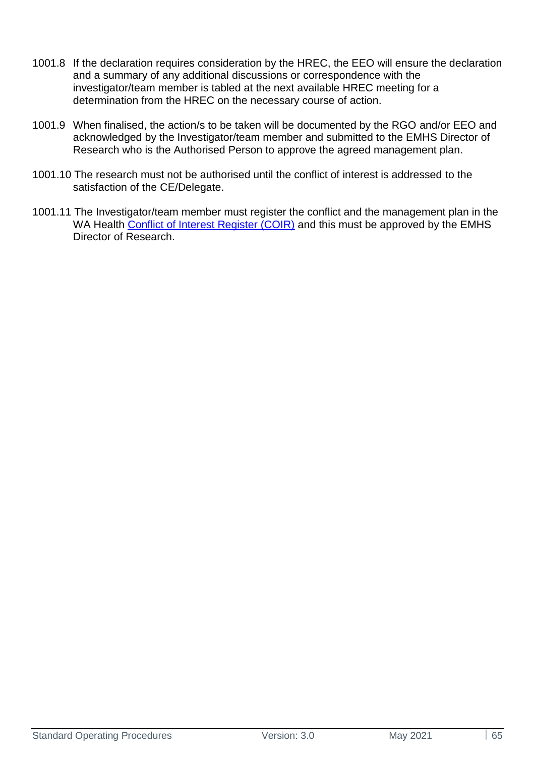- 1001.8 If the declaration requires consideration by the HREC, the EEO will ensure the declaration and a summary of any additional discussions or correspondence with the investigator/team member is tabled at the next available HREC meeting for a determination from the HREC on the necessary course of action.
- 1001.9 When finalised, the action/s to be taken will be documented by the RGO and/or EEO and acknowledged by the Investigator/team member and submitted to the EMHS Director of Research who is the Authorised Person to approve the agreed management plan.
- 1001.10 The research must not be authorised until the conflict of interest is addressed to the satisfaction of the CE/Delegate.
- 1001.11 The Investigator/team member must register the conflict and the management plan in the WA Health [Conflict of Interest Register \(COIR\)](https://coi.hdwa.health.wa.gov.au/ConflictOfInterest/New) and this must be approved by the EMHS Director of Research.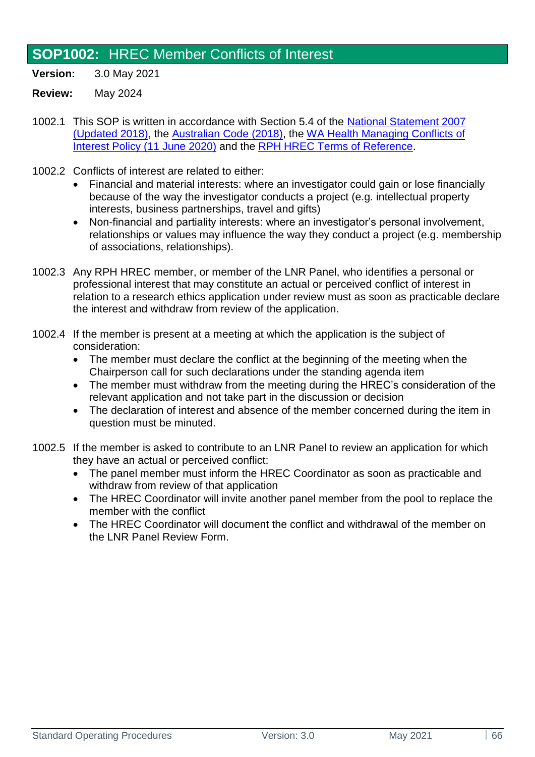# **SOP1002:** HREC Member Conflicts of Interest

- **Version:** 3.0 May 2021
- **Review:** May 2024
- 1002.1 This SOP is written in accordance with Section 5.4 of the [National Statement 2007](https://www.nhmrc.gov.au/about-us/publications/national-statement-ethical-conduct-human-research-2007-updated-2018)  [\(Updated 2018\),](https://www.nhmrc.gov.au/about-us/publications/national-statement-ethical-conduct-human-research-2007-updated-2018) the [Australian Code \(2018\),](https://www.nhmrc.gov.au/about-us/publications/australian-code-responsible-conduct-research-2018) the [WA Health Managing Conflicts of](https://ww2.health.wa.gov.au/About-us/Policy-frameworks/Integrity/Mandatory-requirements/Managing-Conflicts-of-Interest-Policy)  [Interest Policy \(11 June 2020\)](https://ww2.health.wa.gov.au/About-us/Policy-frameworks/Integrity/Mandatory-requirements/Managing-Conflicts-of-Interest-Policy) and the [RPH HREC Terms of Reference.](https://emhs.health.wa.gov.au/-/media/HSPs/EMHS/Documents/Research/hrec-terms-of-reference.pdf)
- 1002.2 Conflicts of interest are related to either:
	- Financial and material interests: where an investigator could gain or lose financially because of the way the investigator conducts a project (e.g. intellectual property interests, business partnerships, travel and gifts)
	- Non-financial and partiality interests: where an investigator's personal involvement, relationships or values may influence the way they conduct a project (e.g. membership of associations, relationships).
- 1002.3 Any RPH HREC member, or member of the LNR Panel, who identifies a personal or professional interest that may constitute an actual or perceived conflict of interest in relation to a research ethics application under review must as soon as practicable declare the interest and withdraw from review of the application.
- 1002.4 If the member is present at a meeting at which the application is the subject of consideration:
	- The member must declare the conflict at the beginning of the meeting when the Chairperson call for such declarations under the standing agenda item
	- The member must withdraw from the meeting during the HREC's consideration of the relevant application and not take part in the discussion or decision
	- The declaration of interest and absence of the member concerned during the item in question must be minuted.
- 1002.5 If the member is asked to contribute to an LNR Panel to review an application for which they have an actual or perceived conflict:
	- The panel member must inform the HREC Coordinator as soon as practicable and withdraw from review of that application
	- The HREC Coordinator will invite another panel member from the pool to replace the member with the conflict
	- The HREC Coordinator will document the conflict and withdrawal of the member on the LNR Panel Review Form.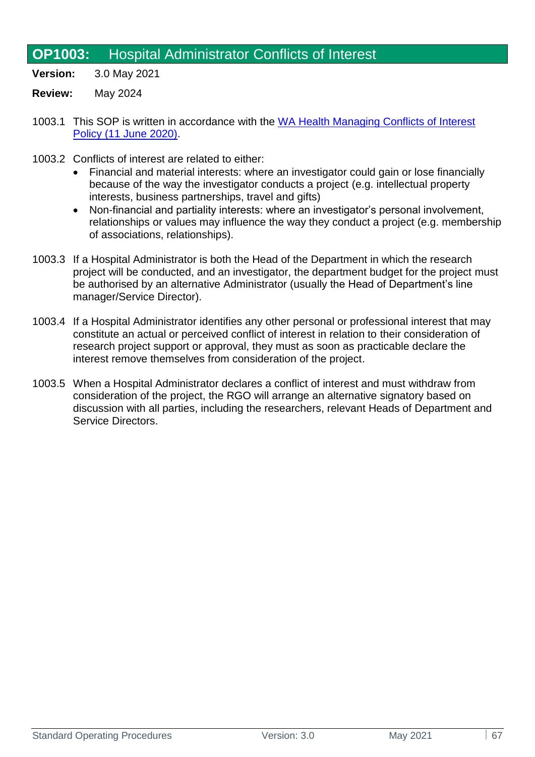# **OP1003:** Hospital Administrator Conflicts of Interest

- **Version:** 3.0 May 2021
- **Review:** May 2024
- 1003.1 This SOP is written in accordance with the WA Health Managing Conflicts of Interest [Policy \(11 June 2020\).](https://ww2.health.wa.gov.au/About-us/Policy-frameworks/Integrity/Mandatory-requirements/Managing-Conflicts-of-Interest-Policy)
- 1003.2 Conflicts of interest are related to either:
	- Financial and material interests: where an investigator could gain or lose financially because of the way the investigator conducts a project (e.g. intellectual property interests, business partnerships, travel and gifts)
	- Non-financial and partiality interests: where an investigator's personal involvement, relationships or values may influence the way they conduct a project (e.g. membership of associations, relationships).
- 1003.3 If a Hospital Administrator is both the Head of the Department in which the research project will be conducted, and an investigator, the department budget for the project must be authorised by an alternative Administrator (usually the Head of Department's line manager/Service Director).
- 1003.4 If a Hospital Administrator identifies any other personal or professional interest that may constitute an actual or perceived conflict of interest in relation to their consideration of research project support or approval, they must as soon as practicable declare the interest remove themselves from consideration of the project.
- 1003.5 When a Hospital Administrator declares a conflict of interest and must withdraw from consideration of the project, the RGO will arrange an alternative signatory based on discussion with all parties, including the researchers, relevant Heads of Department and Service Directors.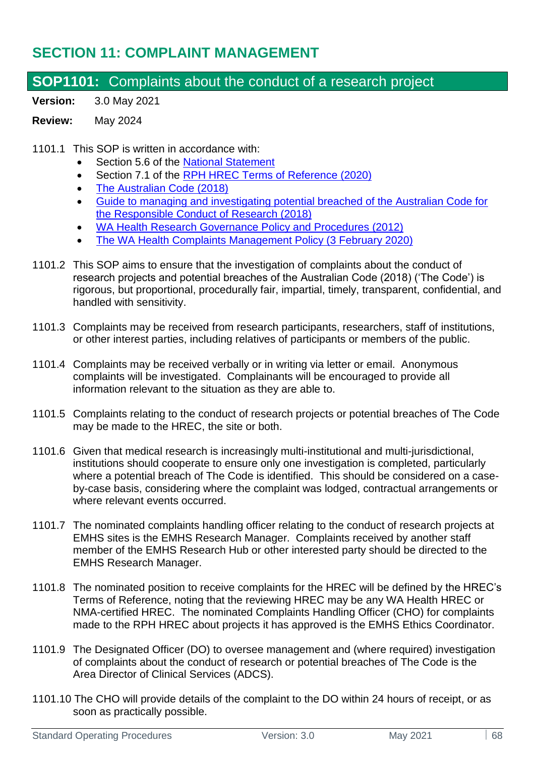# **SECTION 11: COMPLAINT MANAGEMENT**

## **SOP1101:** Complaints about the conduct of a research project

**Version:** 3.0 May 2021

#### **Review:** May 2024

#### 1101.1 This SOP is written in accordance with:

- Section 5.6 of the [National Statement](http://www.nhmrc.gov.au/guidelines/publications/e72)
- Section 7.1 of the [RPH HREC Terms of Reference \(2020\)](https://emhs.health.wa.gov.au/-/media/HSPs/EMHS/Documents/Research/hrec-terms-of-reference.pdf)
- The Australian Code (2018)
- [Guide to managing and investigating potential breached of the Australian Code for](https://www.nhmrc.gov.au/sites/default/files/documents/attachments/guide-managing-investigating-potential-breaches.pdf)  [the Responsible Conduct of Research \(2018\)](https://www.nhmrc.gov.au/sites/default/files/documents/attachments/guide-managing-investigating-potential-breaches.pdf)
- WA Health Research Governance Policy and Procedures (2012)
- [The WA Health Complaints Management Policy \(3 February 2020\)](https://ww2.health.wa.gov.au/About-us/Policy-frameworks/Clinical-Governance-Safety-and-Quality/Mandatory-requirements/Complaints-Management-Policy)
- 1101.2 This SOP aims to ensure that the investigation of complaints about the conduct of research projects and potential breaches of the Australian Code (2018) ('The Code') is rigorous, but proportional, procedurally fair, impartial, timely, transparent, confidential, and handled with sensitivity.
- 1101.3 Complaints may be received from research participants, researchers, staff of institutions, or other interest parties, including relatives of participants or members of the public.
- 1101.4 Complaints may be received verbally or in writing via letter or email. Anonymous complaints will be investigated. Complainants will be encouraged to provide all information relevant to the situation as they are able to.
- 1101.5 Complaints relating to the conduct of research projects or potential breaches of The Code may be made to the HREC, the site or both.
- 1101.6 Given that medical research is increasingly multi-institutional and multi-jurisdictional, institutions should cooperate to ensure only one investigation is completed, particularly where a potential breach of The Code is identified. This should be considered on a caseby-case basis, considering where the complaint was lodged, contractual arrangements or where relevant events occurred.
- 1101.7 The nominated complaints handling officer relating to the conduct of research projects at EMHS sites is the EMHS Research Manager. Complaints received by another staff member of the EMHS Research Hub or other interested party should be directed to the EMHS Research Manager.
- 1101.8 The nominated position to receive complaints for the HREC will be defined by the HREC's Terms of Reference, noting that the reviewing HREC may be any WA Health HREC or NMA-certified HREC. The nominated Complaints Handling Officer (CHO) for complaints made to the RPH HREC about projects it has approved is the EMHS Ethics Coordinator.
- 1101.9 The Designated Officer (DO) to oversee management and (where required) investigation of complaints about the conduct of research or potential breaches of The Code is the Area Director of Clinical Services (ADCS).
- 1101.10 The CHO will provide details of the complaint to the DO within 24 hours of receipt, or as soon as practically possible.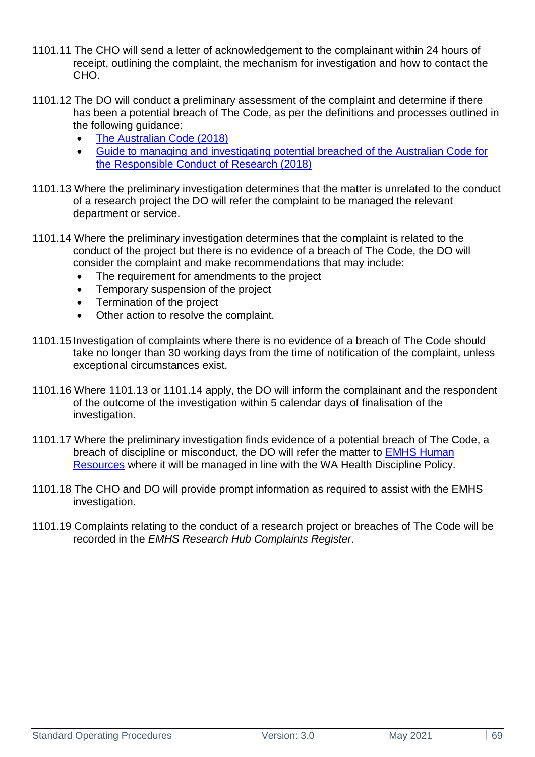- 1101.11 The CHO will send a letter of acknowledgement to the complainant within 24 hours of receipt, outlining the complaint, the mechanism for investigation and how to contact the CHO<sup>.</sup>
- 1101.12 The DO will conduct a preliminary assessment of the complaint and determine if there has been a potential breach of The Code, as per the definitions and processes outlined in the following guidance:
	- The Australian Code (2018)
	- [Guide to managing and investigating potential breached of the Australian Code for](https://www.nhmrc.gov.au/sites/default/files/documents/attachments/guide-managing-investigating-potential-breaches.pdf)  [the Responsible Conduct of Research \(2018\)](https://www.nhmrc.gov.au/sites/default/files/documents/attachments/guide-managing-investigating-potential-breaches.pdf)
- 1101.13 Where the preliminary investigation determines that the matter is unrelated to the conduct of a research project the DO will refer the complaint to be managed the relevant department or service.
- 1101.14 Where the preliminary investigation determines that the complaint is related to the conduct of the project but there is no evidence of a breach of The Code, the DO will consider the complaint and make recommendations that may include:
	- The requirement for amendments to the project
	- Temporary suspension of the project
	- Termination of the project
	- Other action to resolve the complaint.
- 1101.15 Investigation of complaints where there is no evidence of a breach of The Code should take no longer than 30 working days from the time of notification of the complaint, unless exceptional circumstances exist.
- 1101.16 Where 1101.13 or 1101.14 apply, the DO will inform the complainant and the respondent of the outcome of the investigation within 5 calendar days of finalisation of the investigation.
- 1101.17 Where the preliminary investigation finds evidence of a potential breach of The Code, a breach of discipline or misconduct, the DO will refer the matter to [EMHS Human](https://emhs-healthpoint.hdwa.health.wa.gov.au/Integrity/IfMaS/Pages/Misconduct.aspx)  [Resources](https://emhs-healthpoint.hdwa.health.wa.gov.au/Integrity/IfMaS/Pages/Misconduct.aspx) where it will be managed in line with the WA Health Discipline Policy.
- 1101.18 The CHO and DO will provide prompt information as required to assist with the EMHS investigation.
- 1101.19 Complaints relating to the conduct of a research project or breaches of The Code will be recorded in the *EMHS Research Hub Complaints Register*.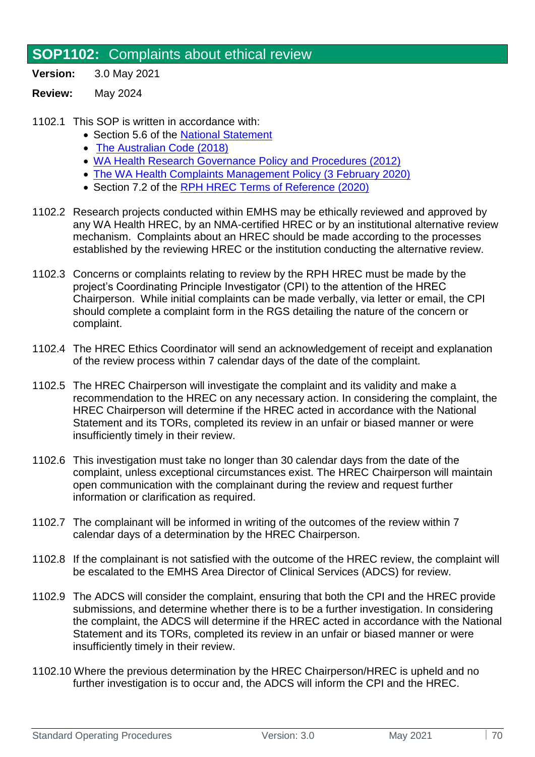## **SOP1102:** Complaints about ethical review

- **Version:** 3.0 May 2021
- **Review:** May 2024
- 1102.1 This SOP is written in accordance with:
	- Section 5.6 of the [National Statement](http://www.nhmrc.gov.au/guidelines/publications/e72)
	- The Australian Code (2018)
	- WA Health Research Governance Policy and Procedures (2012)
	- [The WA Health Complaints Management Policy \(3 February 2020\)](https://ww2.health.wa.gov.au/About-us/Policy-frameworks/Clinical-Governance-Safety-and-Quality/Mandatory-requirements/Complaints-Management-Policy)
	- Section 7.2 of the [RPH HREC Terms of Reference \(2020\)](https://emhs.health.wa.gov.au/-/media/HSPs/EMHS/Documents/Research/hrec-terms-of-reference.pdf)
- 1102.2 Research projects conducted within EMHS may be ethically reviewed and approved by any WA Health HREC, by an NMA-certified HREC or by an institutional alternative review mechanism. Complaints about an HREC should be made according to the processes established by the reviewing HREC or the institution conducting the alternative review.
- 1102.3 Concerns or complaints relating to review by the RPH HREC must be made by the project's Coordinating Principle Investigator (CPI) to the attention of the HREC Chairperson. While initial complaints can be made verbally, via letter or email, the CPI should complete a complaint form in the RGS detailing the nature of the concern or complaint.
- 1102.4 The HREC Ethics Coordinator will send an acknowledgement of receipt and explanation of the review process within 7 calendar days of the date of the complaint.
- 1102.5 The HREC Chairperson will investigate the complaint and its validity and make a recommendation to the HREC on any necessary action. In considering the complaint, the HREC Chairperson will determine if the HREC acted in accordance with the National Statement and its TORs, completed its review in an unfair or biased manner or were insufficiently timely in their review.
- 1102.6 This investigation must take no longer than 30 calendar days from the date of the complaint, unless exceptional circumstances exist. The HREC Chairperson will maintain open communication with the complainant during the review and request further information or clarification as required.
- 1102.7 The complainant will be informed in writing of the outcomes of the review within 7 calendar days of a determination by the HREC Chairperson.
- 1102.8 If the complainant is not satisfied with the outcome of the HREC review, the complaint will be escalated to the EMHS Area Director of Clinical Services (ADCS) for review.
- 1102.9 The ADCS will consider the complaint, ensuring that both the CPI and the HREC provide submissions, and determine whether there is to be a further investigation. In considering the complaint, the ADCS will determine if the HREC acted in accordance with the National Statement and its TORs, completed its review in an unfair or biased manner or were insufficiently timely in their review.
- 1102.10 Where the previous determination by the HREC Chairperson/HREC is upheld and no further investigation is to occur and, the ADCS will inform the CPI and the HREC.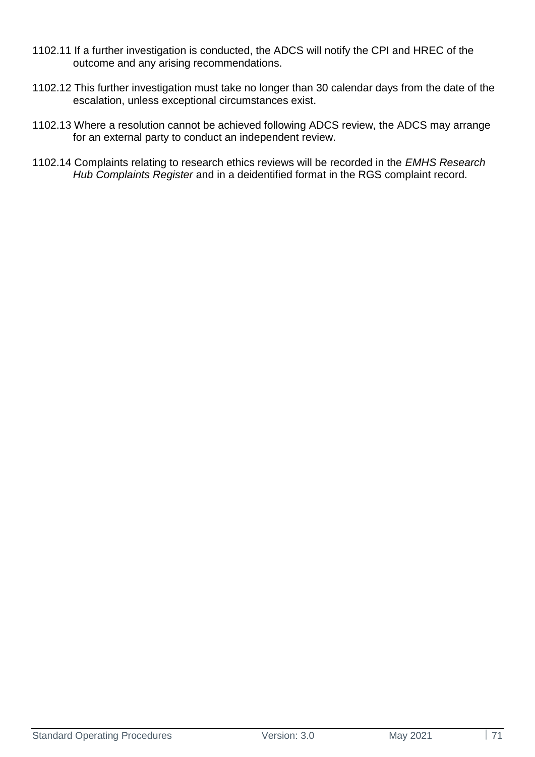- 1102.11 If a further investigation is conducted, the ADCS will notify the CPI and HREC of the outcome and any arising recommendations.
- 1102.12 This further investigation must take no longer than 30 calendar days from the date of the escalation, unless exceptional circumstances exist.
- 1102.13 Where a resolution cannot be achieved following ADCS review, the ADCS may arrange for an external party to conduct an independent review.
- 1102.14 Complaints relating to research ethics reviews will be recorded in the *EMHS Research Hub Complaints Register* and in a deidentified format in the RGS complaint record.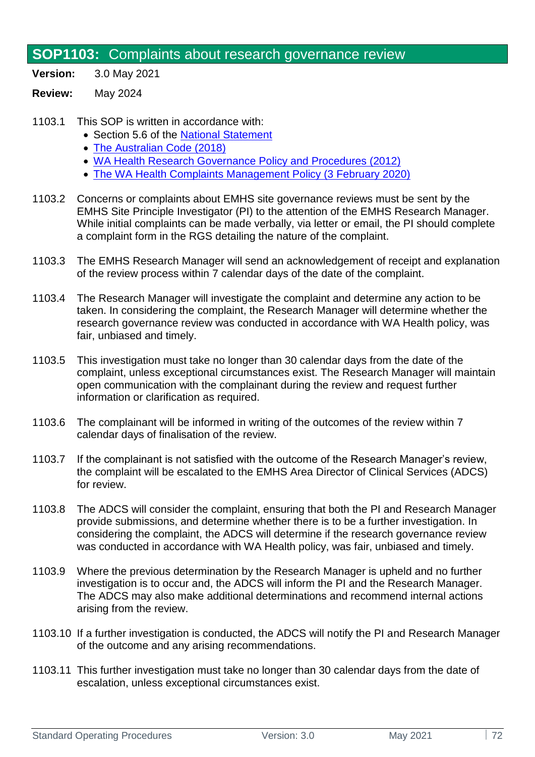# **SOP1103:** Complaints about research governance review

- **Version:** 3.0 May 2021
- **Review:** May 2024
- 1103.1 This SOP is written in accordance with:
	- Section 5.6 of the [National Statement](http://www.nhmrc.gov.au/guidelines/publications/e72)
	- [The Australian Code \(2018\)](https://www.nhmrc.gov.au/about-us/publications/australian-code-responsible-conduct-research-2018)
	- [WA Health Research Governance Policy and Procedures \(2012\)](https://rgs.health.wa.gov.au/Pages/Research-Governance-Framework.aspx)
	- [The WA Health Complaints Management Policy \(3 February 2020\)](https://ww2.health.wa.gov.au/About-us/Policy-frameworks/Clinical-Governance-Safety-and-Quality/Mandatory-requirements/Complaints-Management-Policy)
- 1103.2 Concerns or complaints about EMHS site governance reviews must be sent by the EMHS Site Principle Investigator (PI) to the attention of the EMHS Research Manager. While initial complaints can be made verbally, via letter or email, the PI should complete a complaint form in the RGS detailing the nature of the complaint.
- 1103.3 The EMHS Research Manager will send an acknowledgement of receipt and explanation of the review process within 7 calendar days of the date of the complaint.
- 1103.4 The Research Manager will investigate the complaint and determine any action to be taken. In considering the complaint, the Research Manager will determine whether the research governance review was conducted in accordance with WA Health policy, was fair, unbiased and timely.
- 1103.5 This investigation must take no longer than 30 calendar days from the date of the complaint, unless exceptional circumstances exist. The Research Manager will maintain open communication with the complainant during the review and request further information or clarification as required.
- 1103.6 The complainant will be informed in writing of the outcomes of the review within 7 calendar days of finalisation of the review.
- 1103.7 If the complainant is not satisfied with the outcome of the Research Manager's review, the complaint will be escalated to the EMHS Area Director of Clinical Services (ADCS) for review.
- 1103.8 The ADCS will consider the complaint, ensuring that both the PI and Research Manager provide submissions, and determine whether there is to be a further investigation. In considering the complaint, the ADCS will determine if the research governance review was conducted in accordance with WA Health policy, was fair, unbiased and timely.
- 1103.9 Where the previous determination by the Research Manager is upheld and no further investigation is to occur and, the ADCS will inform the PI and the Research Manager. The ADCS may also make additional determinations and recommend internal actions arising from the review.
- 1103.10 If a further investigation is conducted, the ADCS will notify the PI and Research Manager of the outcome and any arising recommendations.
- 1103.11 This further investigation must take no longer than 30 calendar days from the date of escalation, unless exceptional circumstances exist.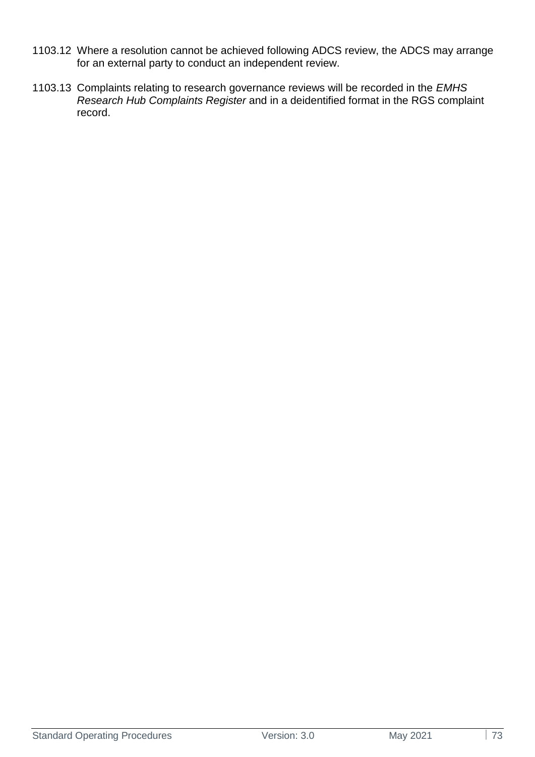- 1103.12 Where a resolution cannot be achieved following ADCS review, the ADCS may arrange for an external party to conduct an independent review.
- 1103.13 Complaints relating to research governance reviews will be recorded in the *EMHS Research Hub Complaints Register* and in a deidentified format in the RGS complaint record.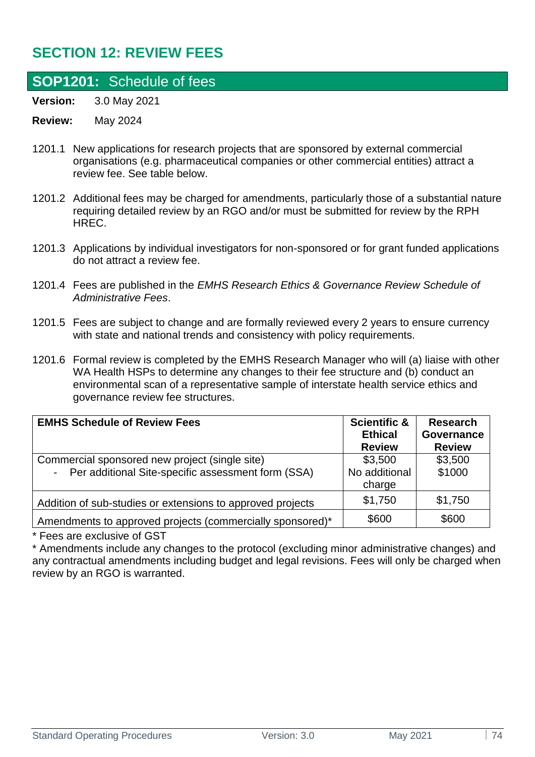## **SECTION 12: REVIEW FEES**

## <span id="page-73-0"></span>**SOP1201:** Schedule of fees

**Version:** 3.0 May 2021

## **Review:** May 2024

- 1201.1 New applications for research projects that are sponsored by external commercial organisations (e.g. pharmaceutical companies or other commercial entities) attract a review fee. See table below.
- 1201.2 Additional fees may be charged for amendments, particularly those of a substantial nature requiring detailed review by an RGO and/or must be submitted for review by the RPH HREC.
- 1201.3 Applications by individual investigators for non-sponsored or for grant funded applications do not attract a review fee.
- 1201.4 Fees are published in the *EMHS Research Ethics & Governance Review Schedule of Administrative Fees*.
- 1201.5 Fees are subject to change and are formally reviewed every 2 years to ensure currency with state and national trends and consistency with policy requirements.
- 1201.6 Formal review is completed by the EMHS Research Manager who will (a) liaise with other WA Health HSPs to determine any changes to their fee structure and (b) conduct an environmental scan of a representative sample of interstate health service ethics and governance review fee structures.

| <b>EMHS Schedule of Review Fees</b>                        | <b>Scientific &amp;</b><br><b>Ethical</b><br><b>Review</b> | <b>Research</b><br>Governance<br><b>Review</b> |
|------------------------------------------------------------|------------------------------------------------------------|------------------------------------------------|
|                                                            |                                                            |                                                |
| Commercial sponsored new project (single site)             | \$3,500                                                    | \$3,500                                        |
| - Per additional Site-specific assessment form (SSA)       | No additional                                              | \$1000                                         |
|                                                            | charge                                                     |                                                |
| Addition of sub-studies or extensions to approved projects | \$1,750                                                    | \$1,750                                        |
| Amendments to approved projects (commercially sponsored)*  | \$600                                                      | \$600                                          |

\* Fees are exclusive of GST

\* Amendments include any changes to the protocol (excluding minor administrative changes) and any contractual amendments including budget and legal revisions. Fees will only be charged when review by an RGO is warranted.